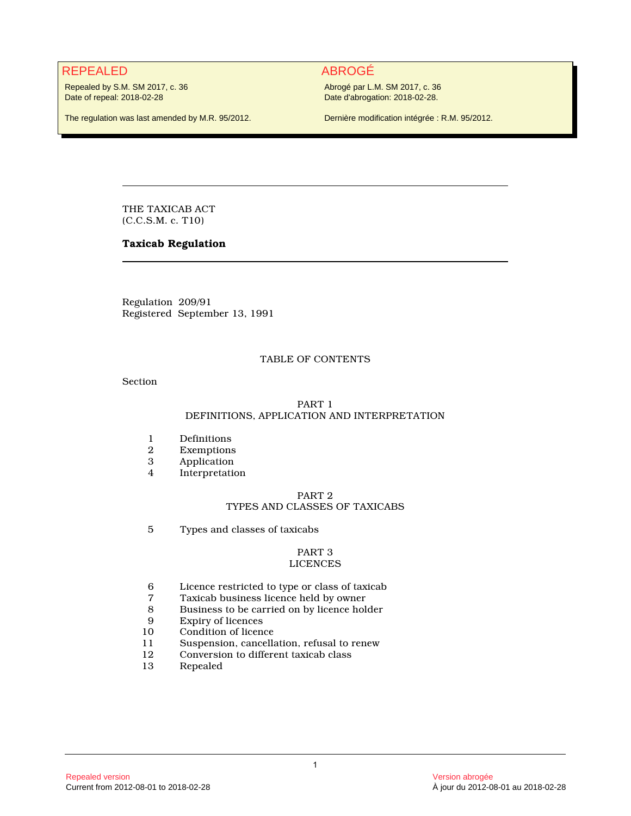# REPEALED ABROGÉ

Repealed by S.M. SM 2017, c. 36 Date of repeal: 2018-02-28

The regulation was last amended by M.R. 95/2012.

Abrogé par L.M. SM 2017, c. 36 Date d'abrogation: 2018-02-28.

Dernière modification intégrée : R.M. 95/2012.

THE TAXICAB ACT (C.C.S.M. c. T10)

# **Taxicab Regulation**

Regulation 209/91 Registered September 13, 1991

# TABLE OF CONTENTS

Section

# PART 1 DEFINITIONS, APPLICATION AND INTERPRETATION

- 1 Definitions<br>2 Exemptions
- 2 Exemptions<br>3 Application
- 3 Application<br>4 Interpretation
- Interpretation

# PART 2 TYPES AND CLASSES OF TAXICABS

5 Types and classes of taxicabs

#### PART 3 LICENCES

- 6 Licence restricted to type or class of taxicab
- 7 Taxicab business licence held by owner
- 8 Business to be carried on by licence holder<br>9 Expiry of licences
- 9 Expiry of licences<br>10 Condition of licen
- 10 Condition of licence<br>11 Suspension, cancella
- Suspension, cancellation, refusal to renew
- 12 Conversion to different taxicab class
- 13 Repealed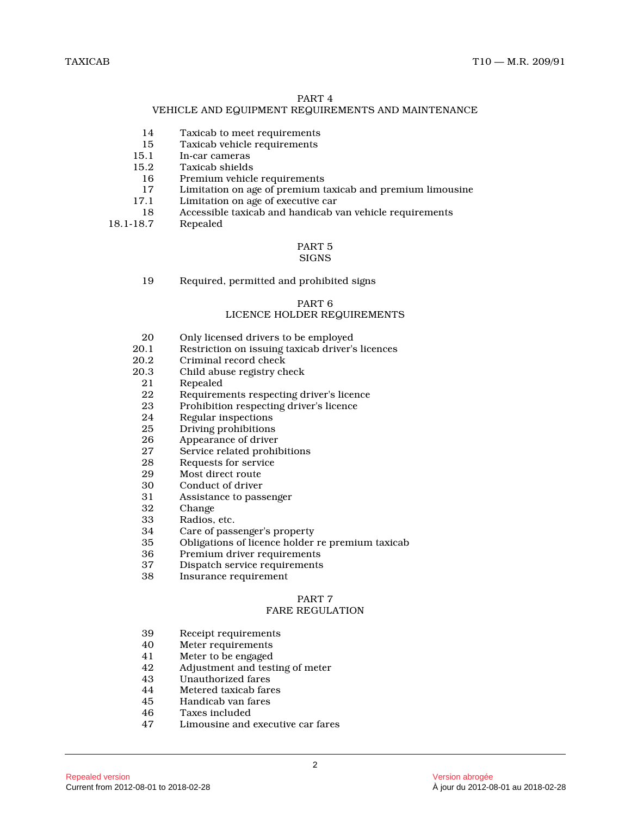# PART 4

# VEHICLE AND EQUIPMENT REQUIREMENTS AND MAINTENANCE

- 14 Taxicab to meet requirements
- 15 Taxicab vehicle requirements<br>15.1 In-car cameras
- 15.1 In-car cameras<br>15.2 Taxicab shields
- 5.2 Taxicab shields<br>16 Premium vehicle
- 16 Premium vehicle requirements<br>17 Limitation on age of premium t
- 17 Limitation on age of premium taxicab and premium limousine<br>17.1 Limitation on age of executive car
- Limitation on age of executive car
- 18 Accessible taxicab and handicab van vehicle requirements

Repealed

#### PART 5 SIGNS

19 Required, permitted and prohibited signs

# PART 6

# LICENCE HOLDER REQUIREMENTS

- 20 Only licensed drivers to be employed<br>20.1 Restriction on issuing taxicab driver's
- 20.1 Restriction on issuing taxicab driver's licence s
- 20.2 Criminal record check<br>20.3 Child abuse registry ch
- Child abuse registry check
- 21 Repealed
- 22 Requirements respecting driver's licence<br>23 Prohibition respecting driver's licence
- 23 Prohibition respecting driver's licence<br>24 Regular inspections
- 24 Regular inspections<br>25 Driving prohibitions
- 25 Driving prohibitions<br>26 Appearance of driver
- 26 Appearance of driver<br>27 Service related prohil
- Service related prohibitions
- 28 Requests for service<br>29 Most direct route
- 29 Most direct route<br>30 Conduct of driver
- 30 Conduct of driver<br>31 Assistance to pass
- Assistance to passenger
- 32 Change
- 33 Radios, etc.
- 34 Care of passenger's property
- 35 Obligations of licence holder re premium taxicab
- 36 Premium driver requirements
- Dispatch service requirements
- 38 Insurance requirement

# PART 7

# FARE REGULATION

- 39 Receipt requirements<br>40 Meter requirements
- Meter requirements
- 41 Meter to be engaged<br>42 Adjustment and test
- 42 Adjustment and testing of meter<br>43 Unauthorized fares
- 43 Unauthorized fares<br>44 Metered taxicab far
- Metered taxicab fares
- 45 Handicab van fares<br>46 Taxes included
- 46 Taxes included<br>47 Limousine and
- Limousine and executive car fares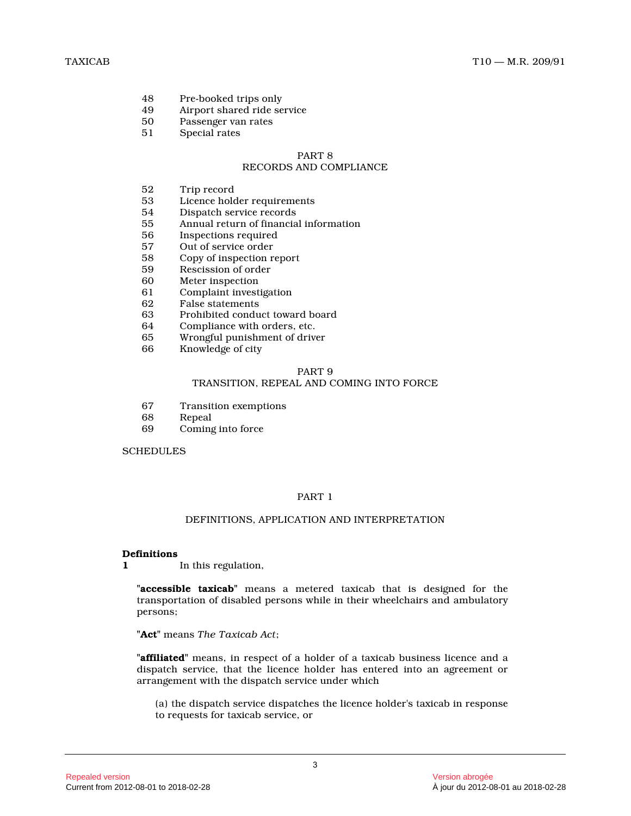- 48 Pre-booked trips only<br>49 Airport shared ride se
- 49 Airport shared ride service<br>50 Passenger van rates
- 50 Passenger van rates
- 51 Special rates

#### PART 8 RECORDS AND COMPLIANCE

- 52 Trip record
- Licence holder requirements
- 54 Dispatch service records<br>55 Annual return of financia
- 55 Annual return of financial information<br>56 Inspections required
- 56 Inspections required<br>57 Out of service order
- Out of service order
- 58 Copy of inspection report
- 59 Rescission of order<br>60 Meter inspection
- Meter inspection
- 61 Complaint investigation<br>62 False statements
- False statements
- 63 Prohibited conduct toward board
- 64 Compliance with orders, etc.
- 65 Wrongful punishment of driver
- 66 Knowledge of city

#### PART 9

# TRANSITION, REPEAL AND COMING INTO FORCE

- 67 Transition exemptions
- 68 Repeal
- 69 Coming into force

#### **SCHEDULES**

# PART 1

#### DEFINITIONS, APPLICATION AND INTERPRETATION

#### **Definitions**

**1** In this regulation,

**"accessible taxicab"** means a metered taxicab that is designed for the transportation of disabled persons while in their wheelchairs and ambulatory persons;

**"Act"** means *The Taxicab Act* ;

**"affiliated"** means, in respect of a holder of a taxicab business licence and a dispatch service, that the licence holder has entered into an agreement or arrangement with the dispatch service under which

(a) the dispatch service dispatches the licence holder's taxicab in response to requests for taxicab service, or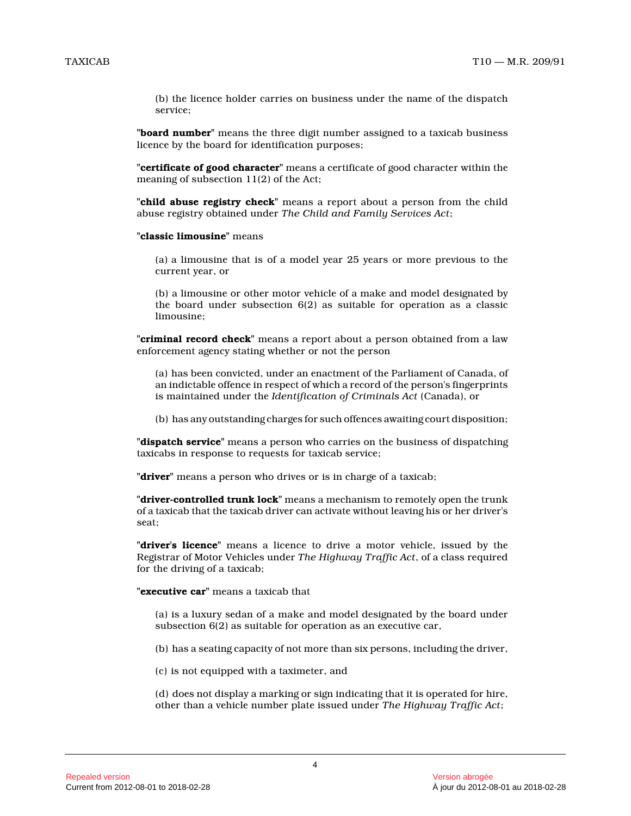(b) the licence holder carries on business under the name of the dispatch service;

**"board number"** means the three digit number assigned to a taxicab business licence by the board for identification purposes;

**"certificate of good character"** means a certificate of good character within the meaning of subsection 11(2) of the Act;

**"child abuse registry check"** means a report about a person from the child abuse registry obtained under *The Child and Family Services Act* ;

#### **"classic limousine"** means

(a) a limousine that is of a model year 25 years or more previous to the current year, or

(b) a limousine or other motor vehicle of a make and model designated by the board under subsection 6(2) as suitable for operation as a classic limousine;

**"criminal record check"** means a report about a person obtained from a law enforcement agency stating whether or not the perso n

(a) has been convicted, under an enactment of the Parliament of Canada, of an indictable offence in respect of which a record of the person's fingerprints is maintained under the *Identification of Criminals Act* (Canada), or

(b) has any outstanding charges for such offences awaiting court disposition;

**"dispatch service"** means a person who carries on the business of dispatching taxicabs in response to requests for taxicab service;

**"driver"** means a person who drives or is in charge of a taxicab;

**"driver-controlled trunk lock"** means a mechanism to remotely open the trunk of a taxicab that the taxicab driver can activate without leaving his or her driver's seat;

**"driver's licence"** means a licence to drive a motor vehicle, issued by the Registrar of Motor Vehicles under *The Highway Traffic Act*, of a class required for the driving of a taxicab;

**"executive car"** means a taxicab that

(a) is a luxury sedan of a make and model designated by the board under subsection 6(2) as suitable for operation as an executive car,

(b) has a seating capacity of not more than six persons, including the driver,

(c) is not equipped with a taximeter, and

(d) does not display a marking or sign indicating that it is operated for hire, other than a vehicle number plate issued under *The Highway Traffic Act* ;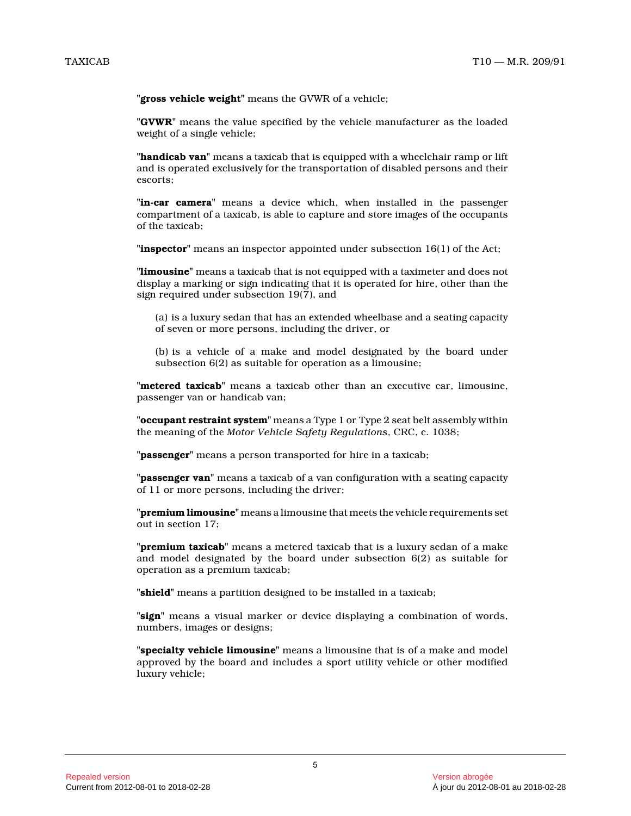**"gross vehicle weight"** means the GVWR of a vehicle;

**"GVWR"** means the value specified by the vehicle manufacturer as the loaded weight of a single vehicle;

**"handicab van"** means a taxicab that is equipped with a wheelchair ramp or lift and is operated exclusively for the transportation of disabled persons and their escorts;

**"in-car camera"** means a device which, when installed in the passenger compartment of a taxicab, is able to capture and store images of the occupants of the taxicab;

**"inspector"** means an inspector appointed under subsection 16(1) of the Act;

**"limousine"** means a taxicab that is not equipped with a taximeter and does not display a marking or sign indicating that it is operated for hire, other than the sign required under subsection 19(7), and

(a) is a luxury sedan that has an extended wheelbase and a seating capacity of seven or more persons, including the driver, or

(b) is a vehicle of a make and model designated by the board under subsection 6(2) as suitable for operation as a limousine;

**"metered taxicab"** means a taxicab other than an executive car, limousine, passenger van or handicab van;

**"occupant restraint system"** means a Type 1 or Type 2 seat belt assembly within the meaning of the *Motor Vehicle Safety Regulations*, CRC, c. 1038;

**"passenger"** means a person transported for hire in a taxicab;

**"passenger van"** means a taxicab of a van configuration with a seating capacity of 11 or more persons, including the driver;

**"premium limousine"** means a limousine that meets the vehicle requirements set out in section 17;

**"premium taxicab"** means a metered taxicab that is a luxury sedan of a make and model designated by the board under subsection 6(2) as suitable for operation as a premium taxicab;

**"shield"** means a partition designed to be installed in a taxicab;

**"sign"** means a visual marker or device displaying a combination of words, numbers, images or designs;

**"specialty vehicle limousine"** means a limousine that is of a make and model approved by the board and includes a sport utility vehicle or other modified luxury vehicle;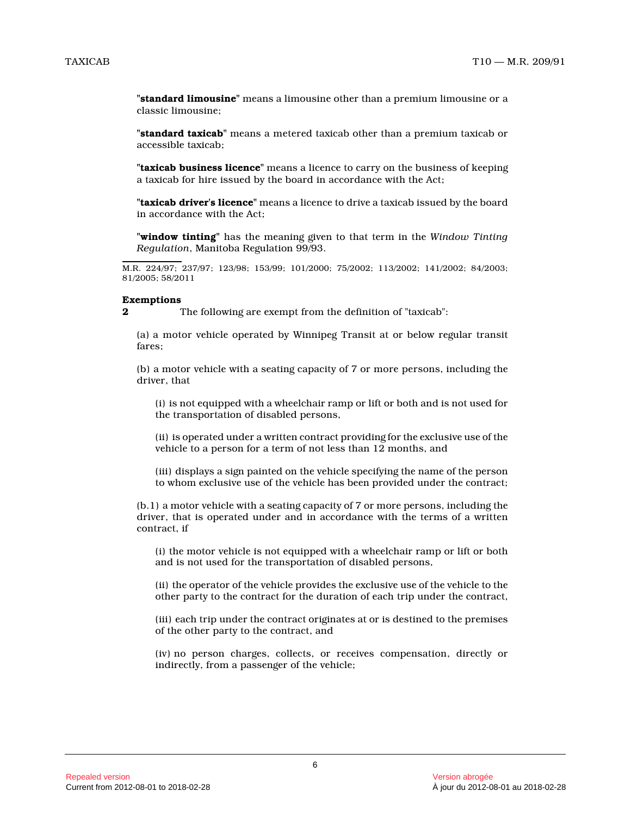**"standard limousine"** means a limousine other than a premium limousine or a classic limousine;

**"standard taxicab"** means a metered taxicab other than a premium taxicab or accessible taxicab;

**"taxicab business licence"** means a licence to carry on the business of keepin g a taxicab for hire issued by the board in accordance with the Act;

**"taxicab driver's licence"** means a licence to drive a taxicab issued by the board in accordance with the Act;

**"window tinting"** has the meaning given to that term in the *Window Tinting Regulation*, Manitoba Regulation 99/93.

M.R. 224/97; 237/97; 123/98; 153/99; 101/2000; 75/2002; 113/2002; 141/2002; 84/2003; 81/2005; 58/2011

#### **Exemptions**

**2** The following are exempt from the definition of "taxicab":

(a) a motor vehicle operated by Winnipeg Transit at or below regular transit fares;

(b) a motor vehicle with a seating capacity of 7 or more persons, including the driver, that

(i) is not equipped with a wheelchair ramp or lift or both and is not used for the transportation of disabled persons,

(ii) is operated under a written contract providing for the exclusive use of the vehicle to a person for a term of not less than 12 months, and

(iii) displays a sign painted on the vehicle specifying the name of the person to whom exclusive use of the vehicle has been provided under the contract;

(b.1) a motor vehicle with a seating capacity of 7 or more persons, including the driver, that is operated under and in accordance with the terms of a written contract, if

(i) the motor vehicle is not equipped with a wheelchair ramp or lift or both and is not used for the transportation of disabled persons,

(ii) the operator of the vehicle provides the exclusive use of the vehicle to the other party to the contract for the duration of each trip under the contract,

(iii) each trip under the contract originates at or is destined to the premises of the other party to the contract, and

(iv) no person charges, collects, or receives compensation, directly or indirectly, from a passenger of the vehicle;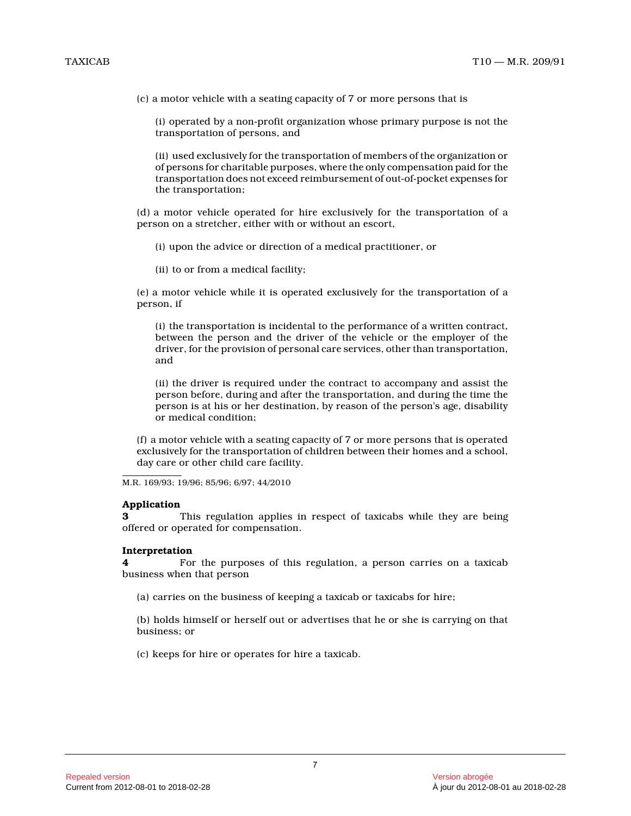(c) a motor vehicle with a seating capacity of 7 or more persons that is

(i) operated by a non-profit organization whose primary purpose is not the transportation of persons, and

(ii) used exclusively for the transportation of members of the organization or of persons for charitable purposes, where the only compensation paid for the transportation does not exceed reimbursement of out-of-pocket expenses for the transportation;

(d) a motor vehicle operated for hire exclusively for the transportation of a person on a stretcher, either with or without an escort,

(i) upon the advice or direction of a medical practitioner, or

(ii) to or from a medical facility;

(e) a motor vehicle while it is operated exclusively for the transportation of a person, if

(i) the transportation is incidental to the performance of a written contract, between the person and the driver of the vehicle or the employer of the driver, for the provision of personal care services, other than transportation, and

(ii) the driver is required under the contract to accompany and assist the person before, during and after the transportation, and during the time the person is at his or her destination, by reason of the person's age, disability or medical condition;

(f) a motor vehicle with a seating capacity of 7 or more persons that is operated exclusively for the transportation of children between their homes and a school, day care or other child care facility.

M.R. 169/93; 19/96; 85/96; 6/97; 44/2010

#### **Application**

**3** This regulation applies in respect of taxicabs while they are being offered or operated for compensation.

#### **Interpretation**

**4** For the purposes of this regulation, a person carries on a taxicab business when that person

(a) carries on the business of keeping a taxicab or taxicabs for hire;

(b) holds himself or herself out or advertises that he or she is carrying on that business; or

(c) keeps for hire or operates for hire a taxicab.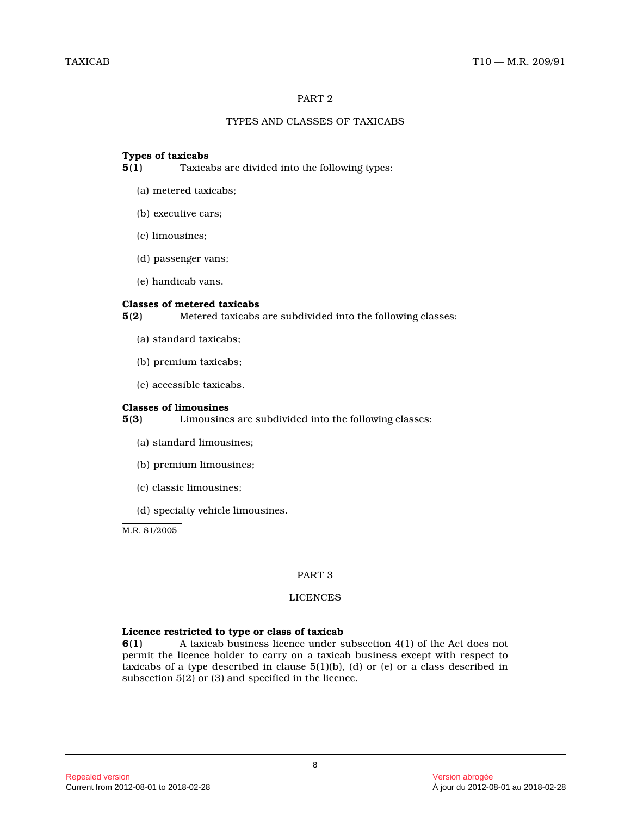# PART 2

# TYPES AND CLASSES OF TAXICABS

# **Types of taxicabs**

**5(1)** Taxicabs are divided into the following types:

- (a) metered taxicabs;
- (b) executive cars;
- (c) limousines;
- (d) passenger vans;
- (e) handicab vans.

# **Classes of metered taxicabs**

**5(2)** Metered taxicabs are subdivided into the following classes:

- (a) standard taxicabs;
- (b) premium taxicabs;
- (c) accessible taxicabs.

# **Classes of limousines**

**5(3)** Limousines are subdivided into the following classes:

- (a) standard limousines;
- (b) premium limousines;
- (c) classic limousines;
- (d) specialty vehicle limousines.

M.R. 81/2005

# PART 3

# LICENCES

# **Licence restricted to type or class of taxicab**

**6(1)** A taxicab business licence under subsection 4(1) of the Act does not permit the licence holder to carry on a taxicab business except with respect to taxicabs of a type described in clause  $5(1)(b)$ , (d) or (e) or a class described in subsection 5(2) or (3) and specified in the licence .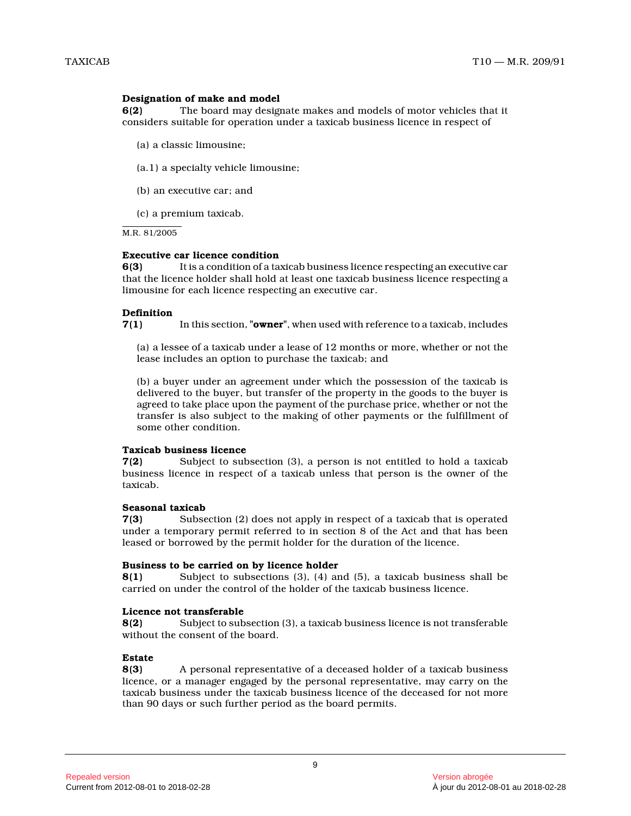# **Designation of make and model**

**6(2)** The board may designate makes and models of motor vehicles that it considers suitable for operation under a taxicab business licence in respect of

- (a) a classic limousine;
- (a.1) a specialty vehicle limousine;
- (b) an executive car; and
- (c) a premium taxicab.

M.R. 81/2005

#### **Executive car licence condition**

**6(3)** It is a condition of a taxicab business licence respecting an executive car that the licence holder shall hold at least one taxicab business licence respecting a limousine for each licence respecting an executive car.

#### **Definition**

**7(1)** In this section, **"owner"**, when used with reference to a taxicab, includes

(a) a lessee of a taxicab under a lease of 12 months or more, whether or not the lease includes an option to purchase the taxicab; and

(b) a buyer under an agreement under which the possession of the taxicab is delivered to the buyer, but transfer of the property in the goods to the buyer is agreed to take place upon the payment of the purchase price, whether or not the transfer is also subject to the making of other payments or the fulfillment of some other condition.

# **Taxicab business licence**

**7(2)** Subject to subsection (3), a person is not entitled to hold a taxicab business licence in respect of a taxicab unless that person is the owner of the taxicab.

#### **Seasonal taxicab**

**7(3)** Subsection (2) does not apply in respect of a taxicab that is operated under a temporary permit referred to in section 8 of the Act and that has been leased or borrowed by the permit holder for the duration of the licence.

#### **Business to be carried on by licence holder**

**8(1)** Subject to subsections (3), (4) and (5), a taxicab business shall be carried on under the control of the holder of the taxicab business licence.

#### **Licence not transferable**

**8(2)** Subject to subsection (3), a taxicab business licence is not transferable without the consent of the board.

#### **Estate**

**8(3)** A personal representative of a deceased holder of a taxicab business licence, or a manager engaged by the personal representative, may carry on the taxicab business under the taxicab business licence of the deceased for not more than 90 days or such further period as the board permits.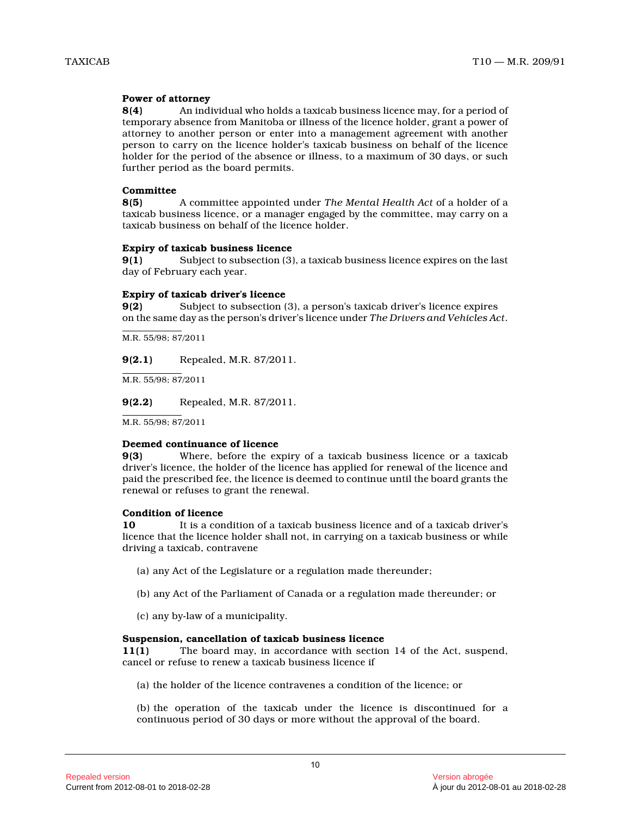# **Power of attorney**

**8(4)** An individual who holds a taxicab business licence may, for a period of temporary absence from Manitoba or illness of the licence holder, grant a power of attorney to another person or enter into a management agreement with another person to carry on the licence holder's taxicab business on behalf of the licence holder for the period of the absence or illness, to a maximum of 30 days, or such further period as the board permits.

#### **Committee**

**8(5)** A committee appointed under *The Mental Health Act* of a holder of a taxicab business licence, or a manager engaged by the committee, may carry on a taxicab business on behalf of the licence holder.

# **Expiry of taxicab business licence**

**9(1)** Subject to subsection (3), a taxicab business licence expires on the last day of February each year.

# **Expiry of taxicab driver's licence**

**9(2)** Subject to subsection (3), a person's taxicab driver's licence expires on the same day as the person's driver's licence under *The Drivers and Vehicles Act* .

M.R. 55/98; 87/2011

**9(2.1)** Repealed, M.R. 87/2011.

M.R. 55/98; 87/2011

**9(2.2)** Repealed, M.R. 87/2011.

M.R. 55/98; 87/2011

#### **Deemed continuance of licence**

**9(3)** Where, before the expiry of a taxicab business licence or a taxicab driver's licence, the holder of the licence has applied for renewal of the licence and paid the prescribed fee, the licence is deemed to continue until the board grants the renewal or refuses to grant the renewal.

#### **Condition of licence**

**10** It is a condition of a taxicab business licence and of a taxicab driver's licence that the licence holder shall not, in carrying on a taxicab business or while driving a taxicab, contravene

- (a) any Act of the Legislature or a regulation made thereunder;
- (b) any Act of the Parliament of Canada or a regulation made thereunder; or
- (c) any by-law of a municipality.

#### **Suspension, cancellation of taxicab business licenc e**

**11(1)** The board may, in accordance with section 14 of the Act, suspend, cancel or refuse to renew a taxicab business licence if

(a) the holder of the licence contravenes a condition of the licence; or

(b) the operation of the taxicab under the licence is discontinued for a continuous period of 30 days or more without the approval of the board.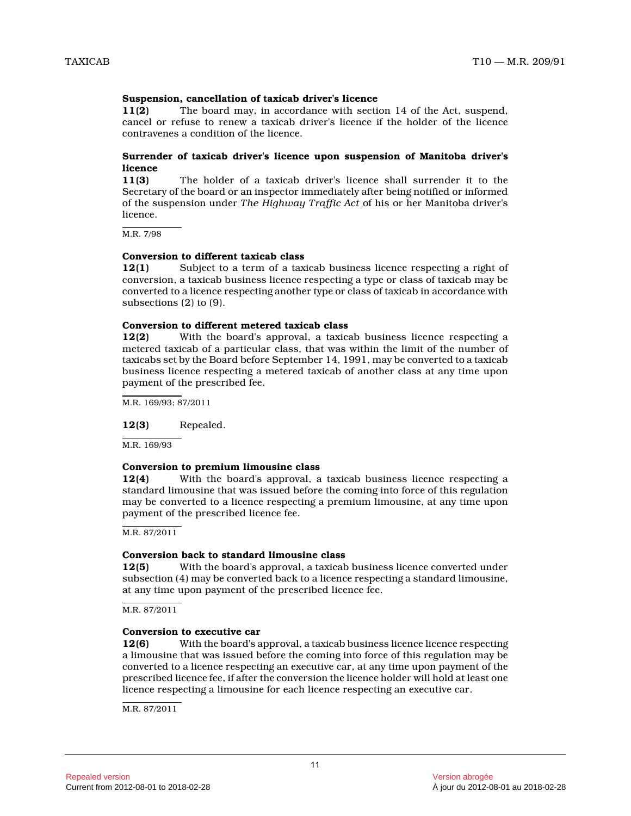# **Suspension, cancellation of taxicab driver's licenc e**

**11(2)** The board may, in accordance with section 14 of the Act, suspend, cancel or refuse to renew a taxicab driver's licence if the holder of the licence contravenes a condition of the licence.

### **Surrender of taxicab driver's licence upon suspension of Manitoba driver's licence**

**11(3)** The holder of a taxicab driver's licence shall surrender it to the Secretary of the board or an inspector immediately after being notified or informed of the suspension under *The Highway Traffic Act* of his or her Manitoba driver's licence.

M.R. 7/98

#### **Conversion to different taxicab class**

**12(1)** Subject to a term of a taxicab business licence respecting a right of conversion, a taxicab business licence respecting a type or class of taxicab may be converted to a licence respecting another type or class of taxicab in accordance with subsections (2) to (9).

# **Conversion to different metered taxicab class**

**12(2)** With the board's approval, a taxicab business licence respecting a metered taxicab of a particular class, that was within the limit of the number of taxicabs set by the Board before September 14, 1991, may be converted to a taxicab business licence respecting a metered taxicab of another class at any time upon payment of the prescribed fee.

M.R. 169/93; 87/2011

**12(3)** Repealed.

M.R. 169/93

# **Conversion to premium limousine class**

**12(4)** With the board's approval, a taxicab business licence respecting a standard limousine that was issued before the coming into force of this regulation may be converted to a licence respecting a premium limousine, at any time upon payment of the prescribed licence fee.

M.R. 87/2011

#### **Conversion back to standard limousine class**

**12(5)** With the board's approval, a taxicab business licence converted under subsection (4) may be converted back to a licence respecting a standard limousine, at any time upon payment of the prescribed licence fee.

 $M.R. 87/2011$ 

#### **Conversion to executive car**

**12(6)** With the board's approval, a taxicab business licence licence respecting a limousine that was issued before the coming into force of this regulation may be converted to a licence respecting an executive car, at any time upon payment of the prescribed licence fee, if after the conversion the licence holder will hold at least one licence respecting a limousine for each licence respecting an executive car.

M.R. 87/2011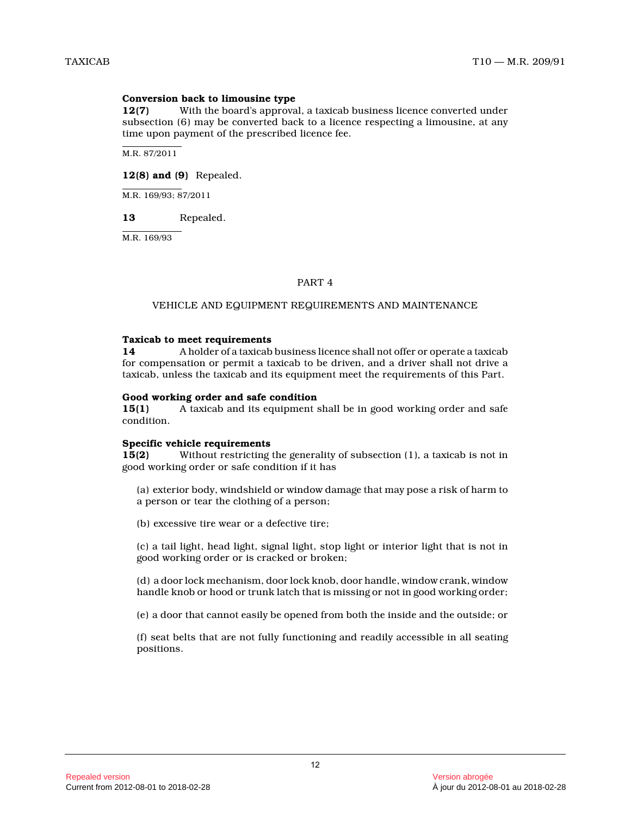# **Conversion back to limousine type**

**12(7)** With the board's approval, a taxicab business licence converted under subsection (6) may be converted back to a licence respecting a limousine, at any time upon payment of the prescribed licence fee.

M.R. 87/2011

# **12(8) and (9)** Repealed.

M.R. 169/93; 87/2011

# **13** Repealed.

M.R. 169/93

# PART 4

# VEHICLE AND EQUIPMENT REQUIREMENTS AND MAINTENANCE

#### **Taxicab to meet requirements**

**14** A holder of a taxicab business licence shall not offer or operate a taxicab for compensation or permit a taxicab to be driven, and a driver shall not drive a taxicab, unless the taxicab and its equipment meet the requirements of this Part.

#### **Good working order and safe condition**

**15(1)** A taxicab and its equipment shall be in good working order and safe condition.

#### **Specific vehicle requirements**

**15(2)** Without restricting the generality of subsection (1), a taxicab is not in good working order or safe condition if it has

(a) exterior body, windshield or window damage that may pose a risk of harm to a person or tear the clothing of a person;

(b) excessive tire wear or a defective tire;

(c) a tail light, head light, signal light, stop light or interior light that is not in good working order or is cracked or broken;

(d) a door lock mechanism, door lock knob, door handle, window crank, window handle knob or hood or trunk latch that is missing or not in good working order;

(e) a door that cannot easily be opened from both the inside and the outside; or

(f) seat belts that are not fully functioning and readily accessible in all seating positions.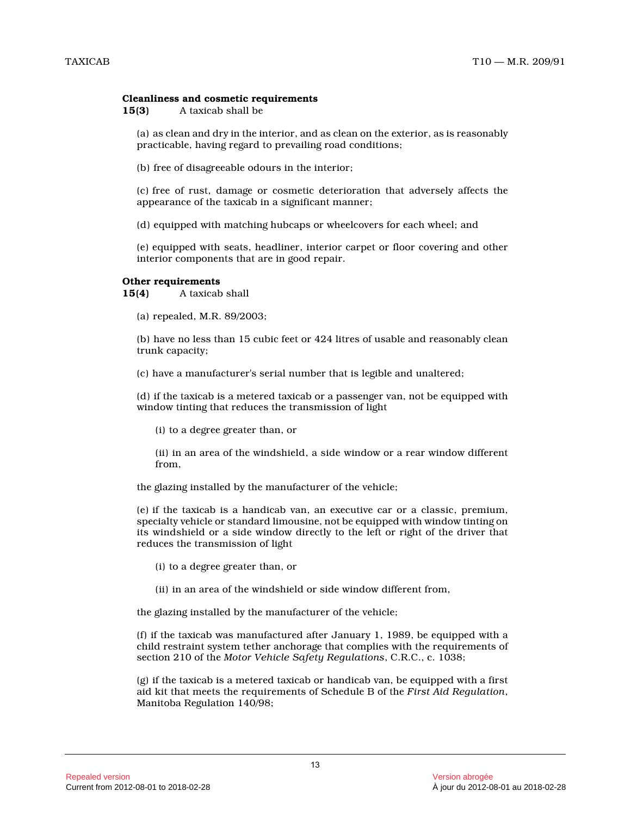#### **Cleanliness and cosmetic requirements**

**15(3)** A taxicab shall be

(a) as clean and dry in the interior, and as clean on the exterior, as is reasonably practicable, having regard to prevailing road conditions;

(b) free of disagreeable odours in the interior;

(c) free of rust, damage or cosmetic deterioration that adversely affects the appearance of the taxicab in a significant manner;

(d) equipped with matching hubcaps or wheelcovers for each wheel; and

(e) equipped with seats, headliner, interior carpet or floor covering and other interior components that are in good repair.

#### **Other requirements**

**15(4)** A taxicab shall

(a) repealed, M.R. 89/2003;

(b) have no less than 15 cubic feet or 424 litres of usable and reasonably clean trunk capacity;

(c) have a manufacturer's serial number that is legible and unaltered;

(d) if the taxicab is a metered taxicab or a passenger van, not be equipped with window tinting that reduces the transmission of light

(i) to a degree greater than, or

(ii) in an area of the windshield, a side window or a rear window different from,

the glazing installed by the manufacturer of the vehicle;

(e) if the taxicab is a handicab van, an executive car or a classic, premium, specialty vehicle or standard limousine, not be equipped with window tinting on its windshield or a side window directly to the left or right of the driver that reduces the transmission of light

- (i) to a degree greater than, or
- (ii) in an area of the windshield or side window different from,

the glazing installed by the manufacturer of the vehicle;

(f) if the taxicab was manufactured after January 1, 1989, be equipped with a child restraint system tether anchorage that complies with the requirements of section 210 of the *Motor Vehicle Safety Regulations*, C.R.C., c. 1038;

(g) if the taxicab is a metered taxicab or handicab van, be equipped with a first aid kit that meets the requirements of Schedule B of the *First Aid Regulation* , Manitoba Regulation 140/98;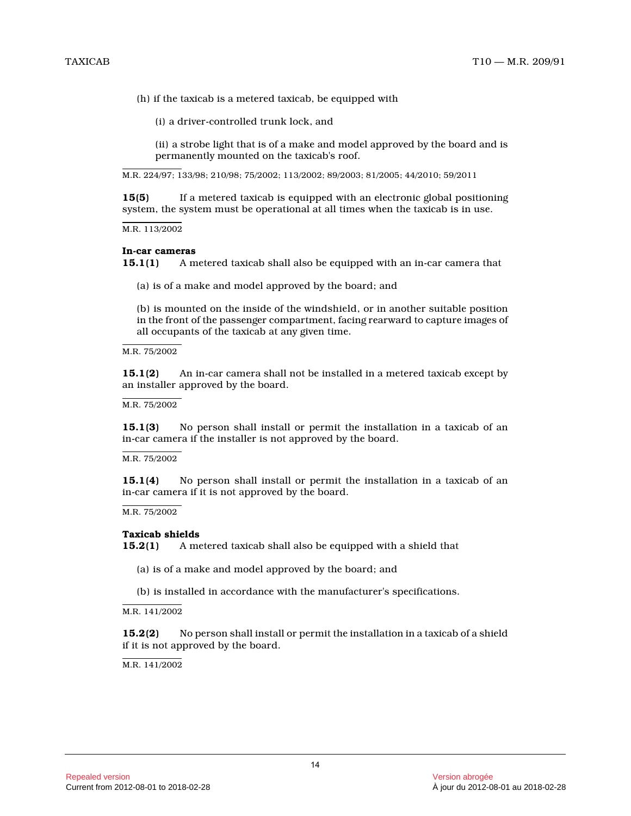(h) if the taxicab is a metered taxicab, be equipped with

(i) a driver-controlled trunk lock, and

(ii) a strobe light that is of a make and model approved by the board and is permanently mounted on the taxicab's roof.

M.R. 224/97; 133/98; 210/98; 75/2002; 113/2002; 89/2003; 81/2005; 44/2010; 59/2011

**15(5)** If a metered taxicab is equipped with an electronic global positioning system, the system must be operational at all times when the taxicab is in use.

M.R. 113/2002

### **In-car cameras**

**15.1(1)** A metered taxicab shall also be equipped with an in-car camera that

(a) is of a make and model approved by the board; an d

(b) is mounted on the inside of the windshield, or in another suitable position in the front of the passenger compartment, facing rearward to capture images of all occupants of the taxicab at any given time.

M.R. 75/2002

**15.1(2)** An in-car camera shall not be installed in a metered taxicab except by an installer approved by the board.

M.R. 75/2002

**15.1(3)** No person shall install or permit the installation in a taxicab of an in-car camera if the installer is not approved by the board.

M.R. 75/2002

**15.1(4)** No person shall install or permit the installation in a taxicab of an in-car camera if it is not approved by the board.

M.R. 75/2002

#### **Taxicab shields**

**15.2(1)** A metered taxicab shall also be equipped with a shield that

(a) is of a make and model approved by the board; an d

(b) is installed in accordance with the manufacturer's specifications.

M.R. 141/2002

**15.2(2)** No person shall install or permit the installation in a taxicab of a shield if it is not approved by the board.

 $M.R. 141/2002$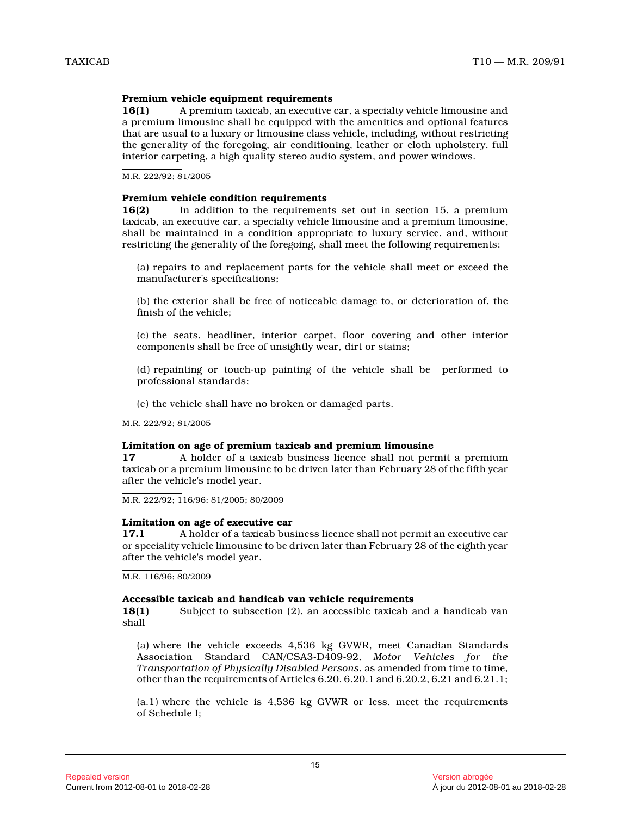# **Premium vehicle equipment requirements**

**16(1)** A premium taxicab, an executive car, a specialty vehicle limousine and a premium limousine shall be equipped with the amenities and optional features that are usual to a luxury or limousine class vehicle, including, without restricting the generality of the foregoing, air conditioning, leather or cloth upholstery, full interior carpeting, a high quality stereo audio system, and power windows.

M.R. 222/92; 81/2005

#### **Premium vehicle condition requirements**

**16(2)** In addition to the requirements set out in section 15, a premium taxicab, an executive car, a specialty vehicle limousine and a premium limousine, shall be maintained in a condition appropriate to luxury service, and, without restricting the generality of the foregoing, shall meet the following requirements:

(a) repairs to and replacement parts for the vehicle shall meet or exceed the manufacturer's specifications;

(b) the exterior shall be free of noticeable damage to, or deterioration of, the finish of the vehicle;

(c) the seats, headliner, interior carpet, floor covering and other interior components shall be free of unsightly wear, dirt or stains;

(d) repainting or touch-up painting of the vehicle shall be performed to professional standards;

(e) the vehicle shall have no broken or damaged parts.

M.R. 222/92; 81/2005

#### **Limitation on age of premium taxicab and premium limousine**

**17** A holder of a taxicab business licence shall not permit a premium taxicab or a premium limousine to be driven later than February 28 of the fifth year after the vehicle's model year.

M.R. 222/92; 116/96; 81/2005; 80/2009

#### **Limitation on age of executive car**

**17.1** A holder of a taxicab business licence shall not permit an executive car or speciality vehicle limousine to be driven later than February 28 of the eighth year after the vehicle's model year.

M.R. 116/96; 80/2009

#### **Accessible taxicab and handicab van vehicle requirements**

**18(1)** Subject to subsection (2), an accessible taxicab and a handicab van shall

(a) where the vehicle exceeds 4,536 kg GVWR, meet Canadian Standards Association Standard CAN/CSA3-D409-92, *Motor Vehicles for the Transportation of Physically Disabled Persons*, as amended from time to time, other than the requirements of Articles 6.20, 6.20.1 and 6.20.2, 6.21 and 6.21.1;

(a.1) where the vehicle is 4,536 kg GVWR or less, meet the requirements of Schedule I;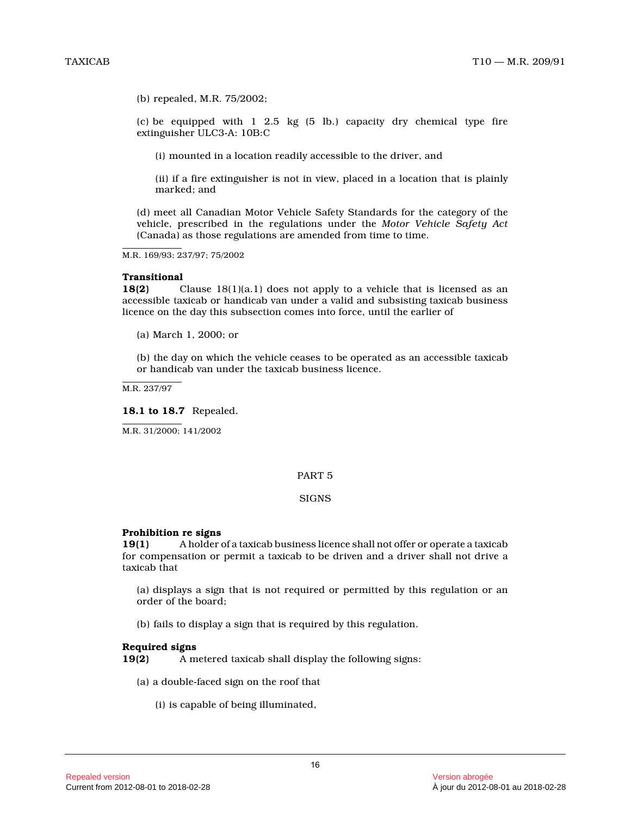(b) repealed, M.R. 75/2002;

(c) be equipped with  $1 \ 2.5 \ \text{kg}$  (5 lb.) capacity dry chemical type fire extinguisher ULC3-A: 10B:C

(i) mounted in a location readily accessible to the driver, and

(ii) if a fire extinguisher is not in view, placed in a location that is plainly marked; and

(d) meet all Canadian Motor Vehicle Safety Standards for the category of the vehicle, prescribed in the regulations under the *Motor Vehicle Safety Act* (Canada) as those regulations are amended from time to time.

M.R. 169/93; 237/97; 75/2002

#### **Transitional**

**18(2)** Clause 18(1)(a.1) does not apply to a vehicle that is licensed as an accessible taxicab or handicab van under a valid and subsisting taxicab business licence on the day this subsection comes into force, until the earlier of

(a) March 1, 2000; or

(b) the day on which the vehicle ceases to be operated as an accessible taxicab or handicab van under the taxicab business licence.

M.R. 237/97

#### **18.1 to 18.7** Repealed.

M.R. 31/2000; 141/2002

#### PART 5

#### **SIGNS**

#### **Prohibition re signs**

**19(1)** A holder of a taxicab business licence shall not offer or operate a taxicab for compensation or permit a taxicab to be driven and a driver shall not drive a taxicab that

(a) displays a sign that is not required or permitted by this regulation or an order of the board;

(b) fails to display a sign that is required by this regulation.

#### **Required signs**

**19(2)** A metered taxicab shall display the following signs :

(a) a double-faced sign on the roof that

(i) is capable of being illuminated,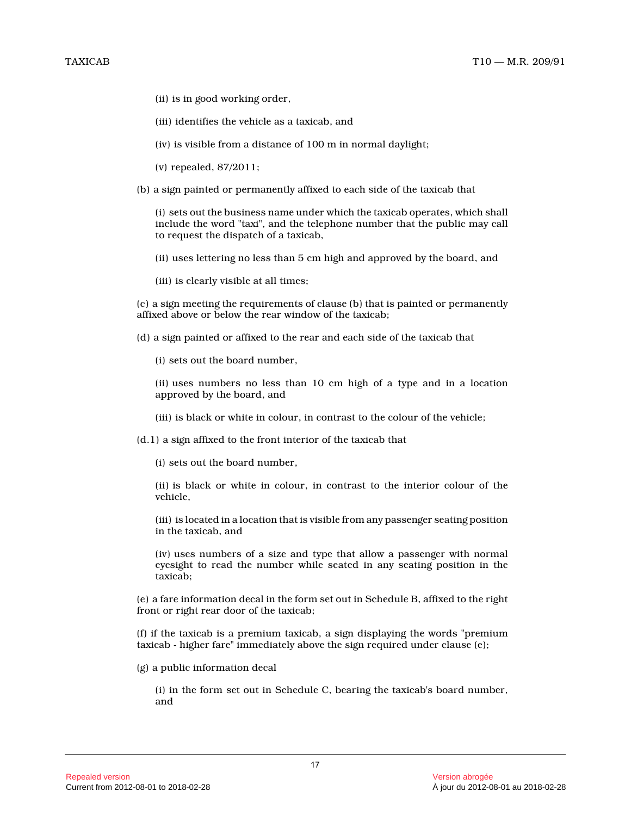- (ii) is in good working order,
- (iii) identifies the vehicle as a taxicab, and
- (iv) is visible from a distance of 100 m in normal daylight;
- (v) repealed, 87/2011;
- (b) a sign painted or permanently affixed to each side of the taxicab that

(i) sets out the business name under which the taxicab operates, which shall include the word "taxi", and the telephone number that the public may call to request the dispatch of a taxicab,

- (ii) uses lettering no less than 5 cm high and approved by the board, and
- (iii) is clearly visible at all times;

(c) a sign meeting the requirements of clause (b) that is painted or permanently affixed above or below the rear window of the taxicab;

- (d) a sign painted or affixed to the rear and each side of the taxicab that
	- (i) sets out the board number,

(ii) uses numbers no less than 10 cm high of a type and in a location approved by the board, and

- (iii) is black or white in colour, in contrast to the colour of the vehicle;
- (d.1) a sign affixed to the front interior of the taxicab that
	- (i) sets out the board number,
	- (ii) is black or white in colour, in contrast to the interior colour of the vehicle,
	- (iii) is located in a location that is visible from any passenger seating position in the taxicab, and

(iv) uses numbers of a size and type that allow a passenger with normal eyesight to read the number while seated in any seating position in the taxicab;

(e) a fare information decal in the form set out in Schedule B, affixed to the right front or right rear door of the taxicab;

(f) if the taxicab is a premium taxicab, a sign displaying the words "premium taxicab - higher fare" immediately above the sign required under clause (e);

(g) a public information decal

(i) in the form set out in Schedule C, bearing the taxicab's board number, and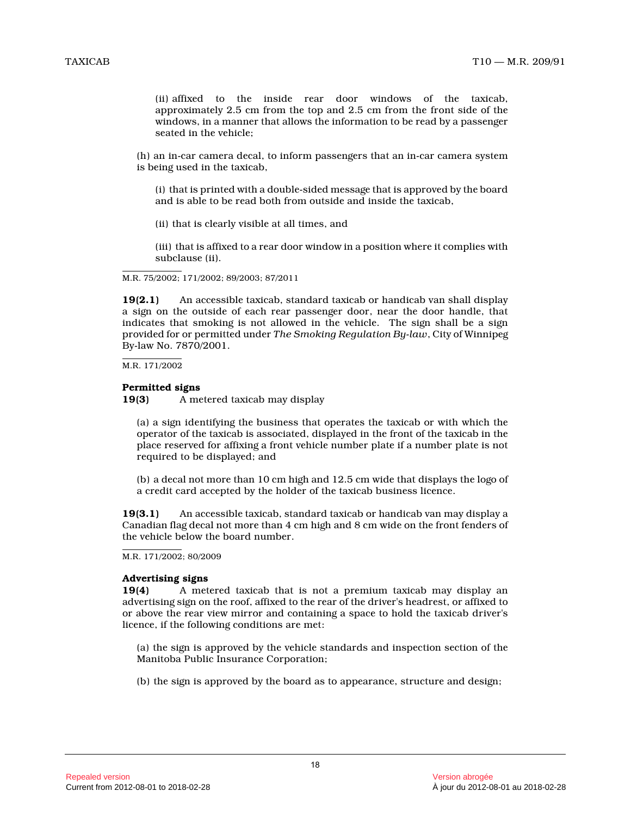(ii) affixed to the inside rear door windows of the taxicab, approximately 2.5 cm from the top and 2.5 cm from the front side of the windows, in a manner that allows the information to be read by a passenger seated in the vehicle;

(h) an in-car camera decal, to inform passengers that an in-car camera system is being used in the taxicab,

(i) that is printed with a double-sided message that is approved by the board and is able to be read both from outside and inside the taxicab,

(ii) that is clearly visible at all times, and

(iii) that is affixed to a rear door window in a position where it complies with subclause (ii).

M.R. 75/2002; 171/2002; 89/2003; 87/2011

**19(2.1)** An accessible taxicab, standard taxicab or handicab van shall display a sign on the outside of each rear passenger door, near the door handle, that indicates that smoking is not allowed in the vehicle. The sign shall be a sign provided for or permitted under *The Smoking Regulation By-law*, City of Winnipeg By-law No. 7870/2001.

M.R. 171/2002

# **Permitted signs**

**19(3)** A metered taxicab may display

(a) a sign identifying the business that operates the taxicab or with which the operator of the taxicab is associated, displayed in the front of the taxicab in the place reserved for affixing a front vehicle number plate if a number plate is not required to be displayed; and

(b) a decal not more than 10 cm high and 12.5 cm wide that displays the logo of a credit card accepted by the holder of the taxicab business licence.

**19(3.1)** An accessible taxicab, standard taxicab or handicab van may display a Canadian flag decal not more than 4 cm high and 8 cm wide on the front fenders of the vehicle below the board number.

# **Advertising signs**

**19(4)** A metered taxicab that is not a premium taxicab may display an advertising sign on the roof, affixed to the rear of the driver's headrest, or affixed to or above the rear view mirror and containing a space to hold the taxicab driver's licence, if the following conditions are met:

(a) the sign is approved by the vehicle standards and inspection section of the Manitoba Public Insurance Corporation;

(b) the sign is approved by the board as to appearance, structure and design;

M.R. 171/2002; 80/2009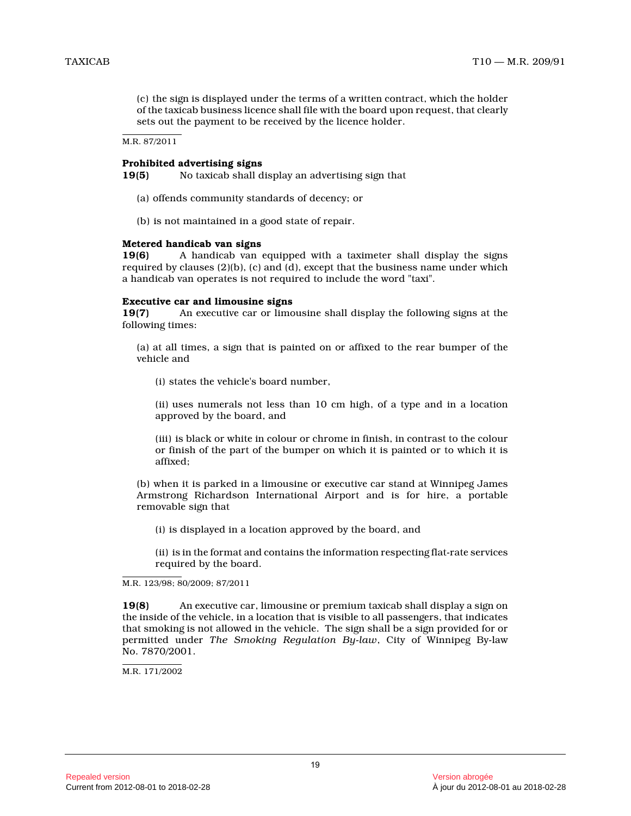(c) the sign is displayed under the terms of a written contract, which the holder of the taxicab business licence shall file with the board upon request, that clearly sets out the payment to be received by the licence holder.

M.R. 87/2011

# **Prohibited advertising signs**

**19(5)** No taxicab shall display an advertising sign that

- (a) offends community standards of decency; or
- (b) is not maintained in a good state of repair.

# **Metered handicab van signs**

**19(6)** A handicab van equipped with a taximeter shall display the signs required by clauses (2)(b), (c) and (d), except that the business name under which a handicab van operates is not required to include the word "taxi".

# **Executive car and limousine signs**

**19(7)** An executive car or limousine shall display the following signs at the following times:

(a) at all times, a sign that is painted on or affixed to the rear bumper of the vehicle and

(i) states the vehicle's board number,

(ii) uses numerals not less than 10 cm high, of a type and in a location approved by the board, and

(iii) is black or white in colour or chrome in finish, in contrast to the colour or finish of the part of the bumper on which it is painted or to which it is affixed;

(b) when it is parked in a limousine or executive car stand at Winnipeg James Armstrong Richardson International Airport and is for hire, a portable removable sign that

(i) is displayed in a location approved by the board, and

(ii) is in the format and contains the information respecting flat-rate services required by the board.

**19(8)** An executive car, limousine or premium taxicab shall display a sign on the inside of the vehicle, in a location that is visible to all passengers, that indicates that smoking is not allowed in the vehicle. The sign shall be a sign provided for or permitted under *The Smoking Regulation By-law*, City of Winnipeg By-law No. 7870/2001.

M.R. 171/2002

M.R. 123/98; 80/2009; 87/2011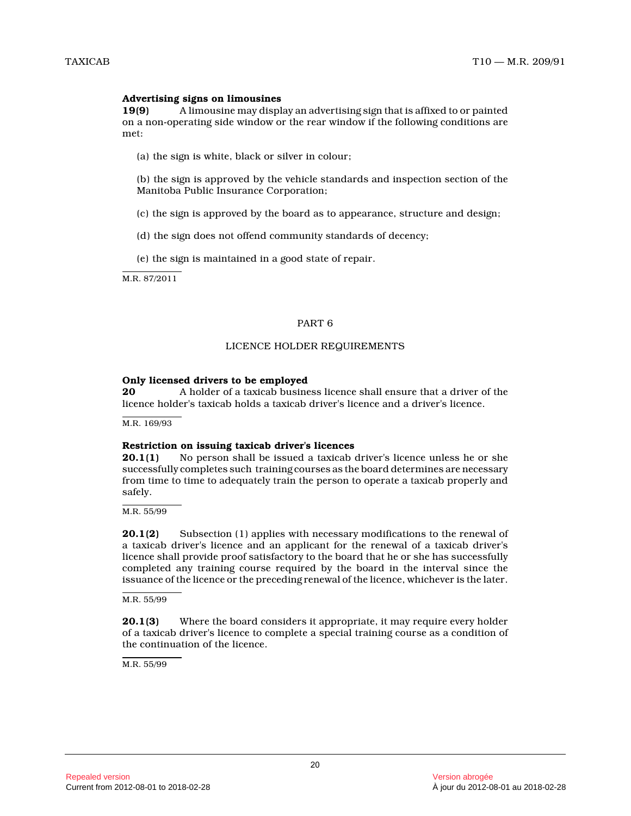# **Advertising signs on limousines**

**19(9)** A limousine may display an advertising sign that is affixed to or painted on a non-operating side window or the rear window if the following conditions are met:

(a) the sign is white, black or silver in colour;

(b) the sign is approved by the vehicle standards and inspection section of the Manitoba Public Insurance Corporation;

- (c) the sign is approved by the board as to appearance, structure and design;
- (d) the sign does not offend community standards of decency;

(e) the sign is maintained in a good state of repair .

M.R. 87/2011

## PART 6

# LICENCE HOLDER REQUIREMENTS

# **Only licensed drivers to be employed**

**20** A holder of a taxicab business licence shall ensure that a driver of the licence holder's taxicab holds a taxicab driver's licence and a driver's licence.

M.R. 169/93

#### **Restriction on issuing taxicab driver's licences**

**20.1(1)** No person shall be issued a taxicab driver's licence unless he or she successfully completes such training courses as the board determines are necessary from time to time to adequately train the person to operate a taxicab properly and safely.

M.R. 55/99

**20.1(2)** Subsection (1) applies with necessary modifications to the renewal of a taxicab driver's licence and an applicant for the renewal of a taxicab driver's licence shall provide proof satisfactory to the board that he or she has successfully completed any training course required by the board in the interval since the issuance of the licence or the preceding renewal of the licence, whichever is the later.

M.R. 55/99

**20.1(3)** Where the board considers it appropriate, it may require every holder of a taxicab driver's licence to complete a special training course as a condition of the continuation of the licence.

M.R. 55/99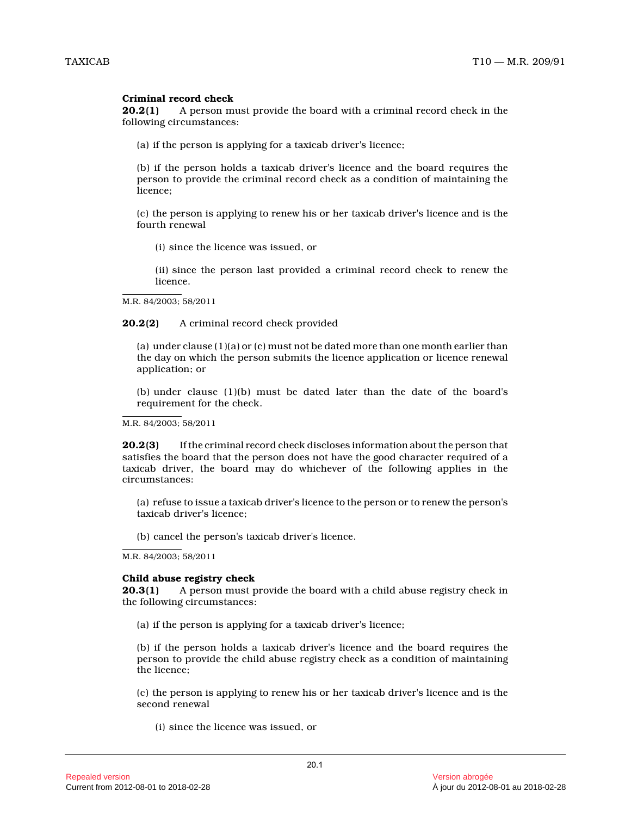# **Criminal record check**

**20.2(1)** A person must provide the board with a criminal record check in the following circumstances:

(a) if the person is applying for a taxicab driver's licence;

(b) if the person holds a taxicab driver's licence and the board requires the person to provide the criminal record check as a condition of maintaining the licence;

(c) the person is applying to renew his or her taxicab driver's licence and is the fourth renewal

(i) since the licence was issued, or

(ii) since the person last provided a criminal record check to renew the licence.

M.R. 84/2003; 58/2011

**20.2(2)** A criminal record check provided

(a) under clause (1)(a) or (c) must not be dated more than one month earlier than the day on which the person submits the licence application or licence renewal application; or

(b) under clause (1)(b) must be dated later than the date of the board's requirement for the check.

M.R. 84/2003; 58/2011

**20.2(3)** If the criminal record check discloses information about the person that satisfies the board that the person does not have the good character required of a taxicab driver, the board may do whichever of the following applies in the circumstances:

(a) refuse to issue a taxicab driver's licence to the person or to renew the person's taxicab driver's licence;

(b) cancel the person's taxicab driver's licence.

M.R. 84/2003; 58/2011

#### **Child abuse registry check**

**20.3(1)** A person must provide the board with a child abuse registry check in the following circumstances:

(a) if the person is applying for a taxicab driver's licence;

(b) if the person holds a taxicab driver's licence and the board requires the person to provide the child abuse registry check as a condition of maintaining the licence;

(c) the person is applying to renew his or her taxicab driver's licence and is the second renewal

(i) since the licence was issued, or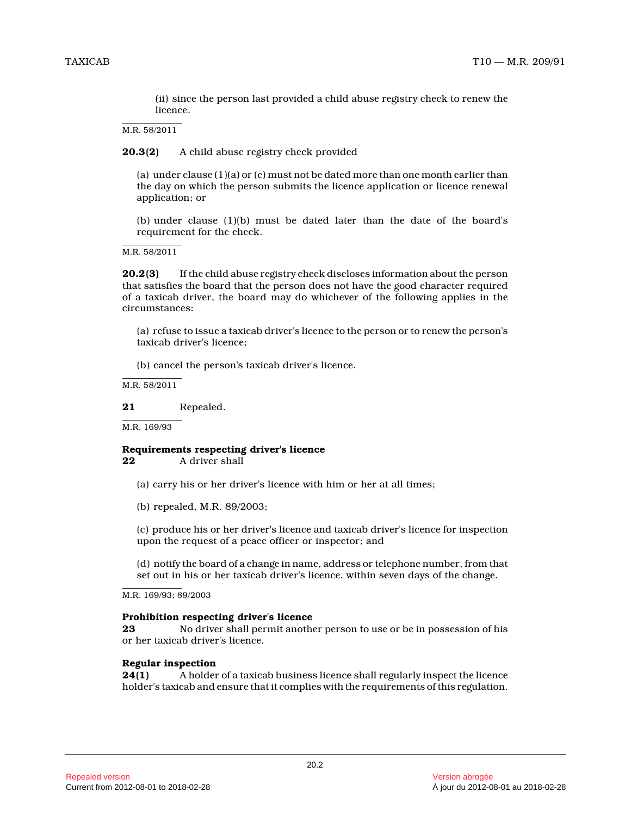(ii) since the person last provided a child abuse registry check to renew the licence.

M.R. 58/2011

**20.3(2)** A child abuse registry check provided

(a) under clause (1)(a) or (c) must not be dated more than one month earlier than the day on which the person submits the licence application or licence renewal application; or

(b) under clause (1)(b) must be dated later than the date of the board's requirement for the check.

M.R. 58/2011

**20.2(3)** If the child abuse registry check discloses information about the person that satisfies the board that the person does not have the good character required of a taxicab driver, the board may do whichever of the following applies in the circumstances:

(a) refuse to issue a taxicab driver's licence to the person or to renew the person's taxicab driver's licence;

(b) cancel the person's taxicab driver's licence.

M.R. 58/2011

#### **21** Repealed.

M.R. 169/93

#### **Requirements respecting driver's licence**<br>22 A driver shall **22** A driver shall

- (a) carry his or her driver's licence with him or her at all times;
- (b) repealed, M.R. 89/2003;

(c) produce his or her driver's licence and taxicab driver's licence for inspection upon the request of a peace officer or inspector; and

(d) notify the board of a change in name, address or telephone number, from that set out in his or her taxicab driver's licence, within seven days of the change.

M.R. 169/93; 89/2003

#### **Prohibition respecting driver's licence**

**23** No driver shall permit another person to use or be in possession of his or her taxicab driver's licence.

#### **Regular inspection**

**24(1)** A holder of a taxicab business licence shall regularly inspect the licence holder's taxicab and ensure that it complies with the requirements of this regulation.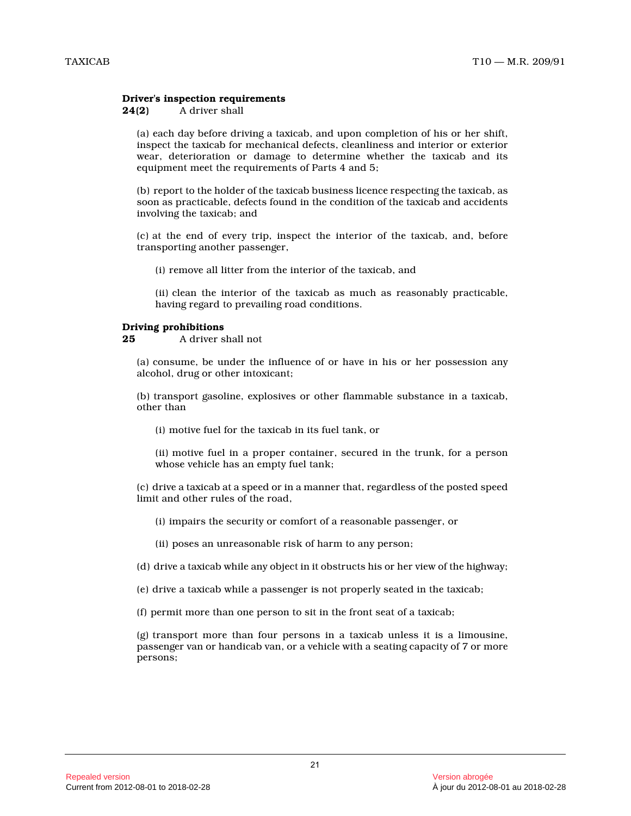# **Driver's inspection requirements**

#### **24(2)** A driver shall

(a) each day before driving a taxicab, and upon completion of his or her shift, inspect the taxicab for mechanical defects, cleanliness and interior or exterior wear, deterioration or damage to determine whether the taxicab and its equipment meet the requirements of Parts 4 and 5;

(b) report to the holder of the taxicab business licence respecting the taxicab, as soon as practicable, defects found in the condition of the taxicab and accidents involving the taxicab; and

(c) at the end of every trip, inspect the interior of the taxicab, and, before transporting another passenger,

(i) remove all litter from the interior of the taxicab, and

(ii) clean the interior of the taxicab as much as reasonably practicable, having regard to prevailing road conditions.

#### **Driving prohibitions**

**25** A driver shall not

(a) consume, be under the influence of or have in his or her possession any alcohol, drug or other intoxicant;

(b) transport gasoline, explosives or other flammable substance in a taxicab, other than

(i) motive fuel for the taxicab in its fuel tank, or

(ii) motive fuel in a proper container, secured in the trunk, for a person whose vehicle has an empty fuel tank;

(c) drive a taxicab at a speed or in a manner that, regardless of the posted speed limit and other rules of the road,

(i) impairs the security or comfort of a reasonable passenger, or

(ii) poses an unreasonable risk of harm to any person;

(d) drive a taxicab while any object in it obstructs his or her view of the highway;

(e) drive a taxicab while a passenger is not properly seated in the taxicab;

(f) permit more than one person to sit in the front seat of a taxicab;

(g) transport more than four persons in a taxicab unless it is a limousine, passenger van or handicab van, or a vehicle with a seating capacity of 7 or more persons;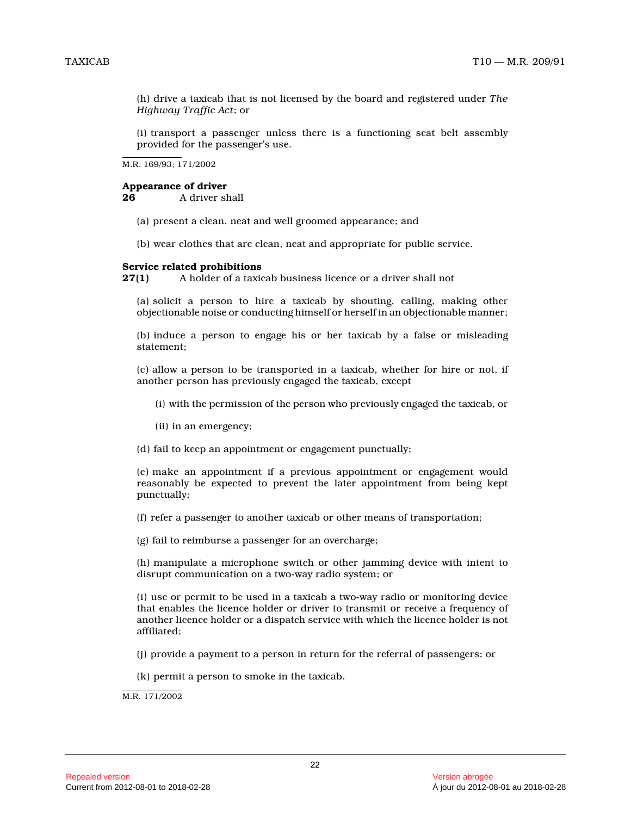(h) drive a taxicab that is not licensed by the board and registered under *The Highway Traffic Act*; or

(i) transport a passenger unless there is a functioning seat belt assembly provided for the passenger's use.

M.R. 169/93; 171/2002

# **Appearance of driver**<br>26 A driver sl

**26** A driver shall

- (a) present a clean, neat and well groomed appearance; and
- (b) wear clothes that are clean, neat and appropriate for public service.

#### **Service related prohibitions**

**27(1)** A holder of a taxicab business licence or a driver shall not

(a) solicit a person to hire a taxicab by shouting, calling, making other objectionable noise or conducting himself or herself in an objectionable manner;

(b) induce a person to engage his or her taxicab by a false or misleading statement;

(c) allow a person to be transported in a taxicab, whether for hire or not, if another person has previously engaged the taxicab, except

(i) with the permission of the person who previously engaged the taxicab, or

(ii) in an emergency;

(d) fail to keep an appointment or engagement punctually;

(e) make an appointment if a previous appointment or engagement would reasonably be expected to prevent the later appointment from being kept punctually;

(f) refer a passenger to another taxicab or other means of transportation;

(g) fail to reimburse a passenger for an overcharge;

(h) manipulate a microphone switch or other jamming device with intent to disrupt communication on a two-way radio system; or

(i) use or permit to be used in a taxicab a two-way radio or monitoring device that enables the licence holder or driver to transmit or receive a frequency of another licence holder or a dispatch service with which the licence holder is not affiliated;

(j) provide a payment to a person in return for the referral of passengers; or

(k) permit a person to smoke in the taxicab.

M.R. 171/2002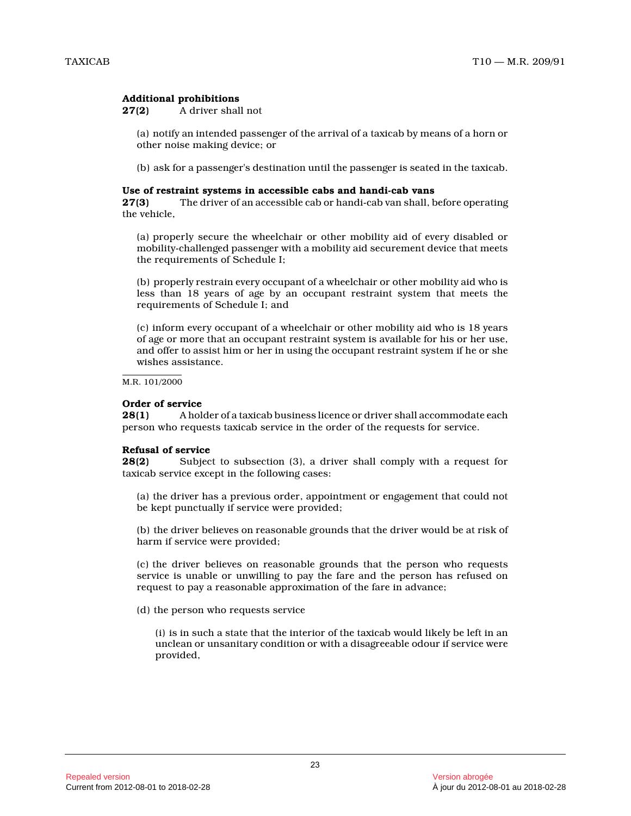# **Additional prohibitions**

**27(2)** A driver shall not

(a) notify an intended passenger of the arrival of a taxicab by means of a horn or other noise making device; or

(b) ask for a passenger's destination until the passenger is seated in the taxicab.

#### **Use of restraint systems in accessible cabs and handi-cab vans**

**27(3)** The driver of an accessible cab or handi-cab van shall, before operating the vehicle,

(a) properly secure the wheelchair or other mobility aid of every disabled or mobility-challenged passenger with a mobility aid securement device that meets the requirements of Schedule I;

(b) properly restrain every occupant of a wheelchair or other mobility aid who is less than 18 years of age by an occupant restraint system that meets the requirements of Schedule I; and

(c) inform every occupant of a wheelchair or other mobility aid who is 18 years of age or more that an occupant restraint system is available for his or her use, and offer to assist him or her in using the occupant restraint system if he or she wishes assistance.

M.R. 101/2000

# **Order of service**

**28(1)** A holder of a taxicab business licence or driver shall accommodate each person who requests taxicab service in the order of the requests for service.

# **Refusal of service**

**28(2)** Subject to subsection (3), a driver shall comply with a request for taxicab service except in the following cases:

(a) the driver has a previous order, appointment or engagement that could not be kept punctually if service were provided;

(b) the driver believes on reasonable grounds that the driver would be at risk of harm if service were provided;

(c) the driver believes on reasonable grounds that the person who requests service is unable or unwilling to pay the fare and the person has refused on request to pay a reasonable approximation of the fare in advance;

(d) the person who requests service

(i) is in such a state that the interior of the taxicab would likely be left in an unclean or unsanitary condition or with a disagreeable odour if service were provided,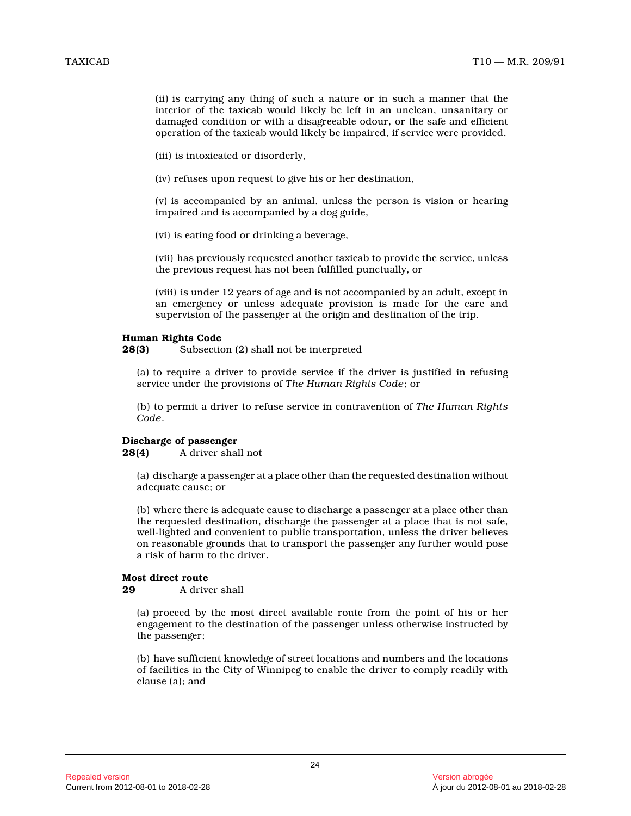(ii) is carrying any thing of such a nature or in such a manner that the interior of the taxicab would likely be left in an unclean, unsanitary or damaged condition or with a disagreeable odour, or the safe and efficient operation of the taxicab would likely be impaired, if service were provided,

(iii) is intoxicated or disorderly,

(iv) refuses upon request to give his or her destination,

(v) is accompanied by an animal, unless the person is vision or hearing impaired and is accompanied by a dog guide,

(vi) is eating food or drinking a beverage,

(vii) has previously requested another taxicab to provide the service, unless the previous request has not been fulfilled punctually, or

(viii) is under 12 years of age and is not accompanied by an adult, except in an emergency or unless adequate provision is made for the care and supervision of the passenger at the origin and destination of the trip.

# **Human Rights Code**

**28(3)** Subsection (2) shall not be interpreted

(a) to require a driver to provide service if the driver is justified in refusing service under the provisions of *The Human Rights Code*; or

(b) to permit a driver to refuse service in contravention of *The Human Rights Code* .

# **Discharge of passenger<br>28(4)** A driver shall

**28(4)** A driver shall not

(a) discharge a passenger at a place other than the requested destination without adequate cause; or

(b) where there is adequate cause to discharge a passenger at a place other than the requested destination, discharge the passenger at a place that is not safe, well-lighted and convenient to public transportation, unless the driver believes on reasonable grounds that to transport the passenger any further would pose a risk of harm to the driver.

### **Most direct route**

**29** A driver shall

(a) proceed by the most direct available route from the point of his or her engagement to the destination of the passenger unless otherwise instructed by the passenger;

(b) have sufficient knowledge of street locations and numbers and the locations of facilities in the City of Winnipeg to enable the driver to comply readily with clause (a); and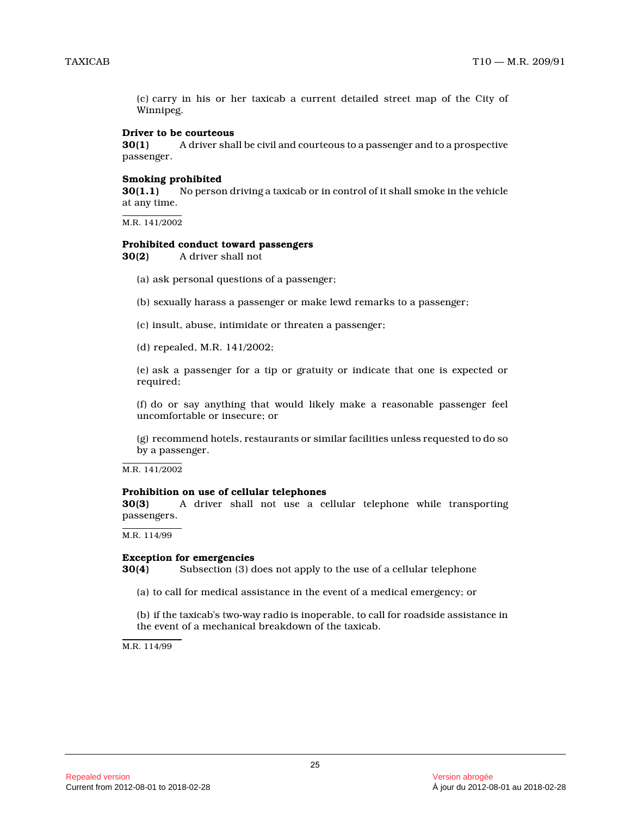(c) carry in his or her taxicab a current detailed street map of the City of Winnipeg.

#### **Driver to be courteous**

**30(1)** A driver shall be civil and courteous to a passenger and to a prospective passenger.

#### **Smoking prohibited**

**30(1.1)** No person driving a taxicab or in control of it shall smoke in the vehicle at any time.

M.R. 141/2002

#### **Prohibited conduct toward passengers**

**30(2)** A driver shall not

- (a) ask personal questions of a passenger;
- (b) sexually harass a passenger or make lewd remarks to a passenger;
- (c) insult, abuse, intimidate or threaten a passenger;
- (d) repealed, M.R. 141/2002;

(e) ask a passenger for a tip or gratuity or indicate that one is expected or required;

(f) do or say anything that would likely make a reasonable passenger feel uncomfortable or insecure; or

(g) recommend hotels, restaurants or similar facilities unless requested to do so by a passenger.

M.R. 141/2002

#### **Prohibition on use of cellular telephones**

**30(3)** A driver shall not use a cellular telephone while transporting passengers.

M.R. 114/99

#### **Exception for emergencies**

**30(4)** Subsection (3) does not apply to the use of a cellular telephone

(a) to call for medical assistance in the event of a medical emergency; or

(b) if the taxicab's two-way radio is inoperable, to call for roadside assistance in the event of a mechanical breakdown of the taxicab.

M.R. 114/99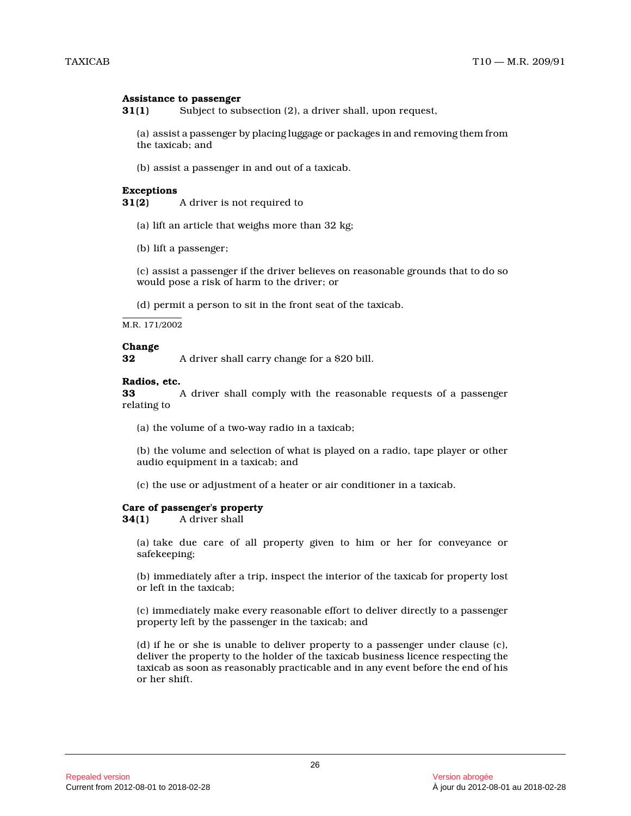#### **Assistance to passenger**

**31(1)** Subject to subsection (2), a driver shall, upon request,

(a) assist a passenger by placing luggage or packages in and removing them from the taxicab; and

(b) assist a passenger in and out of a taxicab.

#### **Exceptions**

**31(2)** A driver is not required to

- (a) lift an article that weighs more than 32 kg;
- (b) lift a passenger;

(c) assist a passenger if the driver believes on reasonable grounds that to do so would pose a risk of harm to the driver; or

(d) permit a person to sit in the front seat of the taxicab.

M.R. 171/2002

### **Change**

**32** A driver shall carry change for a \$20 bill.

#### **Radios, etc.**

**33** A driver shall comply with the reasonable requests of a passenger relating to

(a) the volume of a two-way radio in a taxicab;

(b) the volume and selection of what is played on a radio, tape player or other audio equipment in a taxicab; and

(c) the use or adjustment of a heater or air conditioner in a taxicab.

#### **Care of passenger's property**

**34(1)** A driver shall

(a) take due care of all property given to him or her for conveyance or safekeeping;

(b) immediately after a trip, inspect the interior of the taxicab for property lost or left in the taxicab;

(c) immediately make every reasonable effort to deliver directly to a passenger property left by the passenger in the taxicab; and

(d) if he or she is unable to deliver property to a passenger under clause (c), deliver the property to the holder of the taxicab business licence respecting the taxicab as soon as reasonably practicable and in any event before the end of his or her shift.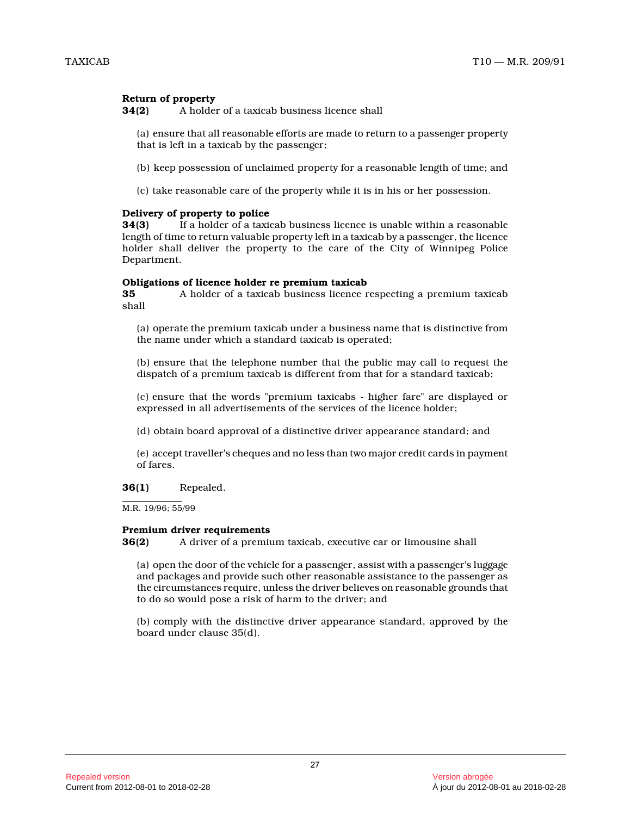# **Return of property**

**34(2)** A holder of a taxicab business licence shall

(a) ensure that all reasonable efforts are made to return to a passenger property that is left in a taxicab by the passenger;

- (b) keep possession of unclaimed property for a reasonable length of time; and
- (c) take reasonable care of the property while it is in his or her possession.

# **Delivery of property to police**

**34(3)** If a holder of a taxicab business licence is unable within a reasonable length of time to return valuable property left in a taxicab by a passenger, the licence holder shall deliver the property to the care of the City of Winnipeg Police Department.

# **Obligations of licence holder re premium taxicab**

**35** A holder of a taxicab business licence respecting a premium taxicab shall

(a) operate the premium taxicab under a business name that is distinctive from the name under which a standard taxicab is operated ;

(b) ensure that the telephone number that the public may call to request the dispatch of a premium taxicab is different from that for a standard taxicab;

(c) ensure that the words "premium taxicabs - higher fare" are displayed or expressed in all advertisements of the services of the licence holder;

(d) obtain board approval of a distinctive driver appearance standard; and

(e) accept traveller's cheques and no less than two major credit cards in payment of fares.

# **36(1)** Repealed.

M.R. 19/96; 55/99

#### **Premium driver requirements**

**36(2)** A driver of a premium taxicab, executive car or limousine shall

(a) open the door of the vehicle for a passenger, assist with a passenger's luggage and packages and provide such other reasonable assistance to the passenger as the circumstances require, unless the driver believes on reasonable grounds that to do so would pose a risk of harm to the driver; and

(b) comply with the distinctive driver appearance standard, approved by the board under clause 35(d).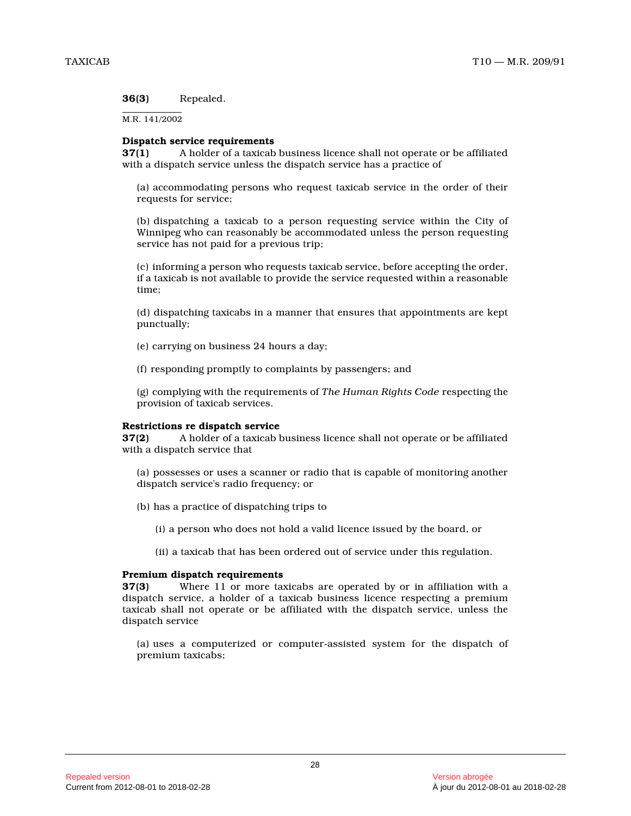**36(3)** Repealed.

M.R. 141/2002

# **Dispatch service requirements**

**37(1)** A holder of a taxicab business licence shall not operate or be affiliated with a dispatch service unless the dispatch service has a practice of

(a) accommodating persons who request taxicab service in the order of their requests for service;

(b) dispatching a taxicab to a person requesting service within the City of Winnipeg who can reasonably be accommodated unless the person requesting service has not paid for a previous trip;

(c) informing a person who requests taxicab service, before accepting the order, if a taxicab is not available to provide the service requested within a reasonable time;

(d) dispatching taxicabs in a manner that ensures that appointments are kept punctually;

(e) carrying on business 24 hours a day;

(f) responding promptly to complaints by passengers; and

(g) complying with the requirements of *The Human Rights Code* respecting the provision of taxicab services.

#### **Restrictions re dispatch service**

**37(2)** A holder of a taxicab business licence shall not operate or be affiliated with a dispatch service that

(a) possesses or uses a scanner or radio that is capable of monitoring another dispatch service's radio frequency; or

(b) has a practice of dispatching trips to

(i) a person who does not hold a valid licence issued by the board, or

(ii) a taxicab that has been ordered out of service under this regulation.

#### **Premium dispatch requirements**

**37(3)** Where 11 or more taxicabs are operated by or in affiliation with a dispatch service, a holder of a taxicab business licence respecting a premium taxicab shall not operate or be affiliated with the dispatch service, unless the dispatch service

(a) uses a computerized or computer-assisted system for the dispatch of premium taxicabs;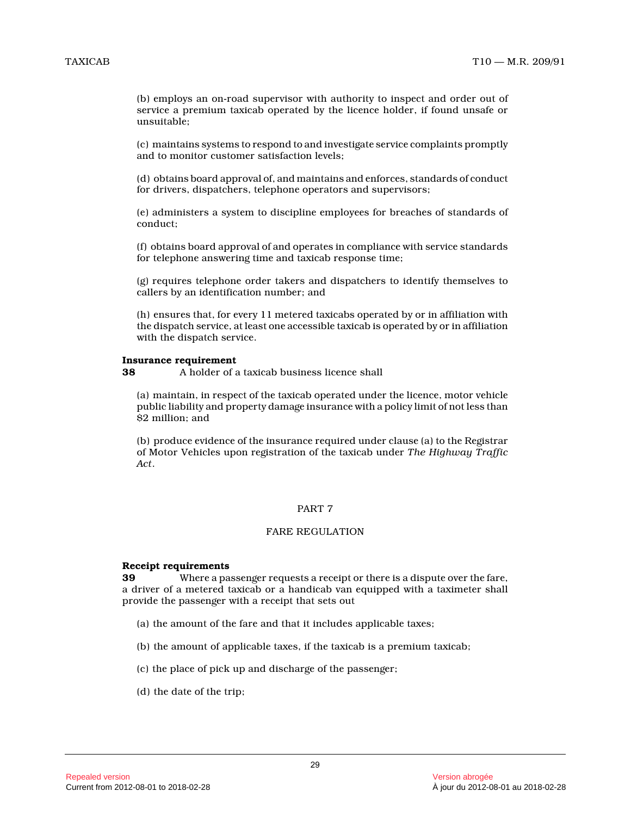(b) employs an on-road supervisor with authority to inspect and order out of service a premium taxicab operated by the licence holder, if found unsafe or unsuitable;

(c) maintains systems to respond to and investigate service complaints promptly and to monitor customer satisfaction levels;

(d) obtains board approval of, and maintains and enforces, standards of conduct for drivers, dispatchers, telephone operators and supervisors;

(e) administers a system to discipline employees for breaches of standards of conduct;

(f) obtains board approval of and operates in compliance with service standards for telephone answering time and taxicab response time;

(g) requires telephone order takers and dispatchers to identify themselves to callers by an identification number; and

(h) ensures that, for every 11 metered taxicabs operated by or in affiliation with the dispatch service, at least one accessible taxicab is operated by or in affiliation with the dispatch service.

#### **Insurance requirement**

**38** A holder of a taxicab business licence shall

(a) maintain, in respect of the taxicab operated under the licence, motor vehicle public liability and property damage insurance with a policy limit of not less than \$2 million; and

(b) produce evidence of the insurance required under clause (a) to the Registrar of Motor Vehicles upon registration of the taxicab under *The Highway Traffic Act* .

#### PART 7

#### FARE REGULATION

#### **Receipt requirements**

**39** Where a passenger requests a receipt or there is a dispute over the fare, a driver of a metered taxicab or a handicab van equipped with a taximeter shall provide the passenger with a receipt that sets out

- (a) the amount of the fare and that it includes applicable taxes;
- (b) the amount of applicable taxes, if the taxicab is a premium taxicab;
- (c) the place of pick up and discharge of the passenger;
- (d) the date of the trip;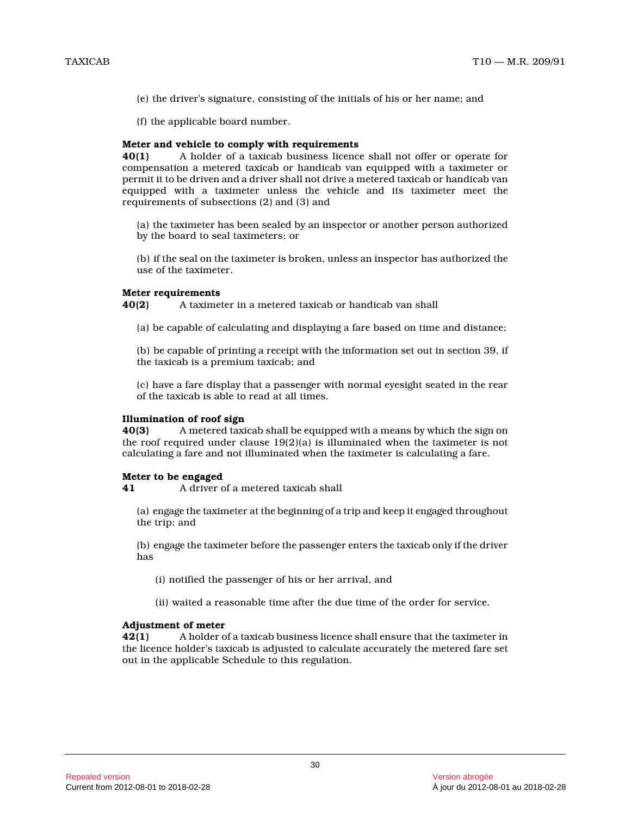- (e) the driver's signature, consisting of the initials of his or her name; and
- (f) the applicable board number.

#### **Meter and vehicle to comply with requirements**

**40(1)** A holder of a taxicab business licence shall not offer or operate for compensation a metered taxicab or handicab van equipped with a taximeter or permit it to be driven and a driver shall not drive a metered taxicab or handicab van equipped with a taximeter unless the vehicle and its taximeter meet the requirements of subsections (2) and (3) and

(a) the taximeter has been sealed by an inspector or another person authorized by the board to seal taximeters; or

(b) if the seal on the taximeter is broken, unless an inspector has authorized the use of the taximeter.

#### **Meter requirements**

**40(2)** A taximeter in a metered taxicab or handicab van shall

(a) be capable of calculating and displaying a fare based on time and distance;

(b) be capable of printing a receipt with the information set out in section 39, if the taxicab is a premium taxicab; and

(c) have a fare display that a passenger with normal eyesight seated in the rear of the taxicab is able to read at all times.

#### **Illumination of roof sign**

**40(3)** A metered taxicab shall be equipped with a means by which the sign on the roof required under clause 19(2)(a) is illuminated when the taximeter is not calculating a fare and not illuminated when the taximeter is calculating a fare.

# **Meter to be engaged**

**41** A driver of a metered taxicab shall

(a) engage the taximeter at the beginning of a trip and keep it engaged throughout the trip; and

(b) engage the taximeter before the passenger enters the taxicab only if the driver has

(i) notified the passenger of his or her arrival, an d

(ii) waited a reasonable time after the due time of the order for service.

# **Adjustment of meter**

**42(1)** A holder of a taxicab business licence shall ensure that the taximeter in the licence holder's taxicab is adjusted to calculate accurately the metered fare set out in the applicable Schedule to this regulation.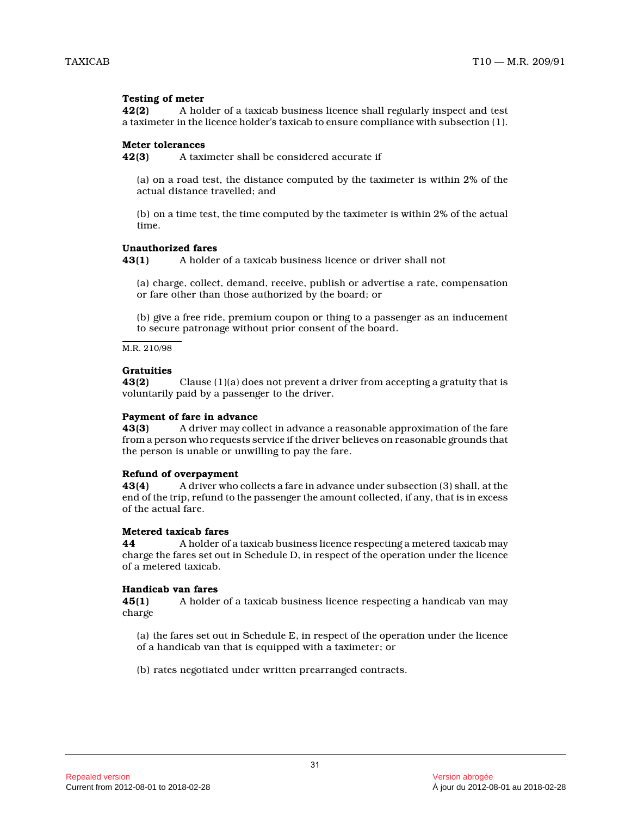# **Testing of meter**

**42(2)** A holder of a taxicab business licence shall regularly inspect and test a taximeter in the licence holder's taxicab to ensure compliance with subsection (1).

#### **Meter tolerances**

**42(3)** A taximeter shall be considered accurate if

(a) on a road test, the distance computed by the taximeter is within 2% of the actual distance travelled; and

(b) on a time test, the time computed by the taximeter is within 2% of the actual time.

#### **Unauthorized fares**

**43(1)** A holder of a taxicab business licence or driver shall not

(a) charge, collect, demand, receive, publish or advertise a rate, compensation or fare other than those authorized by the board; or

(b) give a free ride, premium coupon or thing to a passenger as an inducement to secure patronage without prior consent of the board.

M.R. 210/98

# **Gratuities**

**43(2)** Clause (1)(a) does not prevent a driver from accepting a gratuity that is voluntarily paid by a passenger to the driver.

#### **Payment of fare in advance**

**43(3)** A driver may collect in advance a reasonable approximation of the fare from a person who requests service if the driver believes on reasonable grounds that the person is unable or unwilling to pay the fare.

#### **Refund of overpayment**

**43(4)** A driver who collects a fare in advance under subsection (3) shall, at the end of the trip, refund to the passenger the amount collected, if any, that is in excess of the actual fare.

# **Metered taxicab fares**

**44** A holder of a taxicab business licence respecting a metered taxicab may charge the fares set out in Schedule D, in respect of the operation under the licence of a metered taxicab.

# **Handicab van fares**

**45(1)** A holder of a taxicab business licence respecting a handicab van may charge

(a) the fares set out in Schedule E, in respect of the operation under the licence of a handicab van that is equipped with a taximeter; or

(b) rates negotiated under written prearranged contracts.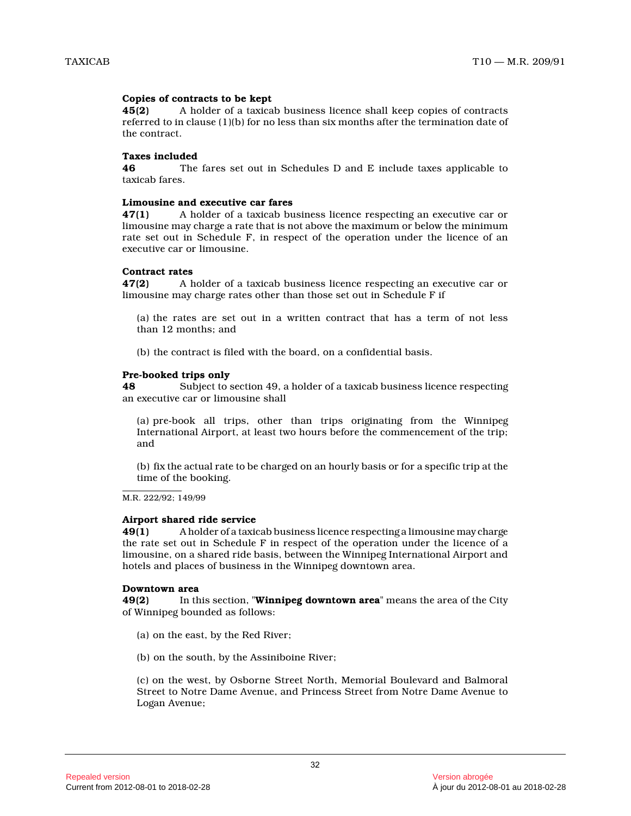# **Copies of contracts to be kept**

**45(2)** A holder of a taxicab business licence shall keep copies of contracts referred to in clause (1)(b) for no less than six months after the termination date of the contract.

#### **Taxes included**

**46** The fares set out in Schedules D and E include taxes applicable to taxicab fares.

# **Limousine and executive car fares**

**47(1)** A holder of a taxicab business licence respecting an executive car or limousine may charge a rate that is not above the maximum or below the minimum rate set out in Schedule F, in respect of the operation under the licence of an executive car or limousine.

#### **Contract rates**

**47(2)** A holder of a taxicab business licence respecting an executive car or limousine may charge rates other than those set out in Schedule F if

(a) the rates are set out in a written contract that has a term of not less than 12 months; and

(b) the contract is filed with the board, on a confidential basis.

# **Pre-booked trips only**

**48** Subject to section 49, a holder of a taxicab business licence respecting an executive car or limousine shall

(a) pre-book all trips, other than trips originating from the Winnipeg International Airport, at least two hours before the commencement of the trip; and

(b) fix the actual rate to be charged on an hourly basis or for a specific trip at the time of the booking.

M.R. 222/92; 149/99

# **Airport shared ride service**

**49(1)** A holder of a taxicab business licence respecting a limousine may charge the rate set out in Schedule F in respect of the operation under the licence of a limousine, on a shared ride basis, between the Winnipeg International Airport and hotels and places of business in the Winnipeg downtown area.

#### **Downtown area**

**49(2)** In this section, "**Winnipeg downtown area**" means the area of the City of Winnipeg bounded as follows:

- (a) on the east, by the Red River;
- (b) on the south, by the Assiniboine River;

(c) on the west, by Osborne Street North, Memorial Boulevard and Balmoral Street to Notre Dame Avenue, and Princess Street from Notre Dame Avenue to Logan Avenue;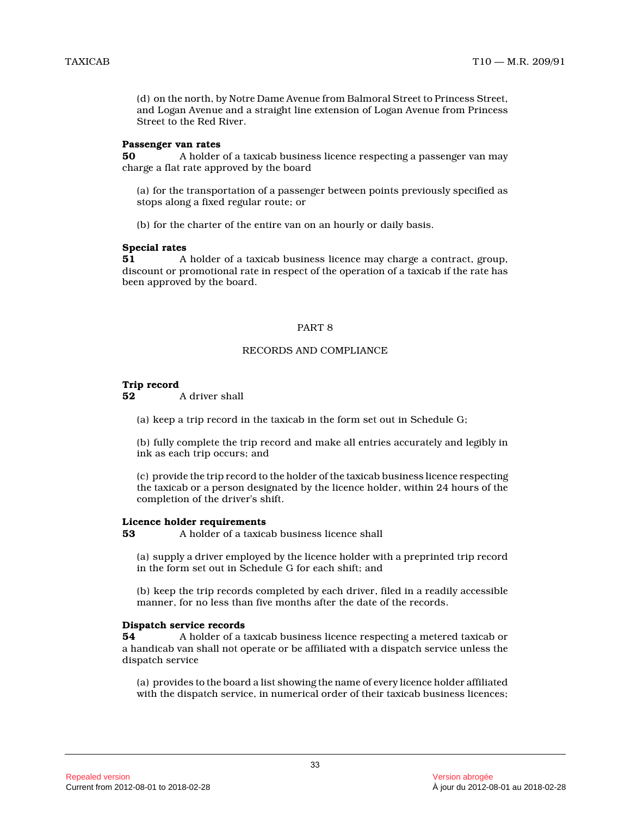(d) on the north, by Notre Dame Avenue from Balmoral Street to Princess Street, and Logan Avenue and a straight line extension of Logan Avenue from Princess Street to the Red River.

#### **Passenger van rates**

**50** A holder of a taxicab business licence respecting a passenger van may charge a flat rate approved by the board

(a) for the transportation of a passenger between points previously specified as stops along a fixed regular route; or

(b) for the charter of the entire van on an hourly or daily basis.

#### **Special rates**

**51** A holder of a taxicab business licence may charge a contract, group, discount or promotional rate in respect of the operation of a taxicab if the rate has been approved by the board.

#### PART 8

#### RECORDS AND COMPLIANCE

# **Trip record**

**52** A driver shall

(a) keep a trip record in the taxicab in the form set out in Schedule G;

(b) fully complete the trip record and make all entries accurately and legibly in ink as each trip occurs; and

(c) provide the trip record to the holder of the taxicab business licence respecting the taxicab or a person designated by the licence holder, within 24 hours of the completion of the driver's shift.

#### **Licence holder requirements**

**53** A holder of a taxicab business licence shall

(a) supply a driver employed by the licence holder with a preprinted trip record in the form set out in Schedule G for each shift; and

(b) keep the trip records completed by each driver, filed in a readily accessible manner, for no less than five months after the date of the records.

#### **Dispatch service records**

**54** A holder of a taxicab business licence respecting a metered taxicab or a handicab van shall not operate or be affiliated with a dispatch service unless the dispatch service

(a) provides to the board a list showing the name of every licence holder affiliated with the dispatch service, in numerical order of their taxicab business licences;

33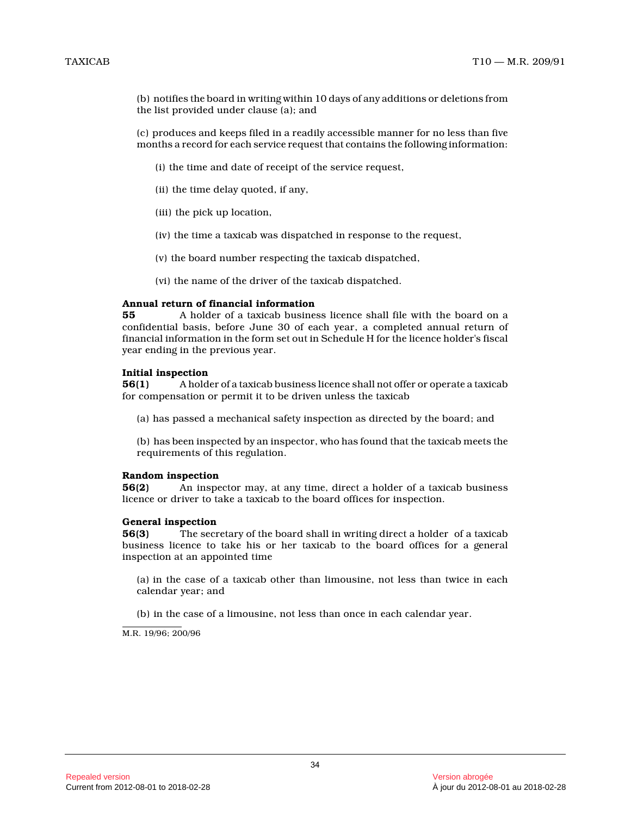(b) notifies the board in writing within 10 days of any additions or deletions from the list provided under clause (a); and

(c) produces and keeps filed in a readily accessible manner for no less than five months a record for each service request that contains the following information:

- (i) the time and date of receipt of the service request,
- (ii) the time delay quoted, if any,
- (iii) the pick up location,
- (iv) the time a taxicab was dispatched in response to the request,
- (v) the board number respecting the taxicab dispatched,

(vi) the name of the driver of the taxicab dispatched.

# **Annual return of financial information**

**55** A holder of a taxicab business licence shall file with the board on a confidential basis, before June 30 of each year, a completed annual return of financial information in the form set out in Schedule H for the licence holder's fiscal year ending in the previous year.

# **Initial inspection**

**56(1)** A holder of a taxicab business licence shall not offer or operate a taxicab for compensation or permit it to be driven unless the taxicab

- (a) has passed a mechanical safety inspection as directed by the board; and
- (b) has been inspected by an inspector, who has found that the taxicab meets the requirements of this regulation.

#### **Random inspection**

**56(2)** An inspector may, at any time, direct a holder of a taxicab business licence or driver to take a taxicab to the board offices for inspection.

#### **General inspection**

**56(3)** The secretary of the board shall in writing direct a holder of a taxicab business licence to take his or her taxicab to the board offices for a general inspection at an appointed time

(a) in the case of a taxicab other than limousine, not less than twice in each calendar year; and

(b) in the case of a limousine, not less than once in each calendar year.

M.R. 19/96; 200/96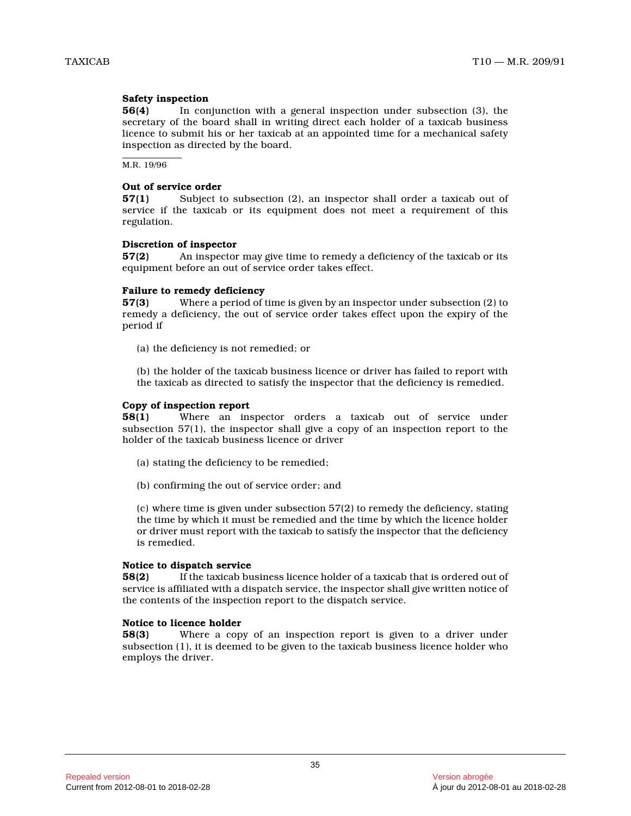#### **Safety inspection**

**56(4)** In conjunction with a general inspection under subsection (3), the secretary of the board shall in writing direct each holder of a taxicab business licence to submit his or her taxicab at an appointed time for a mechanical safety inspection as directed by the board.

M.R. 19/96

#### **Out of service order**

**57(1)** Subject to subsection (2), an inspector shall order a taxicab out of service if the taxicab or its equipment does not meet a requirement of this regulation.

#### **Discretion of inspector**

**57(2)** An inspector may give time to remedy a deficiency of the taxicab or its equipment before an out of service order takes effect.

#### **Failure to remedy deficiency**

**57(3)** Where a period of time is given by an inspector under subsection (2) to remedy a deficiency, the out of service order takes effect upon the expiry of the period if

(a) the deficiency is not remedied; or

(b) the holder of the taxicab business licence or driver has failed to report with the taxicab as directed to satisfy the inspector that the deficiency is remedied.

#### **Copy of inspection report**

**58(1)** Where an inspector orders a taxicab out of service under subsection 57(1), the inspector shall give a copy of an inspection report to the holder of the taxicab business licence or driver

- (a) stating the deficiency to be remedied;
- (b) confirming the out of service order; and

(c) where time is given under subsection 57(2) to remedy the deficiency, stating the time by which it must be remedied and the time by which the licence holder or driver must report with the taxicab to satisfy the inspector that the deficiency is remedied.

#### **Notice to dispatch service**

**58(2)** If the taxicab business licence holder of a taxicab that is ordered out of service is affiliated with a dispatch service, the inspector shall give written notice of the contents of the inspection report to the dispatch service.

#### **Notice to licence holder**

**58(3)** Where a copy of an inspection report is given to a driver under subsection (1), it is deemed to be given to the taxicab business licence holder who employs the driver.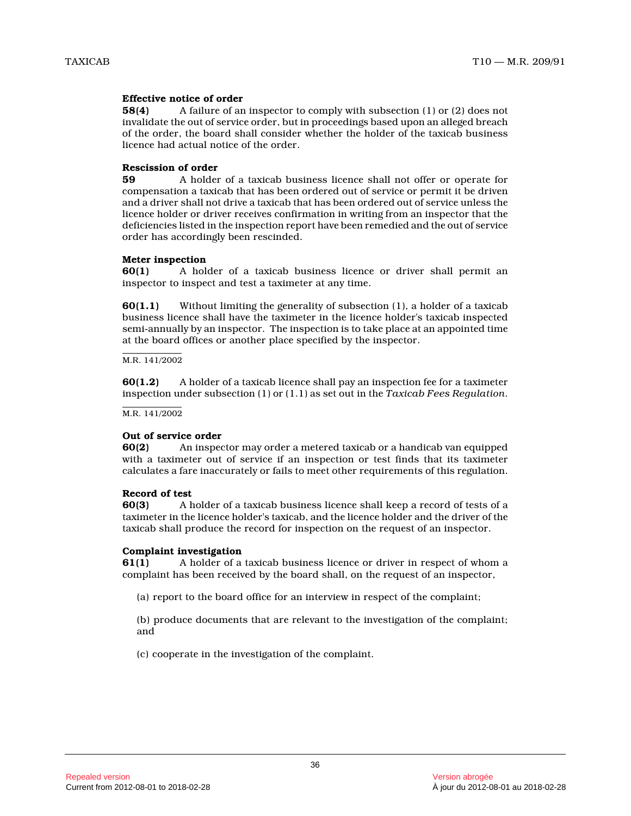#### **Effective notice of order**

**58(4)** A failure of an inspector to comply with subsection (1) or (2) does not invalidate the out of service order, but in proceedings based upon an alleged breach of the order, the board shall consider whether the holder of the taxicab business licence had actual notice of the order.

#### **Rescission of order**

**59** A holder of a taxicab business licence shall not offer or operate for compensation a taxicab that has been ordered out of service or permit it be driven and a driver shall not drive a taxicab that has been ordered out of service unless the licence holder or driver receives confirmation in writing from an inspector that the deficiencies listed in the inspection report have been remedied and the out of service order has accordingly been rescinded.

#### **Meter inspection**

**60(1)** A holder of a taxicab business licence or driver shall permit an inspector to inspect and test a taximeter at any time.

**60(1.1)** Without limiting the generality of subsection (1), a holder of a taxicab business licence shall have the taximeter in the licence holder's taxicab inspected semi-annually by an inspector. The inspection is to take place at an appointed time at the board offices or another place specified by the inspector.

#### M.R. 141/2002

**60(1.2)** A holder of a taxicab licence shall pay an inspection fee for a taximeter inspection under subsection (1) or (1.1) as set out in the *Taxicab Fees Regulation* .

M.R. 141/2002

#### **Out of service order**

**60(2)** An inspector may order a metered taxicab or a handicab van equipped with a taximeter out of service if an inspection or test finds that its taximeter calculates a fare inaccurately or fails to meet other requirements of this regulation.

#### **Record of test**

**60(3)** A holder of a taxicab business licence shall keep a record of tests of a taximeter in the licence holder's taxicab, and the licence holder and the driver of the taxicab shall produce the record for inspection on the request of an inspector.

#### **Complaint investigation**

**61(1)** A holder of a taxicab business licence or driver in respect of whom a complaint has been received by the board shall, on the request of an inspector,

(a) report to the board office for an interview in respect of the complaint;

(b) produce documents that are relevant to the investigation of the complaint; and

(c) cooperate in the investigation of the complaint.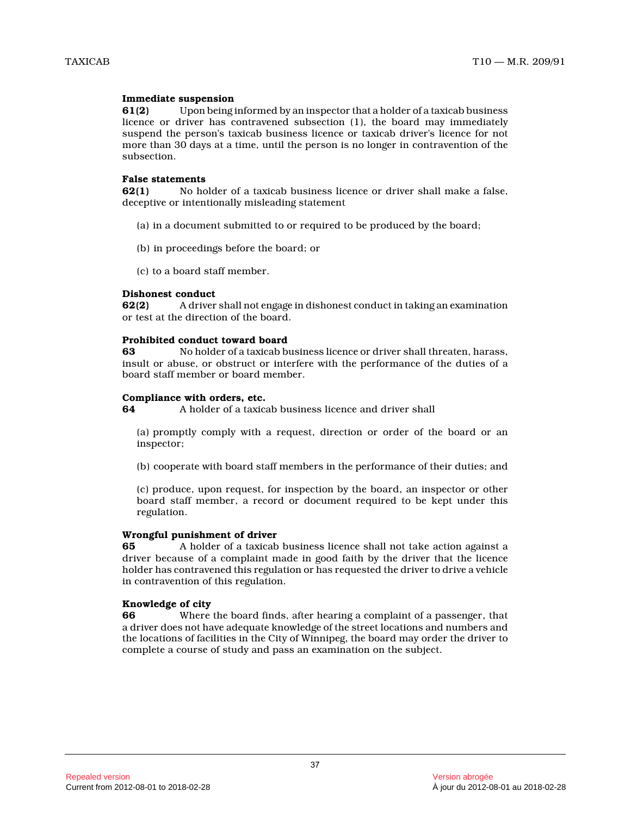#### **Immediate suspension**

**61(2)** Upon being informed by an inspector that a holder of a taxicab business licence or driver has contravened subsection (1), the board may immediately suspend the person's taxicab business licence or taxicab driver's licence for not more than 30 days at a time, until the person is no longer in contravention of the subsection.

#### **False statements**

**62(1)** No holder of a taxicab business licence or driver shall make a false, deceptive or intentionally misleading statement

- (a) in a document submitted to or required to be produced by the board;
- (b) in proceedings before the board; or
- (c) to a board staff member.

#### **Dishonest conduct**

**62(2)** A driver shall not engage in dishonest conduct in taking an examination or test at the direction of the board.

#### **Prohibited conduct toward board**

**63** No holder of a taxicab business licence or driver shall threaten, harass, insult or abuse, or obstruct or interfere with the performance of the duties of a board staff member or board member.

# **Compliance with orders, etc.**<br>64 A holder of a taxical

**64** A holder of a taxicab business licence and driver shall

(a) promptly comply with a request, direction or order of the board or an inspector;

(b) cooperate with board staff members in the performance of their duties; and

(c) produce, upon request, for inspection by the board, an inspector or other board staff member, a record or document required to be kept under this regulation.

#### **Wrongful punishment of driver**

**65** A holder of a taxicab business licence shall not take action against a driver because of a complaint made in good faith by the driver that the licence holder has contravened this regulation or has requested the driver to drive a vehicle in contravention of this regulation.

# **Knowledge of city**

**66** Where the board finds, after hearing a complaint of a passenger, that a driver does not have adequate knowledge of the street locations and numbers and the locations of facilities in the City of Winnipeg, the board may order the driver to complete a course of study and pass an examination on the subject.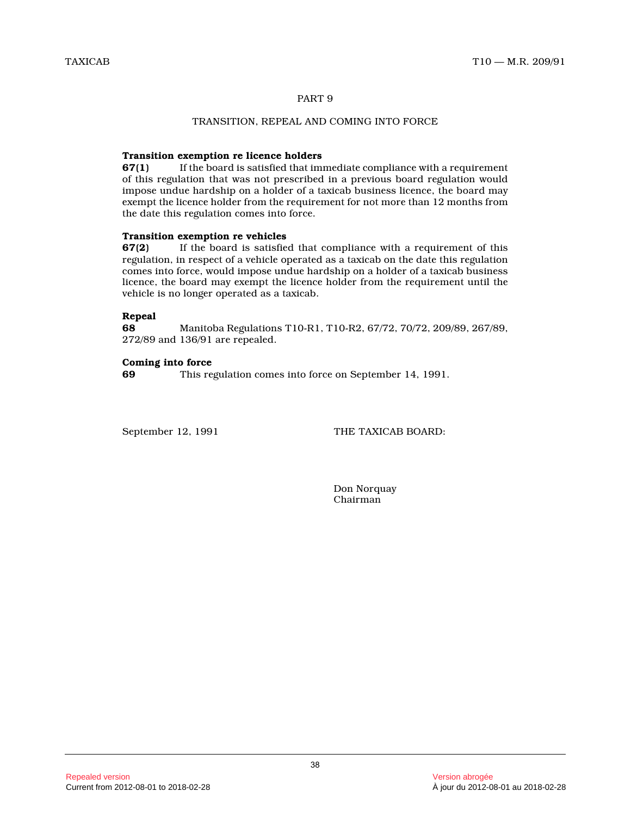#### PART 9

# TRANSITION, REPEAL AND COMING INTO FORCE

# **Transition exemption re licence holders**

**67(1)** If the board is satisfied that immediate compliance with a requirement of this regulation that was not prescribed in a previous board regulation would impose undue hardship on a holder of a taxicab business licence, the board may exempt the licence holder from the requirement for not more than 12 months from the date this regulation comes into force.

#### **Transition exemption re vehicles**

**67(2)** If the board is satisfied that compliance with a requirement of this regulation, in respect of a vehicle operated as a taxicab on the date this regulation comes into force, would impose undue hardship on a holder of a taxicab business licence, the board may exempt the licence holder from the requirement until the vehicle is no longer operated as a taxicab.

# **Repeal**

**68** Manitoba Regulations T10-R1, T10-R2, 67/72, 70/72, 209/89, 267/89, 272/89 and 136/91 are repealed.

#### **Coming into force**

**69** This regulation comes into force on September 14, 1991.

September 12, 1991 THE TAXICAB BOARD:

Don Norquay Chairman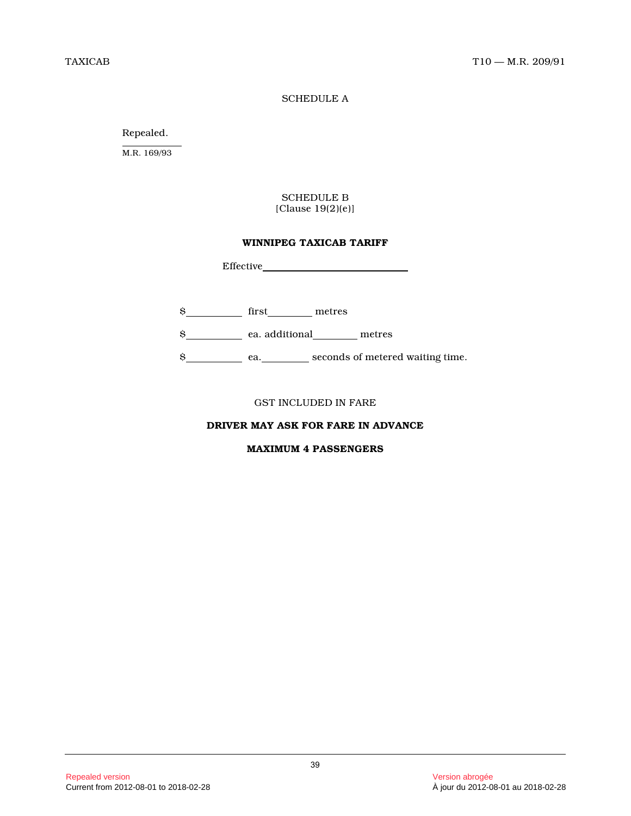# SCHEDULE A

Repealed.

M.R. 169/93

# SCHEDULE B [Clause 19(2)(e)]

#### **WINNIPEG TAXICAB TARIFF**

Effective

- \$\_\_\_\_\_\_\_\_\_\_\_\_ first\_\_\_\_\_\_\_\_\_ metres
- \$ ea. additional metres

\$\_\_\_\_\_\_\_\_\_\_\_\_\_ ea.\_\_\_\_\_\_\_\_\_\_ seconds of metered waiting time.

GST INCLUDED IN FARE

# **DRIVER MAY ASK FOR FARE IN ADVANCE**

#### **MAXIMUM 4 PASSENGERS**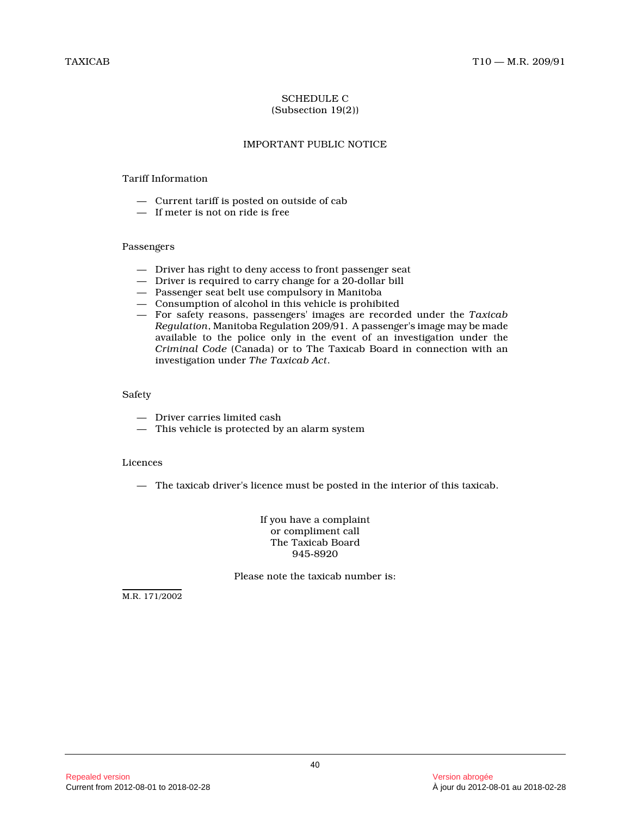# SCHEDULE C (Subsection 19(2))

# IMPORTANT PUBLIC NOTICE

# Tariff Information

- Current tariff is posted on outside of cab
- $-$  If meter is not on ride is free

# Passengers

- Driver has right to deny access to front passenger seat
- Driver is required to carry change for a 20-dollar bill
- Passenger seat belt use compulsory in Manitoba
- Consumption of alcohol in this vehicle is prohibited
- For safety reasons, passengers' images are recorded under the *Taxicab Regulation*, Manitoba Regulation 209/91. A passenger's image may be made available to the police only in the event of an investigation under the *Criminal Code* (Canada) or to The Taxicab Board in connection with an investigation under *The Taxicab Act* .

# Safety

- Driver carries limited cash
- This vehicle is protected by an alarm system

# Licences

— The taxicab driver's licence must be posted in the interior of this taxicab.

If you have a complaint or compliment call The Taxicab Board 945-8920

Please note the taxicab number is:

M.R. 171/2002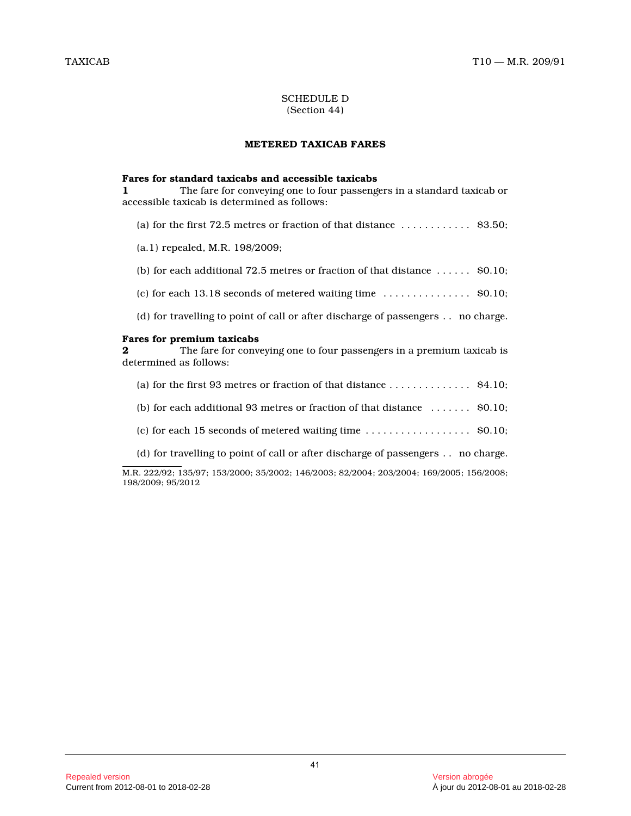#### SCHEDULE D (Section 44)

#### **METERED TAXICAB FARES**

#### **Fares for standard taxicabs and accessible taxicabs**

**1** The fare for conveying one to four passengers in a standard taxicab or accessible taxicab is determined as follows:

- (a) for the first 72.5 metres or fraction of that distance  $\dots \dots \dots$  \$3.50;
- (a.1) repealed, M.R. 198/2009;
- (b) for each additional 72.5 metres or fraction of that distance  $\dots \dots$  . \$0.10;
- (c) for each  $13.18$  seconds of metered waiting time  $\dots\dots\dots\dots$  . \$0.10;
- (d) for travelling to point of call or after discharge of passengers . . no charge.

#### **Fares for premium taxicabs**

**2** The fare for conveying one to four passengers in a premium taxicab is determined as follows:

- (a) for the first 93 metres or fraction of that distance  $\dots\dots\dots\dots$  . \$4.10;
- (b) for each additional 93 metres or fraction of that distance  $\dots \dots$  . \$0.10;
- (c) for each 15 seconds of metered waiting time  $\dots \dots \dots \dots \dots$  . \$0.10;
- (d) for travelling to point of call or after discharge of passengers . . no charge.

M.R. 222/92; 135/97; 153/2000; 35/2002; 146/2003; 82/2004; 203/2004; 169/2005; 156/2008; 198/2009; 95/2012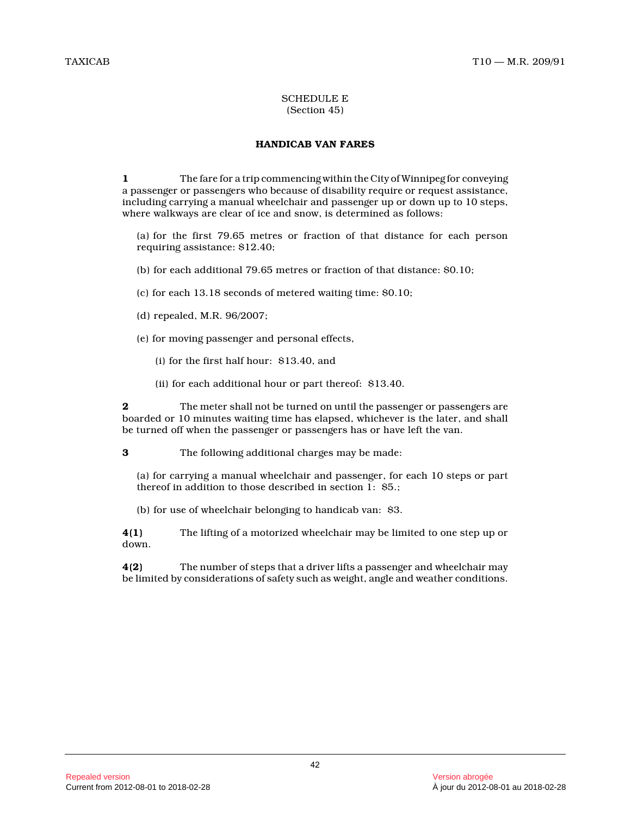#### SCHEDULE E (Section 45)

# **HANDICAB VAN FARES**

**1** The fare for a trip commencing within the City of Winnipeg for conveying a passenger or passengers who because of disability require or request assistance, including carrying a manual wheelchair and passenger up or down up to 10 steps, where walkways are clear of ice and snow, is determined as follows:

(a) for the first 79.65 metres or fraction of that distance for each person requiring assistance: \$12.40;

(b) for each additional 79.65 metres or fraction of that distance: \$0.10;

(c) for each 13.18 seconds of metered waiting time: \$0.10;

(d) repealed, M.R. 96/2007;

(e) for moving passenger and personal effects,

(i) for the first half hour: \$13.40, and

(ii) for each additional hour or part thereof: \$13.40.

**2** The meter shall not be turned on until the passenger or passengers are boarded or 10 minutes waiting time has elapsed, whichever is the later, and shall be turned off when the passenger or passengers has or have left the van.

**3** The following additional charges may be made:

(a) for carrying a manual wheelchair and passenger, for each 10 steps or part thereof in addition to those described in section  $\overline{1}$ : \$5.;

(b) for use of wheelchair belonging to handicab van: \$3.

**4(1)** The lifting of a motorized wheelchair may be limited to one step up or down.

**4(2)** The number of steps that a driver lifts a passenger and wheelchair may be limited by considerations of safety such as weight, angle and weather conditions.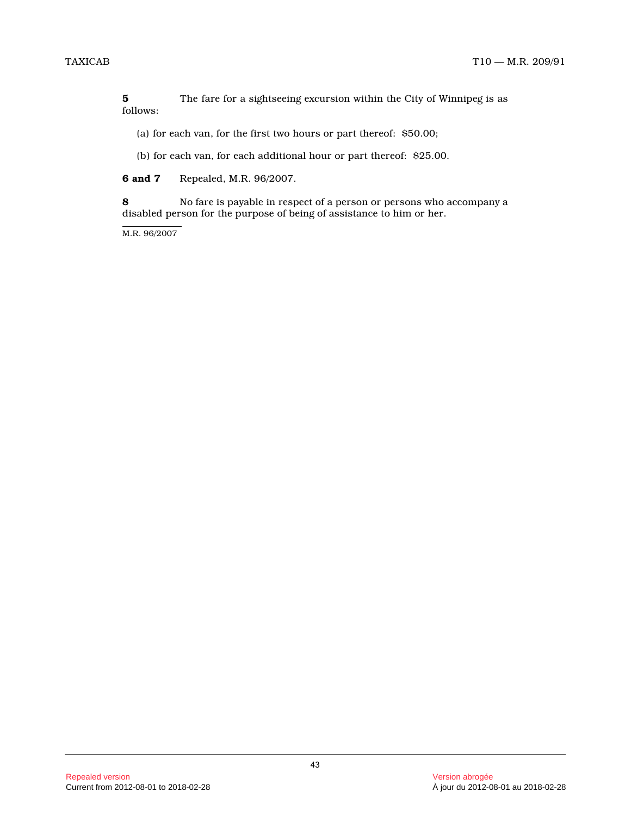**5** The fare for a sightseeing excursion within the City of Winnipeg is as follows:

(a) for each van, for the first two hours or part thereof: \$50.00;

(b) for each van, for each additional hour or part thereof: \$25.00.

**6 and 7** Repealed, M.R. 96/2007.

**8** No fare is payable in respect of a person or persons who accompany a disabled person for the purpose of being of assistance to him or her.

M.R. 96/2007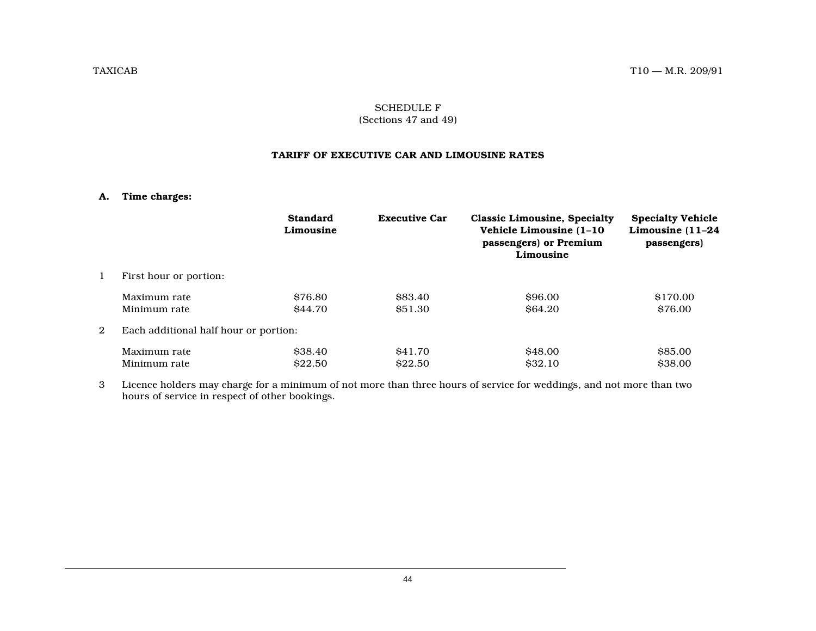# SCHEDULE F (Sections 47 and 49)

#### **TARIFF OF EXECUTIVE CAR AND LIMOUSINE RATES**

#### **A. Time charges:**

|   |                                       | <b>Standard</b><br>Limousine | <b>Executive Car</b> | <b>Classic Limousine, Specialty</b><br>Vehicle Limousine (1-10)<br>passengers) or Premium<br>Limousine | <b>Specialty Vehicle</b><br>Limousine (11-24<br>passengers) |  |  |
|---|---------------------------------------|------------------------------|----------------------|--------------------------------------------------------------------------------------------------------|-------------------------------------------------------------|--|--|
| 1 | First hour or portion:                |                              |                      |                                                                                                        |                                                             |  |  |
|   | Maximum rate                          | \$76.80                      | \$83.40              | \$96.00                                                                                                | \$170.00                                                    |  |  |
|   | Minimum rate                          | \$44.70                      | \$51.30              | <b>S64.20</b>                                                                                          | \$76.00                                                     |  |  |
| 2 | Each additional half hour or portion: |                              |                      |                                                                                                        |                                                             |  |  |
|   | Maximum rate                          | \$38.40                      | \$41.70              | <b>S48.00</b>                                                                                          | \$85.00                                                     |  |  |
|   | Minimum rate                          | \$22.50                      | \$22.50              | <b>S32.10</b>                                                                                          | \$38.00                                                     |  |  |

3 Licence holders may charge for a minimum of not more than three hours of service for weddings, and not more than two hours of service in respect of other bookings.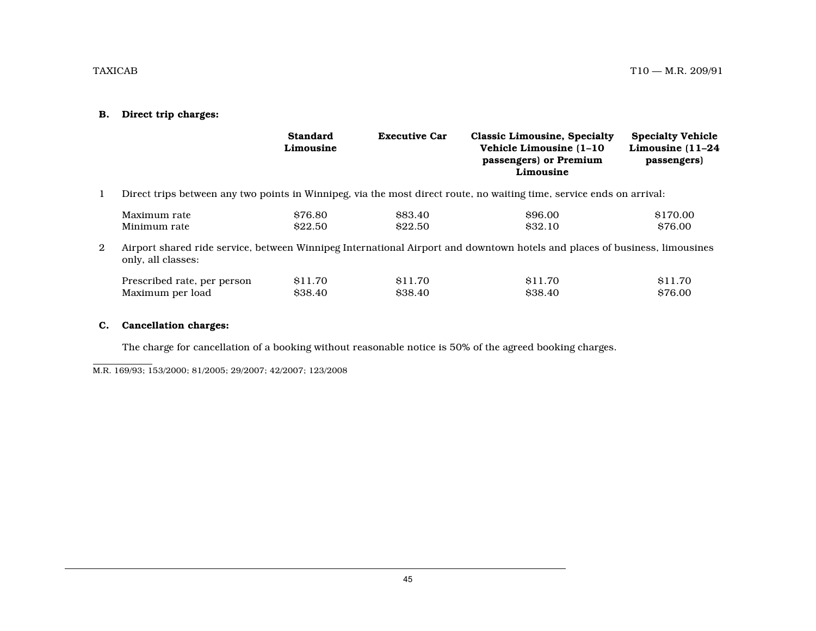# **B. Direct trip charges:**

|              |                                                 | <b>Standard</b><br>Limousine | <b>Executive Car</b>           | <b>Classic Limousine, Specialty</b><br>Vehicle Limousine (1-10)<br>passengers) or Premium<br>Limousine                     | <b>Specialty Vehicle</b><br>Limousine (11-24<br>passengers) |
|--------------|-------------------------------------------------|------------------------------|--------------------------------|----------------------------------------------------------------------------------------------------------------------------|-------------------------------------------------------------|
| $\mathbf{1}$ |                                                 |                              |                                | Direct trips between any two points in Winnipeg, via the most direct route, no waiting time, service ends on arrival:      |                                                             |
|              | Maximum rate<br>Minimum rate                    | \$76.80<br>\$22.50           | \$83.40<br>\$22.50             | \$96.00<br>\$32.10                                                                                                         | \$170.00<br>\$76.00                                         |
| 2            | only, all classes:                              |                              |                                | Airport shared ride service, between Winnipeg International Airport and downtown hotels and places of business, limousines |                                                             |
|              | Prescribed rate, per person<br>Maximum per load | <b>S11.70</b><br>\$38.40     | <b>S11.70</b><br><b>S38.40</b> | \$11.70<br>\$38.40                                                                                                         | \$11.70<br>\$76.00                                          |

# **C. Cancellation charges:**

The charge for cancellation of a booking without reasonable notice is 50% of the agreed booking charges.

M.R. 169/93; 153/2000; 81/2005; 29/2007; 42/2007; 123/2008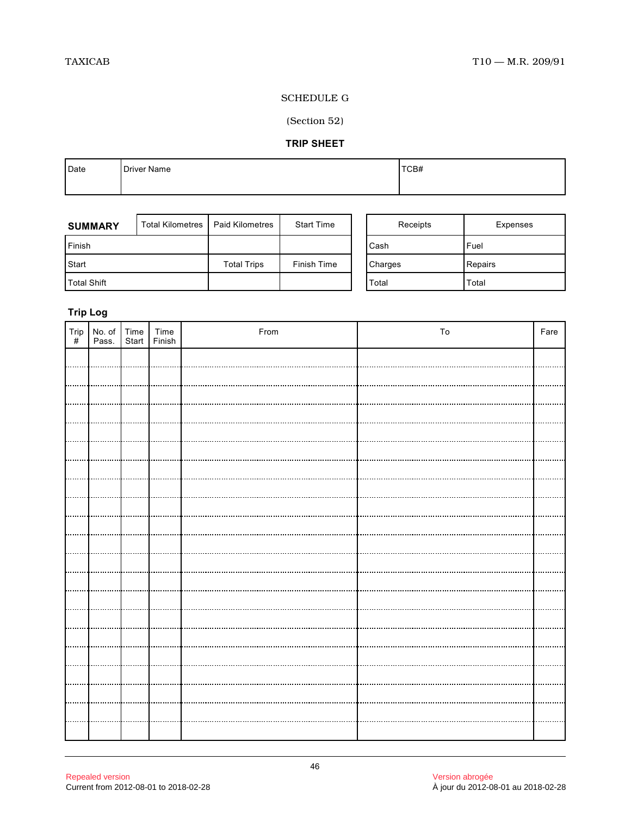# SCHEDULE G

# (Section 52)

# **TRIP SHEET**

| Date | <b>Driver Name</b> | TCB# |
|------|--------------------|------|
|      |                    |      |

| <b>SUMMARY</b>     | <b>Total Kilometres</b> | <b>Paid Kilometres</b> | <b>Start Time</b> | Receipts       | Expenses |
|--------------------|-------------------------|------------------------|-------------------|----------------|----------|
| <b>IFinish</b>     |                         |                        |                   | Cash           | Fuel     |
| Start              |                         | <b>Total Trips</b>     | Finish Time       | <b>Charges</b> | Repairs  |
| <b>Total Shift</b> |                         |                        |                   | Total          | Total    |

# **Trip Log**

| Trip<br># | No. of Time Time<br>Pass. Start Finish |  | From | To | Fare |
|-----------|----------------------------------------|--|------|----|------|
|           |                                        |  |      |    |      |
|           |                                        |  |      |    |      |
|           |                                        |  |      |    |      |
|           |                                        |  |      |    |      |
|           |                                        |  |      |    |      |
|           |                                        |  |      |    |      |
|           |                                        |  |      |    |      |
|           |                                        |  |      |    |      |
|           |                                        |  |      |    |      |
|           |                                        |  |      |    |      |
|           |                                        |  |      |    |      |
|           |                                        |  |      |    |      |
|           |                                        |  |      |    |      |
|           |                                        |  |      |    |      |
|           |                                        |  |      |    |      |
|           |                                        |  |      |    |      |
|           |                                        |  |      |    |      |
|           |                                        |  |      |    |      |
|           |                                        |  |      |    |      |
|           |                                        |  |      |    |      |
|           |                                        |  |      |    |      |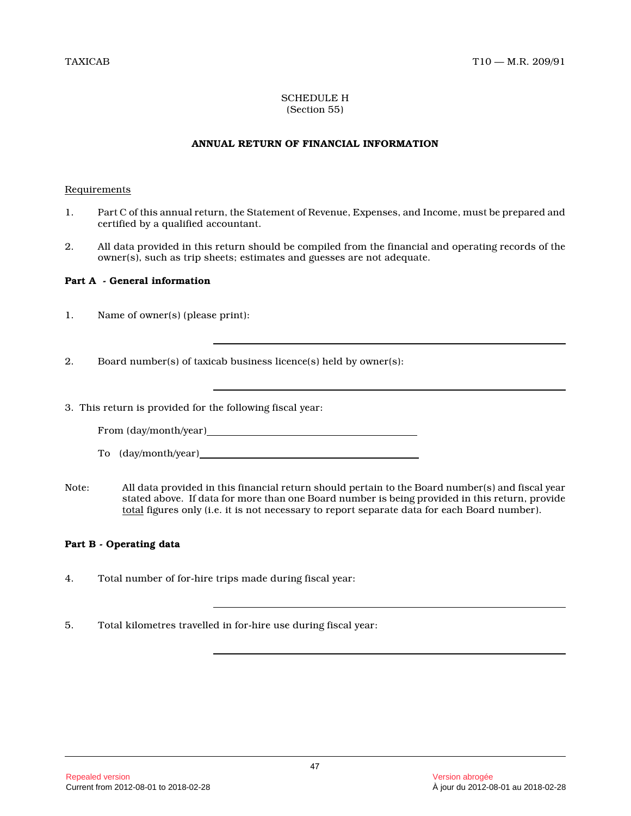# SCHEDULE H (Section 55)

# **ANNUAL RETURN OF FINANCIAL INFORMATION**

# Requirements

- 1. Part C of this annual return, the Statement of Revenue, Expenses, and Income, must be prepared and certified by a qualified accountant.
- 2. All data provided in this return should be compiled from the financial and operating records of the owner(s), such as trip sheets; estimates and guesses are not adequate.

# **Part A - General information**

- 1. Name of owner(s) (please print):
- 2. Board number(s) of taxicab business licence(s) held by owner(s):
- 3. This return is provided for the following fiscal year:

From (day/month/year)

- To (day/month/year)
- Note: All data provided in this financial return should pertain to the Board number(s) and fiscal year stated above. If data for more than one Board number is being provided in this return, provide total figures only (i.e. it is not necessary to report separate data for each Board number).

# **Part B - Operating data**

- 4. Total number of for-hire trips made during fiscal year:
- 5. Total kilometres travelled in for-hire use during fiscal year: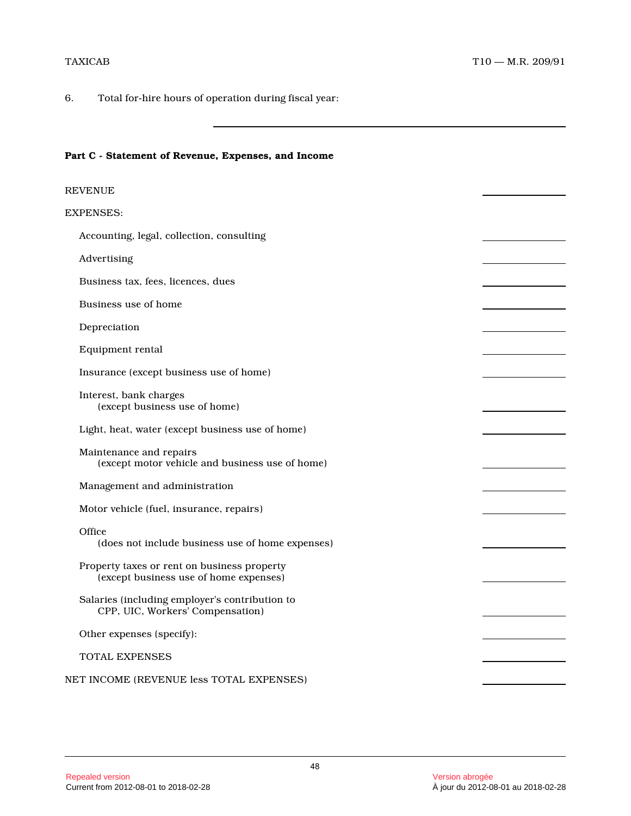6. Total for-hire hours of operation during fiscal year:

# **Part C - Statement of Revenue, Expenses, and Income**

| REVENUE                                                                               |  |
|---------------------------------------------------------------------------------------|--|
| EXPENSES:                                                                             |  |
| Accounting, legal, collection, consulting                                             |  |
| Advertising                                                                           |  |
| Business tax, fees, licences, dues                                                    |  |
| Business use of home                                                                  |  |
| Depreciation                                                                          |  |
| Equipment rental                                                                      |  |
| Insurance (except business use of home)                                               |  |
| Interest, bank charges<br>(except business use of home)                               |  |
| Light, heat, water (except business use of home)                                      |  |
| Maintenance and repairs<br>(except motor vehicle and business use of home)            |  |
| Management and administration                                                         |  |
| Motor vehicle (fuel, insurance, repairs)                                              |  |
| Office<br>(does not include business use of home expenses)                            |  |
| Property taxes or rent on business property<br>(except business use of home expenses) |  |
| Salaries (including employer's contribution to<br>CPP, UIC, Workers' Compensation)    |  |
| Other expenses (specify):                                                             |  |
| <b>TOTAL EXPENSES</b>                                                                 |  |
| NET INCOME (REVENUE less TOTAL EXPENSES)                                              |  |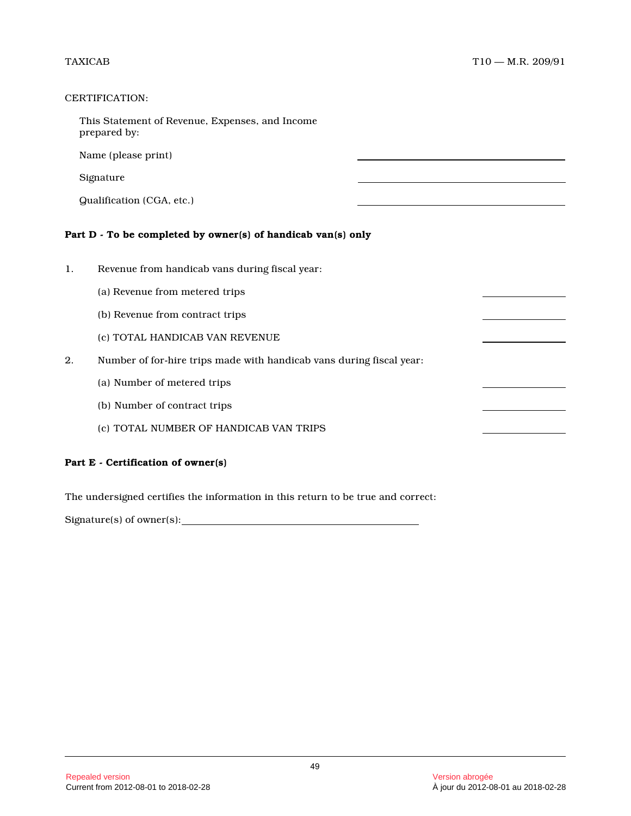# CERTIFICATION:

|    | This Statement of Revenue, Expenses, and Income<br>prepared by:      |  |  |  |  |  |
|----|----------------------------------------------------------------------|--|--|--|--|--|
|    | Name (please print)                                                  |  |  |  |  |  |
|    | Signature                                                            |  |  |  |  |  |
|    | Qualification (CGA, etc.)                                            |  |  |  |  |  |
|    | Part D - To be completed by owner(s) of handicab van(s) only         |  |  |  |  |  |
| 1. | Revenue from handicab vans during fiscal year:                       |  |  |  |  |  |
|    | (a) Revenue from metered trips                                       |  |  |  |  |  |
|    | (b) Revenue from contract trips                                      |  |  |  |  |  |
|    | (c) TOTAL HANDICAB VAN REVENUE                                       |  |  |  |  |  |
| 2. | Number of for-hire trips made with handicab vans during fiscal year: |  |  |  |  |  |
|    | (a) Number of metered trips                                          |  |  |  |  |  |
|    | (b) Number of contract trips                                         |  |  |  |  |  |
|    | (c) TOTAL NUMBER OF HANDICAB VAN TRIPS                               |  |  |  |  |  |
|    |                                                                      |  |  |  |  |  |

# **Part E - Certification of owner(s)**

The undersigned certifies the information in this return to be true and correct:

Signature(s) of owner(s):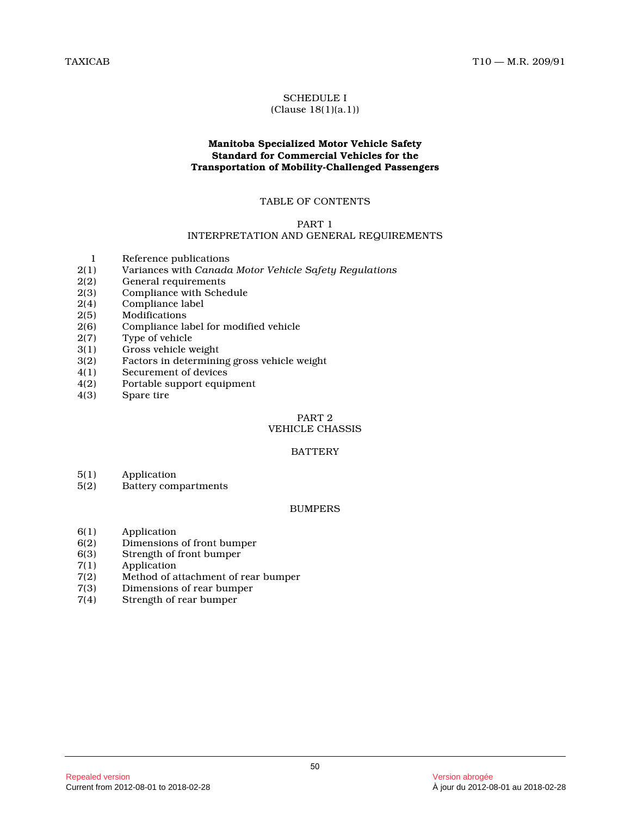#### SCHEDULE I (Clause 18(1)(a.1))

# **Manitoba Specialized Motor Vehicle Safety Standard for Commercial Vehicles for the Transportation of Mobility-Challenged Passengers**

# TABLE OF CONTENTS

#### PART 1

# INTERPRETATION AND GENERAL REQUIREMENTS

- 1 Reference publications<br>2(1) Variances with Canada
- 2(1) Variances with *Canada Motor Vehicle Safety Regulations*
- 2(2) General requirements<br>2(3) Compliance with Sche
- Compliance with Schedule
- 2(4) Compliance label<br>2(5) Modifications
- **Modifications**
- 2(6) Compliance label for modified vehicle
- 2(7) Type of vehicle
- 3(1) Gross vehicle weight
- 3(2) Factors in determining gross vehicle weight
- 4(1) Securement of devices
- 4(2) Portable support equipment
- Spare tire

# PART 2

# VEHICLE CHASSIS

#### BATTERY

- 5(1) Application<br>5(2) Battery com
- Battery compartments

#### BUMPERS

- 6(1) Application
- 6(2) Dimensions of front bumper<br>6(3) Strength of front bumper
- Strength of front bumper
- 7(1) Application<br>7(2) Method of a
- 7(2) Method of attachment of rear bumper
- 7(3) Dimensions of rear bumper
- Strength of rear bumper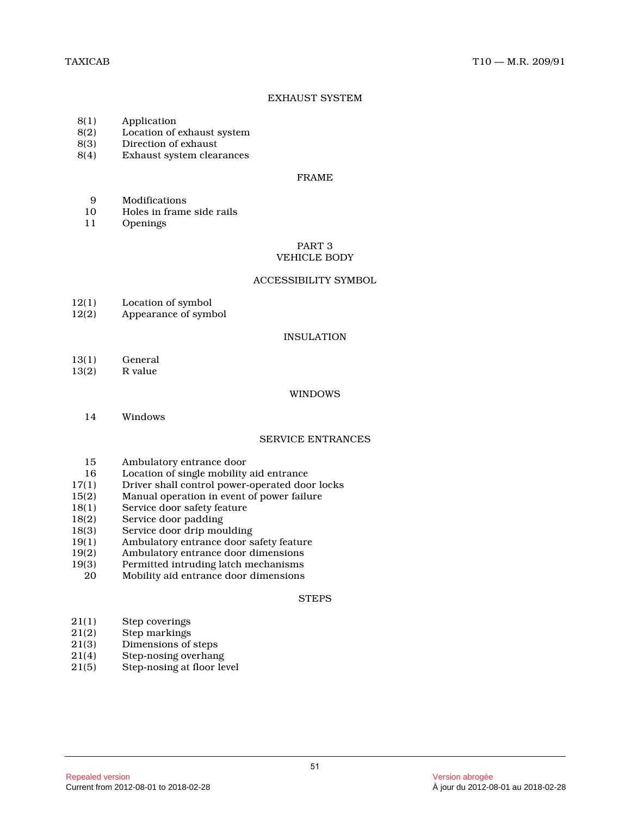# EXHAUST SYSTEM

- 8(1) Application<br>8(2) Location of
- 8(2) Location of exhaust system<br>8(3) Direction of exhaust
- Direction of exhaust
- 8(4) Exhaust system clearances

#### FRAME

- 9 Modifications<br>10 Holes in frame
- 10 Holes in frame side rails
- 11 Openings

#### PART 3 VEHICLE BODY

#### ACCESSIBILITY SYMBOL

- 12(1) Location of symbol<br>12(2) Appearance of symbol
- Appearance of symbol

#### INSULATION

- 13(1) General<br>13(2) R value
- R value

# WINDOWS

14 Windows

# SERVICE ENTRANCES

- 15 Ambulatory entrance door
- 16 Location of single mobility aid entrance<br>17(1) Driver shall control power-operated doc
- 17(1) Driver shall control power-operated door locks<br>15(2) Manual operation in event of power failure
- Manual operation in event of power failure
- 18(1) Service door safety feature
- 18(2) Service door padding
- 18(3) Service door drip moulding
- 19(1) Ambulatory entrance door safety feature<br>19(2) Ambulatory entrance door dimensions
- 19(2) Ambulatory entrance door dimensions<br>19(3) Permitted intruding latch mechanisms
- Permitted intruding latch mechanisms
- 20 Mobility aid entrance door dimensions

#### **STEPS**

- 21(1) Step coverings<br>21(2) Step markings
- Step markings
- 21(3) Dimensions of steps
- 21(4) Step-nosing overhang
- 21(5) Step-nosing at floor level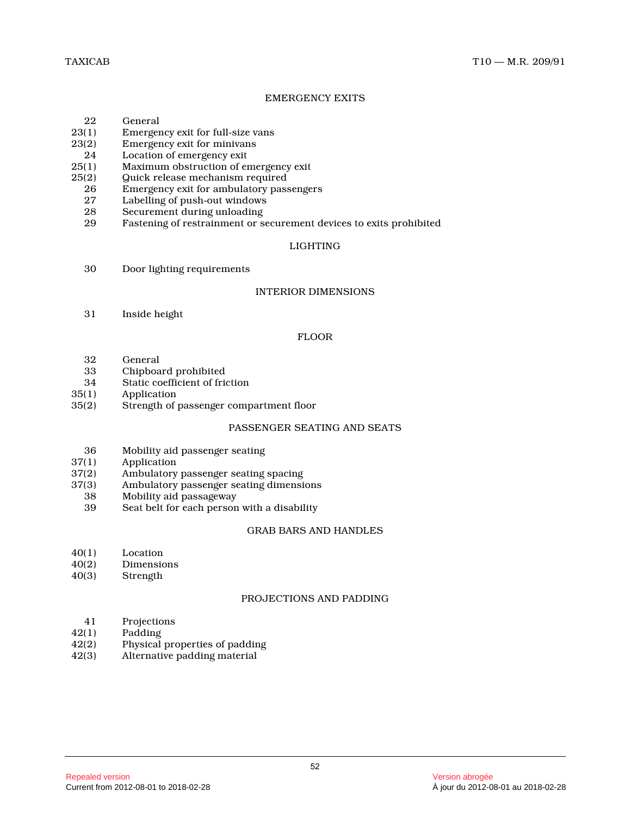# EMERGENCY EXITS

- 22 General<br>23(1) Emerger
- Emergency exit for full-size vans
- 23(2) Emergency exit for minivans
- 24 Location of emergency exit<br>25(1) Maximum obstruction of er
- 25(1) Maximum obstruction of emergency exit<br>25(2) Ouick release mechanism required
- (2) Guick release mechanism required<br>26 Emergency exit for ambulatory pass
- 26 Emergency exit for ambulatory passengers<br>27 Labelling of push-out windows
- 27 Labelling of push-out windows<br>28 Securement during unloading
- 28 Securement during unloading<br>29 Fastening of restrainment or s
- Fastening of restrainment or securement devices to exits prohibited

# LIGHTING

30 Door lighting requirements

#### INTERIOR DIMENSIONS

31 Inside height

#### FLOOR

- 
- 32 General 33 Chipboard prohibited<br>34 Static coefficient of frie
- Static coefficient of friction
- 35(1) Application
- 35(2) Strength of passenger compartment floor

# PASSENGER SEATING AND SEATS

- 36 Mobility aid passenger seating<br>37(1) Application
- **Application**
- 37(2) Ambulatory passenger seating spacing<br>37(3) Ambulatory passenger seating dimensi
- (3) Ambulatory passenger seating dimensions<br>38 Mobility aid passageway
- 38 Mobility aid passageway<br>39 Seat belt for each person
- Seat belt for each person with a disability

# GRAB BARS AND HANDLES

- 40(1) Location<br>40(2) Dimensio
- **Dimensions**
- 40(3) Strength

#### PROJECTIONS AND PADDING

- 41 Projections<br>42(1) Padding
- 
- 42(1) Padding<br>42(2) Physical Physical properties of padding
- 42(3) Alternative padding material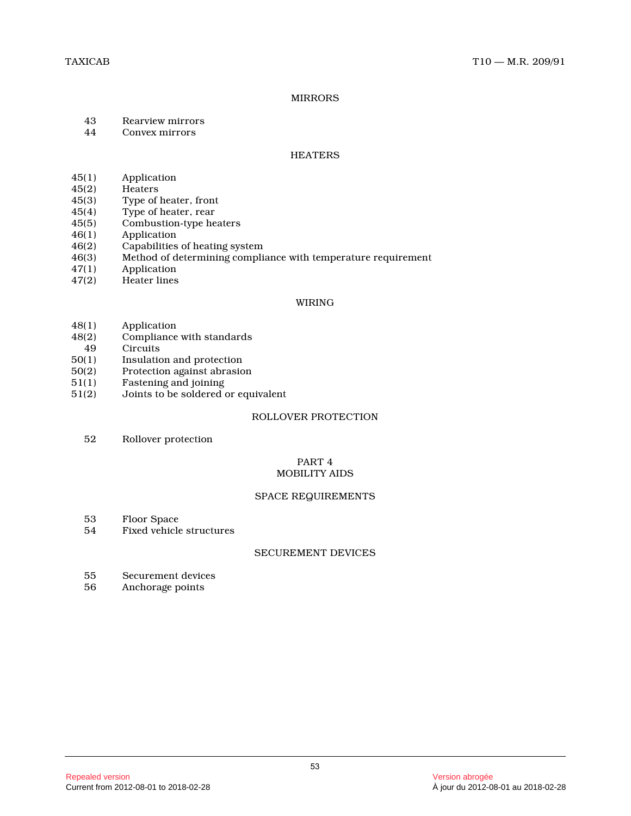#### MIRRORS

- 43 Rearview mirrors<br>44 Convex mirrors
- Convex mirrors

#### **HEATERS**

- 
- 45(1) Application<br>45(2) Heaters  $45(2)$  Heaters<br> $45(3)$  Type of
- 45(3) Type of heater, front<br>45(4) Type of heater, rear
- Type of heater, rear
- 45(5) Combustion-type heaters<br>46(1) Application
- 46(1) Application<br>46(2) Capabilities
- 46(2) Capabilities of heating system<br>46(3) Method of determining compli
- Method of determining compliance with temperature requirement
- 47(1) Application
- 47(2) Heater lines

#### WIRING

- 48(1) Application<br>48(2) Compliance
- Compliance with standards
- 49 Circuits<br>50(1) Insulatio
- 50(1) Insulation and protection<br>50(2) Protection against abrasio
- 50(2) Protection against abrasion<br>51(1) Fastening and joining
- Fastening and joining
- 51(2) Joints to be soldered or equivalent

#### ROLLOVER PROTECTION

52 Rollover protection

# PART 4 MOBILITY AIDS

#### SPACE REQUIREMENTS

- 53 Floor Space
- 54 Fixed vehicle structures

#### SECUREMENT DEVICES

- 55 Securement devices
- 56 Anchorage points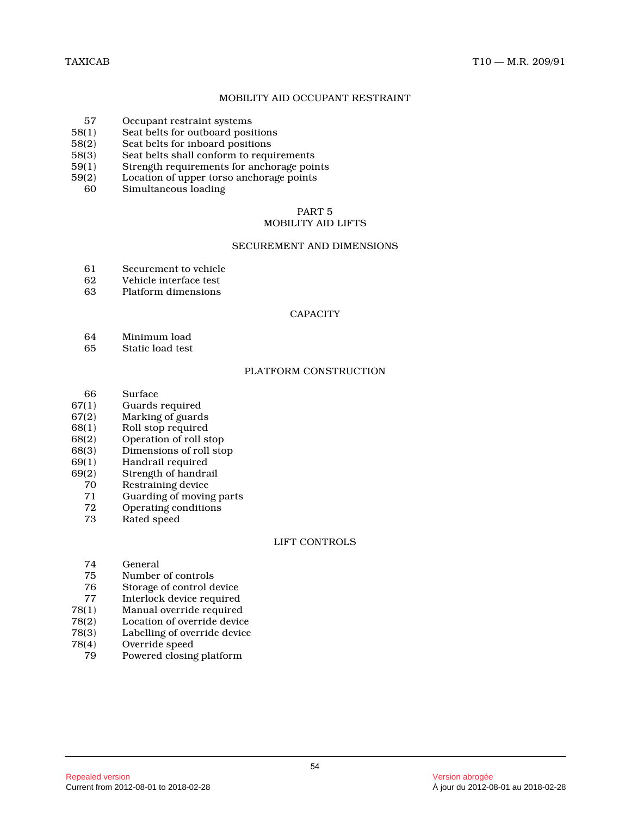# MOBILITY AID OCCUPANT RESTRAINT

- 57 Occupant restraint systems<br>58(1) Seat belts for outboard posi
- Seat belts for outboard positions
- 58(2) Seat belts for inboard positions
- 58(3) Seat belts shall conform to requirements<br>59(1) Strength requirements for anchorage poin
- 59(1) Strength requirements for anchorage points<br>59(2) Location of upper torso anchorage points
- (2) Location of upper torso anchorage points<br>60 Simultaneous loading
- Simultaneous loading

# PART 5

# MOBILITY AID LIFTS

# SECUREMENT AND DIMENSIONS

- 61 Securement to vehicle
- 62 Vehicle interface test<br>63 Platform dimensions
- Platform dimensions

#### **CAPACITY**

- 64 Minimum load
- 65 Static load test

#### PLATFORM CONSTRUCTION

- 66 Surface
- 67(1) Guards required
- 67(2) Marking of guards
- 68(1) Roll stop required<br>68(2) Operation of roll st
- 68(2) Operation of roll stop<br>68(3) Dimensions of roll sto
- Dimensions of roll stop
- 69(1) Handrail required
- 69(2) Strength of handrail
	- 70 Restraining device<br>71 Guarding of movin
	- 71 Guarding of moving parts<br>72. Operating conditions
	- 72 Operating conditions
	- Rated speed

# LIFT CONTROLS

- 74 General
- 75 Number of controls<br>76 Storage of control d
- Storage of control device
- 77 Interlock device required
- 78(1) Manual override required
- Location of override device
- 78(3) Labelling of override device
- 78(4) Override speed
- 79 Powered closing platform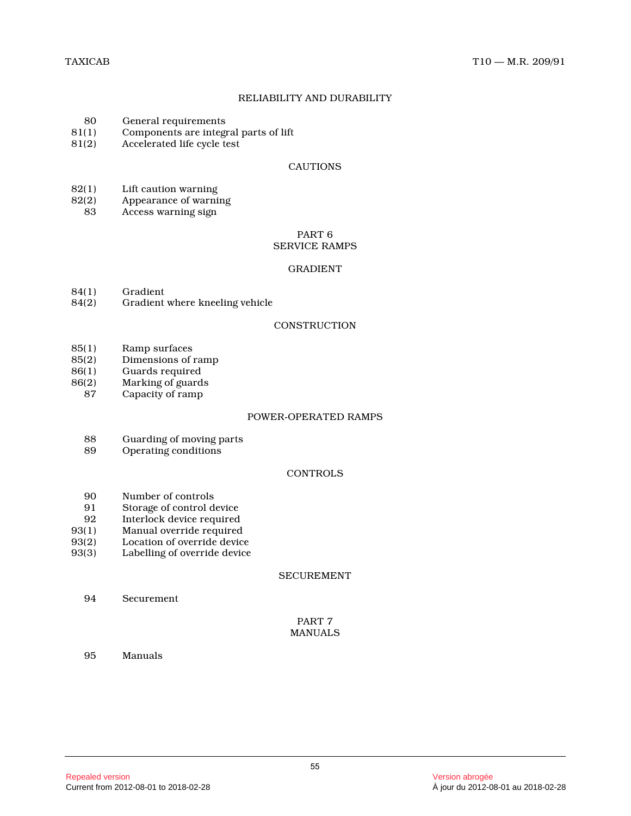# RELIABILITY AND DURABILITY

- 80 General requirements<br>81(1) Components are integr
- 81(1) Components are integral parts of lift<br>81(2) Accelerated life cycle test
- Accelerated life cycle test

#### CAUTIONS

- 82(1) Lift caution warning<br>82(2) Appearance of warni
- $B(2)$  Appearance of warning<br>83 Access warning sign
- Access warning sign

#### PART 6 SERVICE RAMPS

#### GRADIENT

- 84(1) Gradient<br>84(2) Gradient
- Gradient where kneeling vehicle

#### **CONSTRUCTION**

- 85(1) Ramp surfaces<br>85(2) Dimensions of
- 85(2) Dimensions of ramp<br>86(1) Guards required
- 86(1) Guards required
- Marking of guards
- 87 Capacity of ramp

#### POWER-OPERATED RAMPS

- 88 Guarding of moving parts<br>89 Operating conditions
- Operating conditions

# **CONTROLS**

- 90 Number of controls<br>91 Storage of control d
- 91 Storage of control device<br>92 Interlock device required
- Interlock device required
- 93(1) Manual override required
- 93(2) Location of override device<br>93(3) Labelling of override device
- Labelling of override device

# SECUREMENT

94 Securement

# PART 7 MANUALS

95 Manuals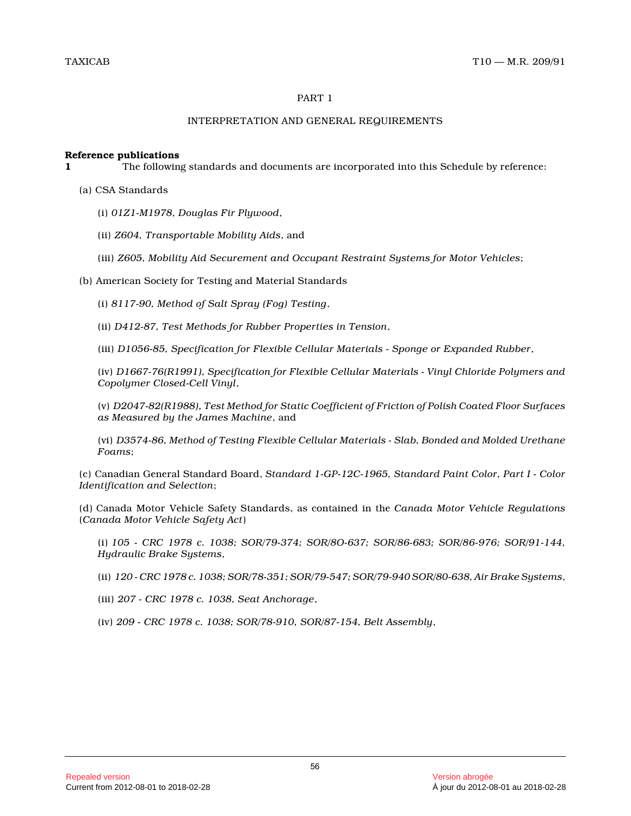# PART 1

# INTERPRETATION AND GENERAL REQUIREMENTS

#### **Reference publications**

**1** The following standards and documents are incorporated into this Schedule by reference:

- (a) CSA Standards
	- (i) *01Z1-M1978, Douglas Fir Plywood* ,
	- (ii) *Z604, Transportable Mobility Aids*, and
	- (iii) *Z605, Mobility Aid Securement and Occupant Restraint Systems for Motor Vehicles* ;
- (b) American Society for Testing and Material Standards

(i) *8117-90, Method of Salt Spray (Fog) Testing* ,

(ii) *D412-87, Test Methods for Rubber Properties in Tension* ,

(iii) *D1056-85, Specification for Flexible Cellular Materials - Sponge or Expanded Rubber* ,

(iv) *D1667-76(R1991), Specification for Flexible Cellular Materials - Vinyl Chloride Polymers and Copolymer Closed-Cell Vinyl* ,

(v) *D2047-82(R1988), Test Method for Static Coefficient of Friction of Polish Coated Floor Surfaces as Measured by the James Machine*, and

(vi) *D3574-86, Method of Testing Flexible Cellular Materials - Slab, Bonded and Molded Urethane Foams* ;

(c) Canadian General Standard Board, *Standard 1-GP-12C-1965, Standard Paint Color, Part I - Color Identification and Selection* ;

(d) Canada Motor Vehicle Safety Standards, as contained in the *Canada Motor Vehicle Regulations* (*Canada Motor Vehicle Safety Act*)

(i) *105 - CRC 1978 c. 1038; SOR/79-374; SOR/8O-637; SOR/86-683; SOR/86-976; SOR/91-144, Hydraulic Brake Systems* ,

- (ii) *120 CRC 1978 c. 1038; SOR/78-351; SOR/79-547; SOR/79-940 SOR/80-638, Air Brake Systems* ,
- (iii) *207 CRC 1978 c. 1038, Seat Anchorage* ,

(iv) *209 - CRC 1978 c. 1038; SOR/78-910, SOR/87-154, Belt Assembly* ,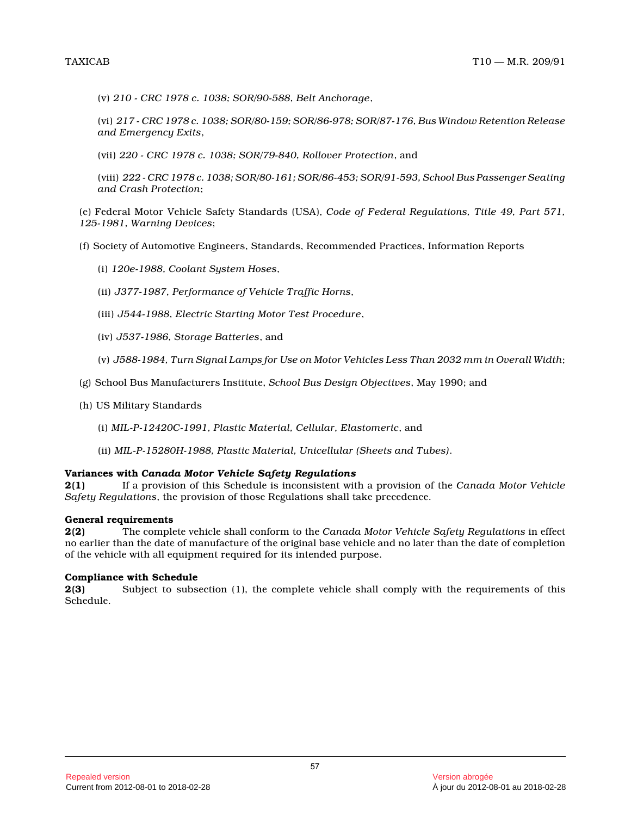(v) *210 - CRC 1978 c. 1038; SOR/90-588, Belt Anchorage* ,

(vi) *217 - CRC 1978 c. 1038; SOR/80-159; SOR/86-978; SOR/87-176, Bus Window Retention Release and Emergency Exits* ,

(vii) *220 - CRC 1978 c. 1038; SOR/79-840, Rollover Protection*, and

(viii) *222 - CRC 1978 c. 1038; SOR/80-161; SOR/86-453; SOR/91-593, School Bus Passenger Seating and Crash Protection* ;

(e) Federal Motor Vehicle Safety Standards (USA), *Code of Federal Regulations, Title 49, Part 571, 125-1981, Warning Devices* ;

(f) Society of Automotive Engineers, Standards, Recommended Practices, Information Reports

- (i) *120e-1988, Coolant System Hoses* ,
- (ii) *J377-1987, Performance of Vehicle Traffic Horns* ,
- (iii) *J544-1988, Electric Starting Motor Test Procedure* ,
- (iv) *J537-1986, Storage Batteries*, and
- (v) *J588-1984, Turn Signal Lamps for Use on Motor Vehicles Less Than 2032 mm in Overall Width* ;
- (g) School Bus Manufacturers Institute, *School Bus Design Objectives*, May 1990; and
- (h) US Military Standards
	- (i) *MIL-P-12420C-1991, Plastic Material, Cellular, Elastomeric*, and
	- (ii) *MIL-P-15280H-1988, Plastic Material, Unicellular (Sheets and Tubes)* .

#### **Variances with** *Canada Motor Vehicle Safety Regulations*

**2(1)** If a provision of this Schedule is inconsistent with a provision of the *Canada Motor Vehicle Safety Regulations*, the provision of those Regulations shall take precedence.

#### **General requirements**

**2(2)** The complete vehicle shall conform to the *Canada Motor Vehicle Safety Regulations* in effect no earlier than the date of manufacture of the original base vehicle and no later than the date of completion of the vehicle with all equipment required for its intended purpose.

#### **Compliance with Schedule**

**2(3)** Subject to subsection (1), the complete vehicle shall comply with the requirements of this Schedule.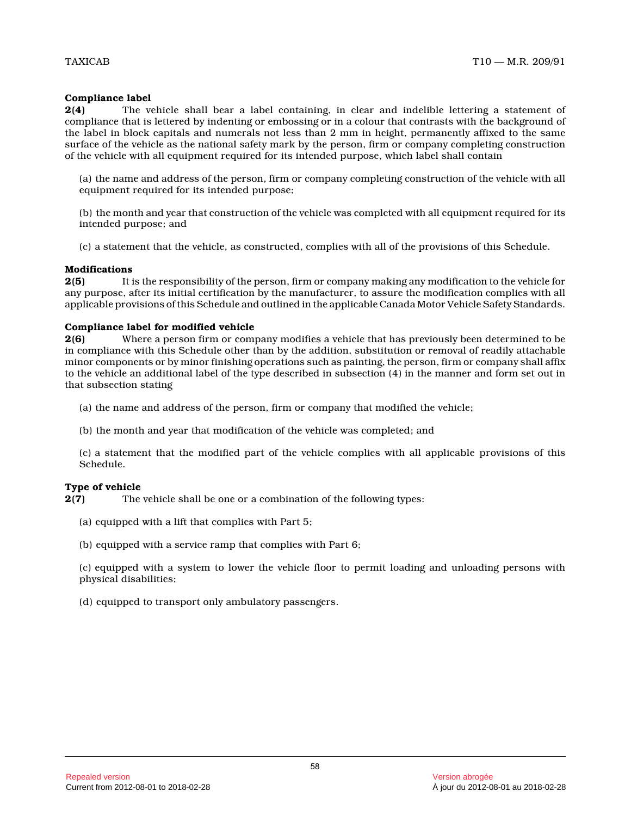#### **Compliance label**

**2(4)** The vehicle shall bear a label containing, in clear and indelible lettering a statement of compliance that is lettered by indenting or embossing or in a colour that contrasts with the background of the label in block capitals and numerals not less than 2 mm in height, permanently affixed to the same surface of the vehicle as the national safety mark by the person, firm or company completing construction of the vehicle with all equipment required for its intended purpose, which label shall contain

(a) the name and address of the person, firm or company completing construction of the vehicle with all equipment required for its intended purpose;

(b) the month and year that construction of the vehicle was completed with all equipment required for its intended purpose; and

(c) a statement that the vehicle, as constructed, complies with all of the provisions of this Schedule.

#### **Modifications**

**2(5)** It is the responsibility of the person, firm or company making any modification to the vehicle for any purpose, after its initial certification by the manufacturer, to assure the modification complies with all applicable provisions of this Schedule and outlined in the applicable Canada Motor Vehicle Safety Standards.

#### **Compliance label for modified vehicle**

**2(6)** Where a person firm or company modifies a vehicle that has previously been determined to be in compliance with this Schedule other than by the addition, substitution or removal of readily attachable minor components or by minor finishing operations such as painting, the person, firm or company shall affix to the vehicle an additional label of the type described in subsection (4) in the manner and form set out in that subsection stating

- (a) the name and address of the person, firm or company that modified the vehicle;
- (b) the month and year that modification of the vehicle was completed; and

(c) a statement that the modified part of the vehicle complies with all applicable provisions of this Schedule.

# **Type of vehicle**<br>**2(7)** The

The vehicle shall be one or a combination of the following types:

- (a) equipped with a lift that complies with Part 5;
- (b) equipped with a service ramp that complies with Part 6;

(c) equipped with a system to lower the vehicle floor to permit loading and unloading persons with physical disabilities;

(d) equipped to transport only ambulatory passengers .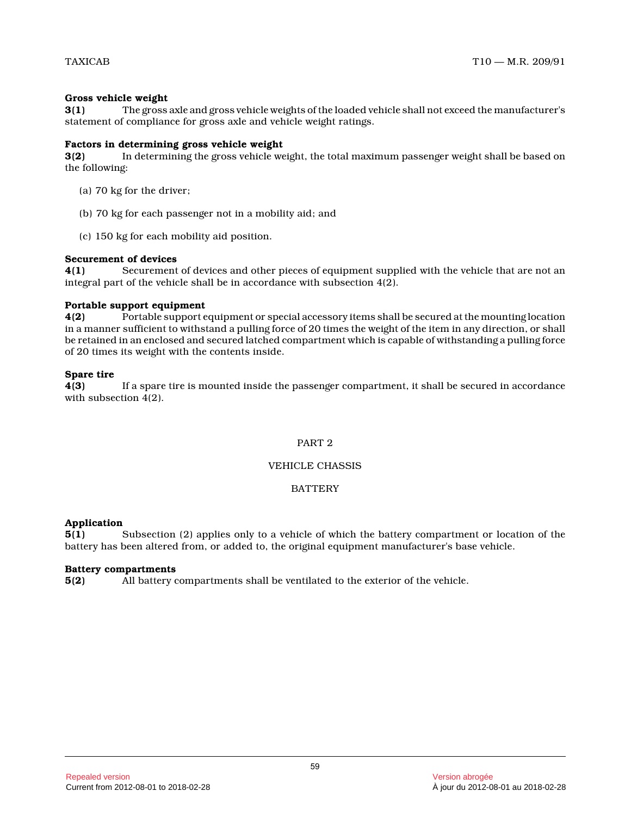# **Gross vehicle weight**

**3(1)** The gross axle and gross vehicle weights of the loaded vehicle shall not exceed the manufacturer's statement of compliance for gross axle and vehicle weight ratings.

# **Factors in determining gross vehicle weight**

**3(2)** In determining the gross vehicle weight, the total maximum passenger weight shall be based on the following:

- (a) 70 kg for the driver;
- (b) 70 kg for each passenger not in a mobility aid; and
- (c) 150 kg for each mobility aid position.

# **Securement of devices**

**4(1)** Securement of devices and other pieces of equipment supplied with the vehicle that are not an integral part of the vehicle shall be in accordance with subsection 4(2).

# **Portable support equipment**

**4(2)** Portable support equipment or special accessory items shall be secured at the mounting location in a manner sufficient to withstand a pulling force of 20 times the weight of the item in any direction, or shall be retained in an enclosed and secured latched compartment which is capable of withstanding a pulling force of 20 times its weight with the contents inside.

# **Spare tire**

**4(3)** If a spare tire is mounted inside the passenger compartment, it shall be secured in accordance with subsection 4(2).

# PART 2

# VEHICLE CHASSIS

# **BATTERY**

# **Application**

**5(1)** Subsection (2) applies only to a vehicle of which the battery compartment or location of the battery has been altered from, or added to, the original equipment manufacturer's base vehicle.

# **Battery compartments**

**5(2)** All battery compartments shall be ventilated to the exterior of the vehicle.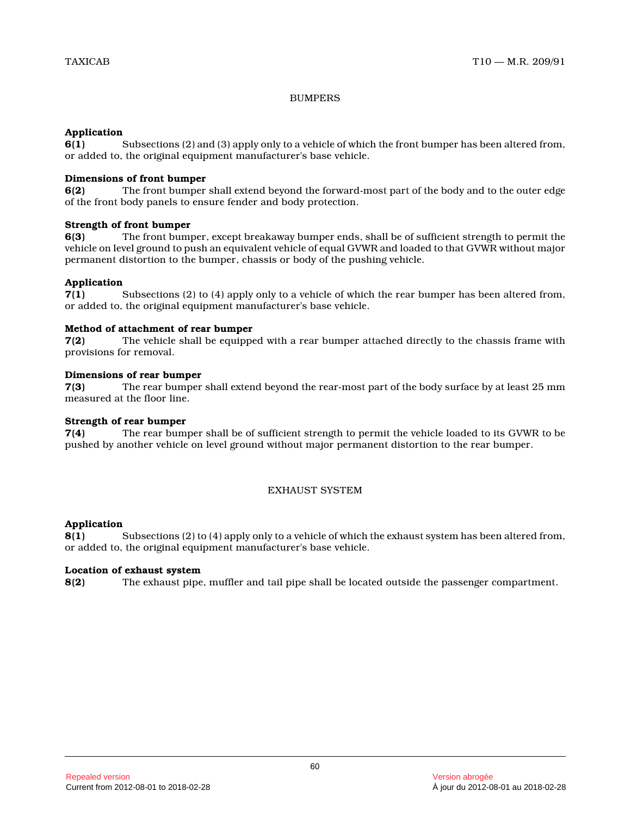# BUMPERS

# **Application**

**6(1)** Subsections (2) and (3) apply only to a vehicle of which the front bumper has been altered from, or added to, the original equipment manufacturer's base vehicle.

# **Dimensions of front bumper**

**6(2)** The front bumper shall extend beyond the forward-most part of the body and to the outer edge of the front body panels to ensure fender and body protection.

# **Strength of front bumper**

**6(3)** The front bumper, except breakaway bumper ends, shall be of sufficient strength to permit the vehicle on level ground to push an equivalent vehicle of equal GVWR and loaded to that GVWR without major permanent distortion to the bumper, chassis or body of the pushing vehicle.

# **Application**

**7(1)** Subsections (2) to (4) apply only to a vehicle of which the rear bumper has been altered from, or added to, the original equipment manufacturer's base vehicle.

# **Method of attachment of rear bumper**

**7(2)** The vehicle shall be equipped with a rear bumper attached directly to the chassis frame with provisions for removal.

# **Dimensions of rear bumper**

**7(3)** The rear bumper shall extend beyond the rear-most part of the body surface by at least 25 mm measured at the floor line.

# **Strength of rear bumper**

**7(4)** The rear bumper shall be of sufficient strength to permit the vehicle loaded to its GVWR to be pushed by another vehicle on level ground without major permanent distortion to the rear bumper.

# EXHAUST SYSTEM

# **Application**

**8(1)** Subsections (2) to (4) apply only to a vehicle of which the exhaust system has been altered from, or added to, the original equipment manufacturer's base vehicle.

# **Location of exhaust system**

**8(2)** The exhaust pipe, muffler and tail pipe shall be located outside the passenger compartment.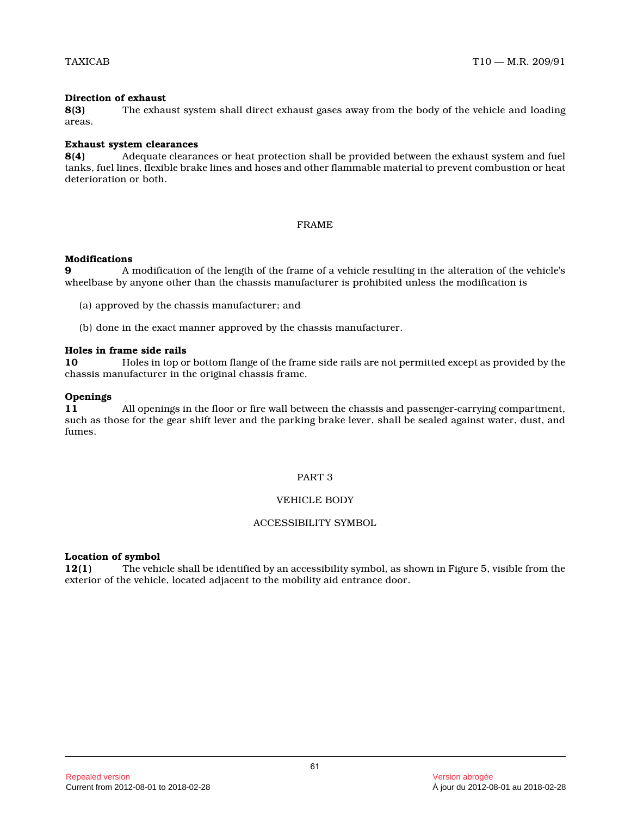# **Direction of exhaust**

**8(3)** The exhaust system shall direct exhaust gases away from the body of the vehicle and loading areas.

#### **Exhaust system clearances**

**8(4)** Adequate clearances or heat protection shall be provided between the exhaust system and fuel tanks, fuel lines, flexible brake lines and hoses and other flammable material to prevent combustion or heat deterioration or both.

# FRAME

#### **Modifications**

**9** A modification of the length of the frame of a vehicle resulting in the alteration of the vehicle's wheelbase by anyone other than the chassis manufacturer is prohibited unless the modification is

(a) approved by the chassis manufacturer; and

(b) done in the exact manner approved by the chassis manufacturer.

#### **Holes in frame side rails**

**10** Holes in top or bottom flange of the frame side rails are not permitted except as provided by the chassis manufacturer in the original chassis frame.

#### **Openings**

**11** All openings in the floor or fire wall between the chassis and passenger-carrying compartment, such as those for the gear shift lever and the parking brake lever, shall be sealed against water, dust, and fumes.

# PART 3

# VEHICLE BODY

#### ACCESSIBILITY SYMBOL

# **Location of symbol**

**12(1)** The vehicle shall be identified by an accessibility symbol, as shown in Figure 5, visible from the exterior of the vehicle, located adjacent to the mobility aid entrance door.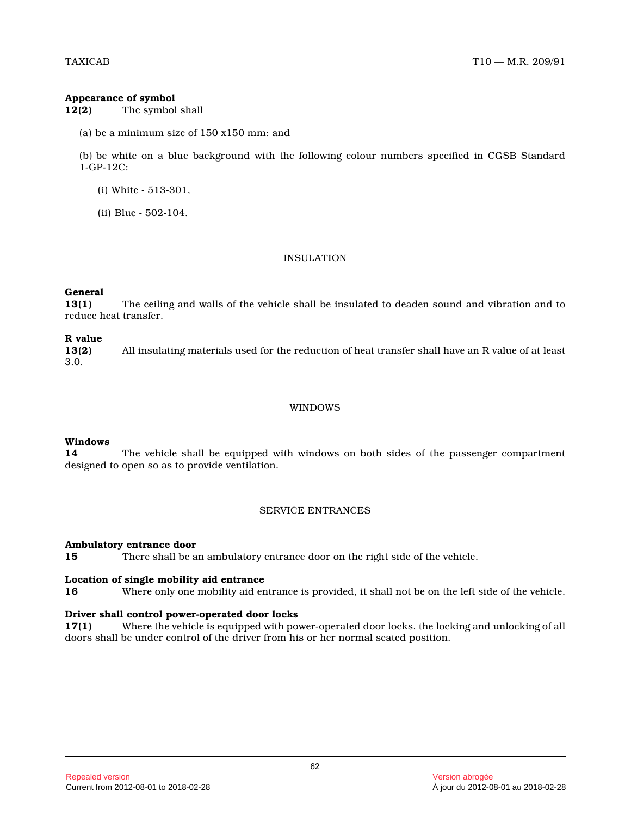#### **Appearance of symbol**

**12(2)** The symbol shall

(a) be a minimum size of 150 x150 mm; and

(b) be white on a blue background with the following colour numbers specified in CGSB Standard 1-GP-12C:

- (i) White 513-301,
- (ii) Blue 502-104.

# INSULATION

#### **General**

**13(1)** The ceiling and walls of the vehicle shall be insulated to deaden sound and vibration and to reduce heat transfer.

#### **R value**

**13(2)** All insulating materials used for the reduction of heat transfer shall have an R value of at least 3.0.

# WINDOWS

# **Windows**

**14** The vehicle shall be equipped with windows on both sides of the passenger compartment designed to open so as to provide ventilation.

# SERVICE ENTRANCES

#### **Ambulatory entrance door**

**15** There shall be an ambulatory entrance door on the right side of the vehicle.

#### **Location of single mobility aid entrance**

**16** Where only one mobility aid entrance is provided, it shall not be on the left side of the vehicle.

# **Driver shall control power-operated door locks**

**17(1)** Where the vehicle is equipped with power-operated door locks, the locking and unlocking of all doors shall be under control of the driver from his or her normal seated position.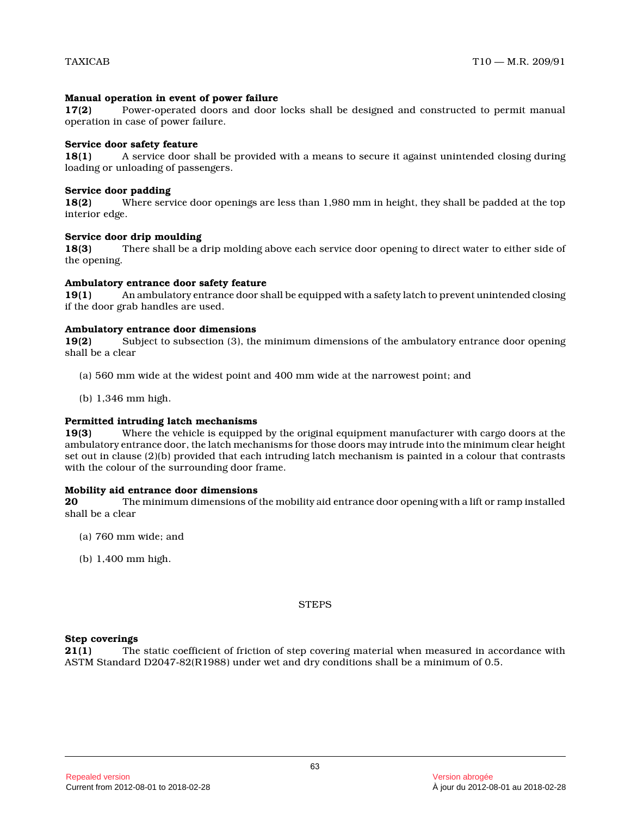# **Manual operation in event of power failure**

**17(2)** Power-operated doors and door locks shall be designed and constructed to permit manual operation in case of power failure.

#### **Service door safety feature**

**18(1)** A service door shall be provided with a means to secure it against unintended closing during loading or unloading of passengers.

#### **Service door padding**

**18(2)** Where service door openings are less than 1,980 mm in height, they shall be padded at the top interior edge.

#### **Service door drip moulding**

**18(3)** There shall be a drip molding above each service door opening to direct water to either side of the opening.

#### **Ambulatory entrance door safety feature**

**19(1)** An ambulatory entrance door shall be equipped with a safety latch to prevent unintended closing if the door grab handles are used.

#### **Ambulatory entrance door dimensions**

**19(2)** Subject to subsection (3), the minimum dimensions of the ambulatory entrance door opening shall be a clear

- (a) 560 mm wide at the widest point and 400 mm wide at the narrowest point; and
- (b) 1,346 mm high.

# **Permitted intruding latch mechanisms**

**19(3)** Where the vehicle is equipped by the original equipment manufacturer with cargo doors at the ambulatory entrance door, the latch mechanisms for those doors may intrude into the minimum clear height set out in clause (2)(b) provided that each intruding latch mechanism is painted in a colour that contrasts with the colour of the surrounding door frame.

#### **Mobility aid entrance door dimensions**

**20** The minimum dimensions of the mobility aid entrance door opening with a lift or ramp installed shall be a clear

- (a) 760 mm wide; and
- (b) 1,400 mm high.

#### **STEPS**

#### **Step coverings**

**21(1)** The static coefficient of friction of step covering material when measured in accordance with ASTM Standard D2047-82(R1988) under wet and dry conditions shall be a minimum of 0.5.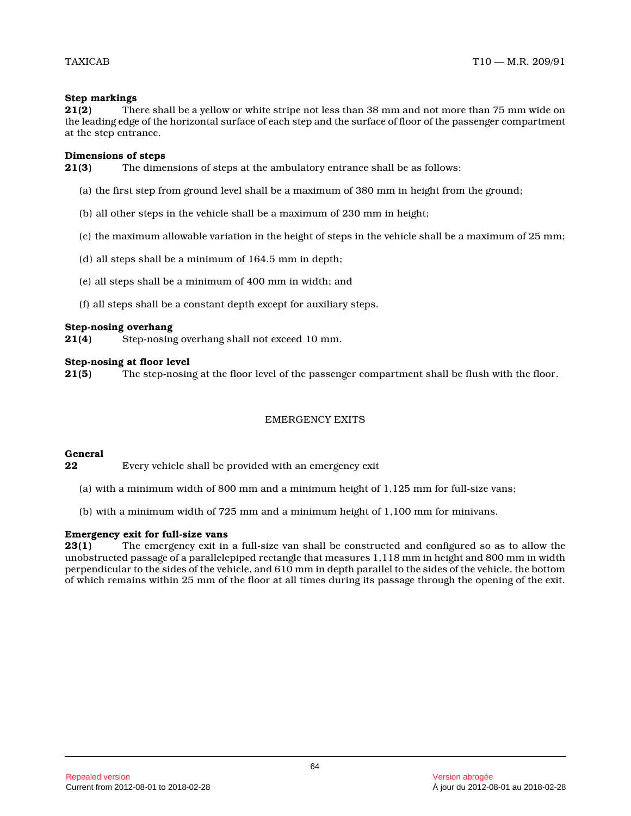#### **Step markings**

**21(2)** There shall be a yellow or white stripe not less than 38 mm and not more than 75 mm wide on the leading edge of the horizontal surface of each step and the surface of floor of the passenger compartment at the step entrance.

#### **Dimensions of steps**

**21(3)** The dimensions of steps at the ambulatory entrance shall be as follows:

- (a) the first step from ground level shall be a maximum of 380 mm in height from the ground;
- (b) all other steps in the vehicle shall be a maximum of 230 mm in height;
- (c) the maximum allowable variation in the height of steps in the vehicle shall be a maximum of 25 mm;
- (d) all steps shall be a minimum of 164.5 mm in depth;
- (e) all steps shall be a minimum of 400 mm in width; and
- (f) all steps shall be a constant depth except for auxiliary steps.

# **Step-nosing overhang**<br>**21(4)** Step-nosing

**21(4)** Step-nosing overhang shall not exceed 10 mm.

# **Step-nosing at floor level**<br>**21(5)** The step-nosin

**21(5)** The step-nosing at the floor level of the passenger compartment shall be flush with the floor.

# EMERGENCY EXITS

#### **General**

**22** Every vehicle shall be provided with an emergency exit

- (a) with a minimum width of 800 mm and a minimum height of 1,125 mm for full-size vans;
- (b) with a minimum width of 725 mm and a minimum height of 1,100 mm for minivans.

#### **Emergency exit for full-size vans**

**23(1)** The emergency exit in a full-size van shall be constructed and configured so as to allow the unobstructed passage of a parallelepiped rectangle that measures 1,118 mm in height and 800 mm in widt h perpendicular to the sides of the vehicle, and 610 mm in depth parallel to the sides of the vehicle, the bottom of which remains within 25 mm of the floor at all times during its passage through the opening of the exit.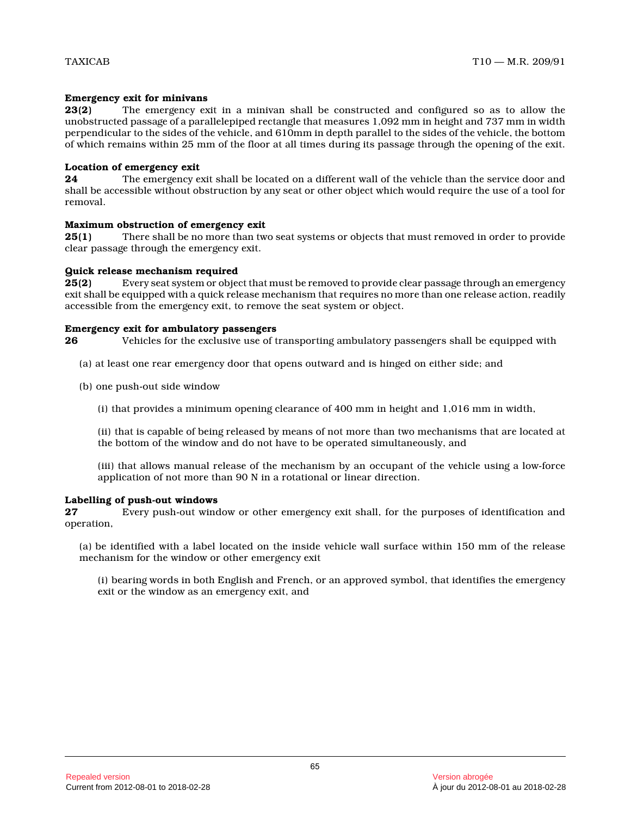# **Emergency exit for minivans**

**23(2)** The emergency exit in a minivan shall be constructed and configured so as to allow the unobstructed passage of a parallelepiped rectangle that measures 1,092 mm in height and 737 mm in widt h perpendicular to the sides of the vehicle, and 610mm in depth parallel to the sides of the vehicle, the bottom of which remains within 25 mm of the floor at all times during its passage through the opening of the exit.

# **Location of emergency exit**

**24** The emergency exit shall be located on a different wall of the vehicle than the service door and shall be accessible without obstruction by any seat or other object which would require the use of a tool for removal.

# **Maximum obstruction of emergency exit**

**25(1)** There shall be no more than two seat systems or objects that must removed in order to provide clear passage through the emergency exit.

# **Quick release mechanism required**

**25(2)** Every seat system or object that must be removed to provide clear passage through an emergency exit shall be equipped with a quick release mechanism that requires no more than one release action, readily accessible from the emergency exit, to remove the seat system or object.

# **Emergency exit for ambulatory passengers**

**26** Vehicles for the exclusive use of transporting ambulatory passengers shall be equipped with

- (a) at least one rear emergency door that opens outward and is hinged on either side; and
- (b) one push-out side window
	- (i) that provides a minimum opening clearance of 400 mm in height and 1,016 mm in width,

(ii) that is capable of being released by means of not more than two mechanisms that are located at the bottom of the window and do not have to be operated simultaneously, and

(iii) that allows manual release of the mechanism by an occupant of the vehicle using a low-force application of not more than 90 N in a rotational or linear direction.

# **Labelling of push-out windows**

**27** Every push-out window or other emergency exit shall, for the purposes of identification and operation,

(a) be identified with a label located on the inside vehicle wall surface within 150 mm of the release mechanism for the window or other emergency exit

(i) bearing words in both English and French, or an approved symbol, that identifies the emergency exit or the window as an emergency exit, and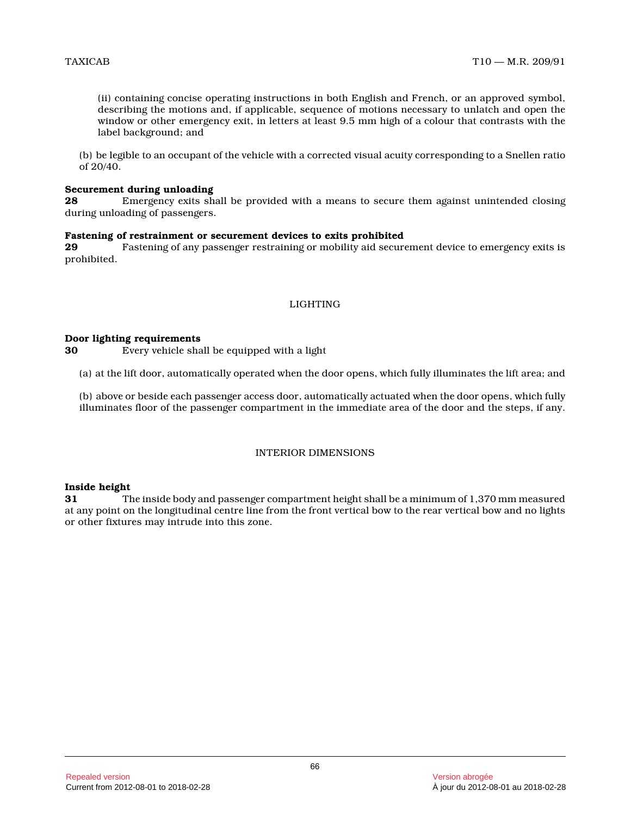(ii) containing concise operating instructions in both English and French, or an approved symbol, describing the motions and, if applicable, sequence of motions necessary to unlatch and open the window or other emergency exit, in letters at least 9.5 mm high of a colour that contrasts with the label background; and

(b) be legible to an occupant of the vehicle with a corrected visual acuity corresponding to a Snellen ratio of 20/40.

#### **Securement during unloading**

**28** Emergency exits shall be provided with a means to secure them against unintended closing during unloading of passengers.

#### **Fastening of restrainment or securement devices to exits prohibited**

**29** Fastening of any passenger restraining or mobility aid securement device to emergency exits is prohibited.

# LIGHTING

#### **Door lighting requirements**

**30** Every vehicle shall be equipped with a light

(a) at the lift door, automatically operated when the door opens, which fully illuminates the lift area; and

(b) above or beside each passenger access door, automatically actuated when the door opens, which fully illuminates floor of the passenger compartment in the immediate area of the door and the steps, if any .

# INTERIOR DIMENSIONS

#### **Inside height**

**31** The inside body and passenger compartment height shall be a minimum of 1,370 mm measured at any point on the longitudinal centre line from the front vertical bow to the rear vertical bow and no lights or other fixtures may intrude into this zone.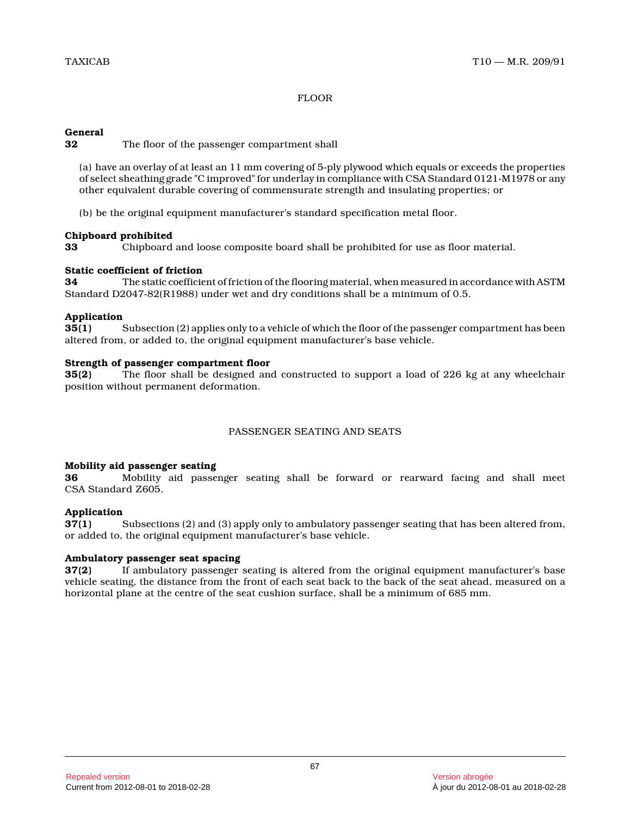# FLOOR

# **General**

**32** The floor of the passenger compartment shall

(a) have an overlay of at least an 11 mm covering of 5-ply plywood which equals or exceeds the properties of select sheathing grade "C improved" for underlay in compliance with CSA Standard 0121-M1978 or any other equivalent durable covering of commensurate strength and insulating properties; or

(b) be the original equipment manufacturer's standard specification metal floor.

# **Chipboard prohibited**

**33** Chipboard and loose composite board shall be prohibited for use as floor material.

# **Static coefficient of friction**

**34** The static coefficient of friction of the flooring material, when measured in accordance with ASTM Standard D2047-82(R1988) under wet and dry conditions shall be a minimum of 0.5.

# **Application**

**35(1)** Subsection (2) applies only to a vehicle of which the floor of the passenger compartment has been altered from, or added to, the original equipment manufacturer's base vehicle.

# **Strength of passenger compartment floor**

**35(2)** The floor shall be designed and constructed to support a load of 226 kg at any wheelchair position without permanent deformation.

# PASSENGER SEATING AND SEATS

# **Mobility aid passenger seating**

**36** Mobility aid passenger seating shall be forward or rearward facing and shall meet CSA Standard Z605.

# **Application**

**37(1)** Subsections (2) and (3) apply only to ambulatory passenger seating that has been altered from, or added to, the original equipment manufacturer's base vehicle.

# **Ambulatory passenger seat spacing**

**37(2)** If ambulatory passenger seating is altered from the original equipment manufacturer's base vehicle seating, the distance from the front of each seat back to the back of the seat ahead, measured on a horizontal plane at the centre of the seat cushion surface, shall be a minimum of 685 mm.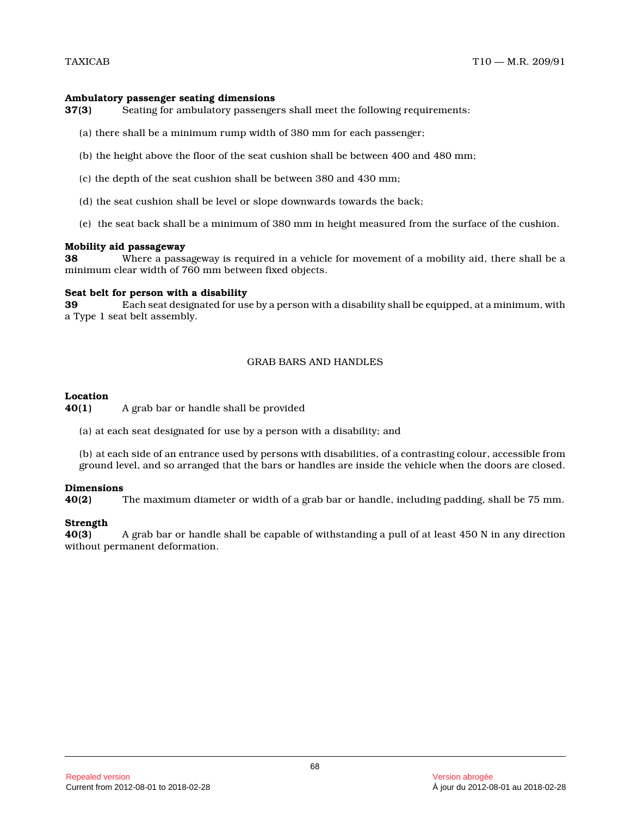#### **Ambulatory passenger seating dimensions**

**37(3)** Seating for ambulatory passengers shall meet the following requirements:

- (a) there shall be a minimum rump width of 380 mm for each passenger;
- (b) the height above the floor of the seat cushion shall be between 400 and 480 mm;
- (c) the depth of the seat cushion shall be between 380 and 430 mm;
- (d) the seat cushion shall be level or slope downwards towards the back;
- (e) the seat back shall be a minimum of 380 mm in height measured from the surface of the cushion.

#### **Mobility aid passageway**

**38** Where a passageway is required in a vehicle for movement of a mobility aid, there shall be a minimum clear width of 760 mm between fixed objects .

#### **Seat belt for person with a disability**

**39** Each seat designated for use by a person with a disability shall be equipped, at a minimum, with a Type 1 seat belt assembly.

#### GRAB BARS AND HANDLES

#### **Location**

**40(1)** A grab bar or handle shall be provided

(a) at each seat designated for use by a person with a disability; and

(b) at each side of an entrance used by persons with disabilities, of a contrasting colour, accessible from ground level, and so arranged that the bars or handles are inside the vehicle when the doors are closed.

#### **Dimensions**

**40(2)** The maximum diameter or width of a grab bar or handle, including padding, shall be 75 mm.

# **Strength**

**40(3)** A grab bar or handle shall be capable of withstanding a pull of at least 450 N in any direction without permanent deformation.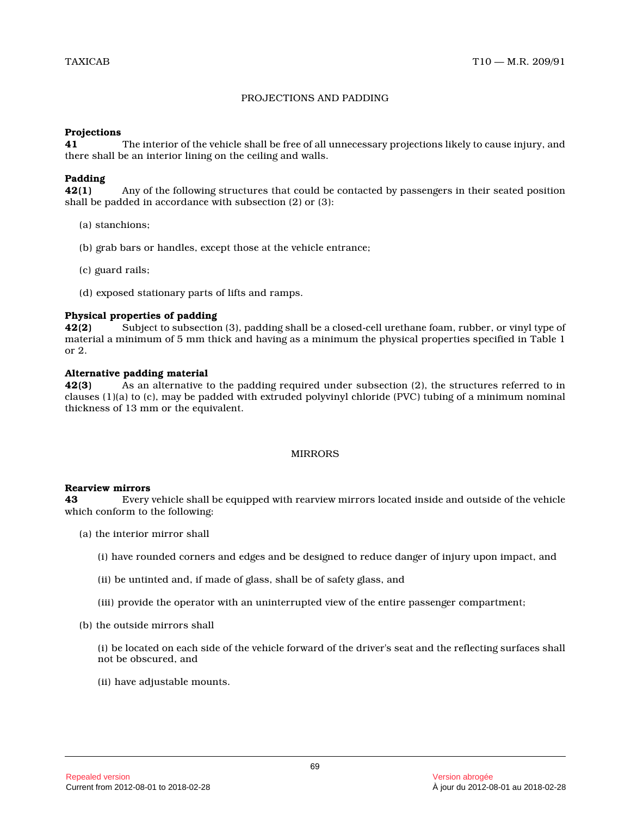# PROJECTIONS AND PADDING

#### **Projections**

**41** The interior of the vehicle shall be free of all unnecessary projections likely to cause injury, and there shall be an interior lining on the ceiling and walls.

# **Padding**

**42(1)** Any of the following structures that could be contacted by passengers in their seated position shall be padded in accordance with subsection (2) or (3):

- (a) stanchions;
- (b) grab bars or handles, except those at the vehicle entrance;
- (c) guard rails;
- (d) exposed stationary parts of lifts and ramps.

# **Physical properties of padding**

**42(2)** Subject to subsection (3), padding shall be a closed-cell urethane foam, rubber, or vinyl type of material a minimum of 5 mm thick and having as a minimum the physical properties specified in Table 1 or 2.

#### **Alternative padding material**

**42(3)** As an alternative to the padding required under subsection (2), the structures referred to in clauses (1)(a) to (c), may be padded with extruded polyvinyl chloride (PVC) tubing of a minimum nomina l thickness of 13 mm or the equivalent.

# MIRRORS

#### **Rearview mirrors**

**43** Every vehicle shall be equipped with rearview mirrors located inside and outside of the vehicle which conform to the following:

- (a) the interior mirror shall
	- (i) have rounded corners and edges and be designed to reduce danger of injury upon impact, and
	- (ii) be untinted and, if made of glass, shall be of safety glass, and
	- (iii) provide the operator with an uninterrupted view of the entire passenger compartment;
- (b) the outside mirrors shall

(i) be located on each side of the vehicle forward of the driver's seat and the reflecting surfaces shall not be obscured, and

(ii) have adjustable mounts.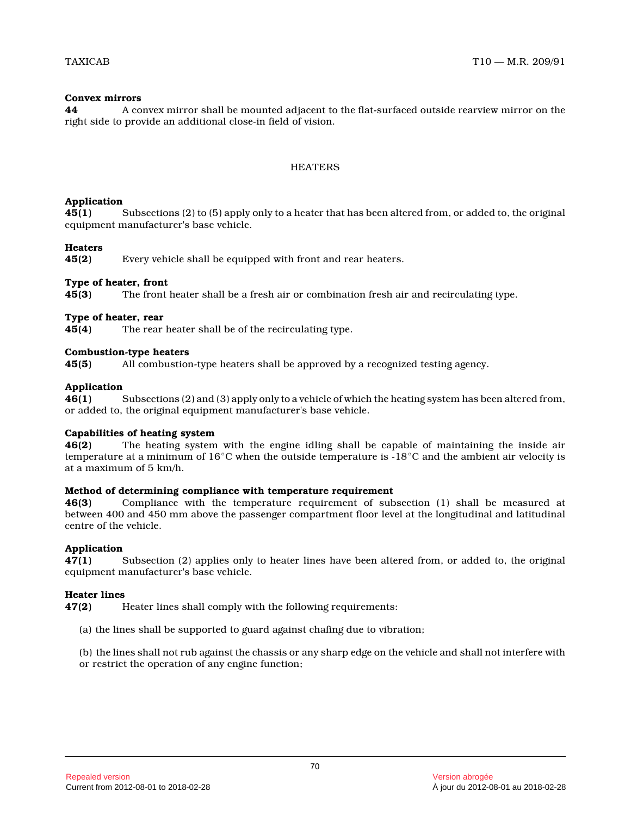# **Convex mirrors**

**44** A convex mirror shall be mounted adjacent to the flat-surfaced outside rearview mirror on the right side to provide an additional close-in field of vision.

# **HEATERS**

#### **Application**

**45(1)** Subsections (2) to (5) apply only to a heater that has been altered from, or added to, the original equipment manufacturer's base vehicle.

#### **Heaters**

**45(2)** Every vehicle shall be equipped with front and rear heaters.

#### **Type of heater, front**

**45(3)** The front heater shall be a fresh air or combination fresh air and recirculating type.

#### **Type of heater, rear**

**45(4)** The rear heater shall be of the recirculating type.

#### **Combustion-type heaters**

**45(5)** All combustion-type heaters shall be approved by a recognized testing agency.

#### **Application**

**46(1)** Subsections (2) and (3) apply only to a vehicle of which the heating system has been altered from, or added to, the original equipment manufacturer's base vehicle.

# **Capabilities of heating system**

**46(2)** The heating system with the engine idling shall be capable of maintaining the inside air temperature at a minimum of 16°C when the outside temperature is -18°C and the ambient air velocity is at a maximum of 5 km/h.

#### **Method of determining compliance with temperature requirement**

**46(3)** Compliance with the temperature requirement of subsection (1) shall be measured at between 400 and 450 mm above the passenger compartment floor level at the longitudinal and latitudinal centre of the vehicle.

# **Application**

**47(1)** Subsection (2) applies only to heater lines have been altered from, or added to, the original equipment manufacturer's base vehicle.

# **Heater lines**

**47(2)** Heater lines shall comply with the following requirements:

(a) the lines shall be supported to guard against chafing due to vibration;

(b) the lines shall not rub against the chassis or any sharp edge on the vehicle and shall not interfere with or restrict the operation of any engine function;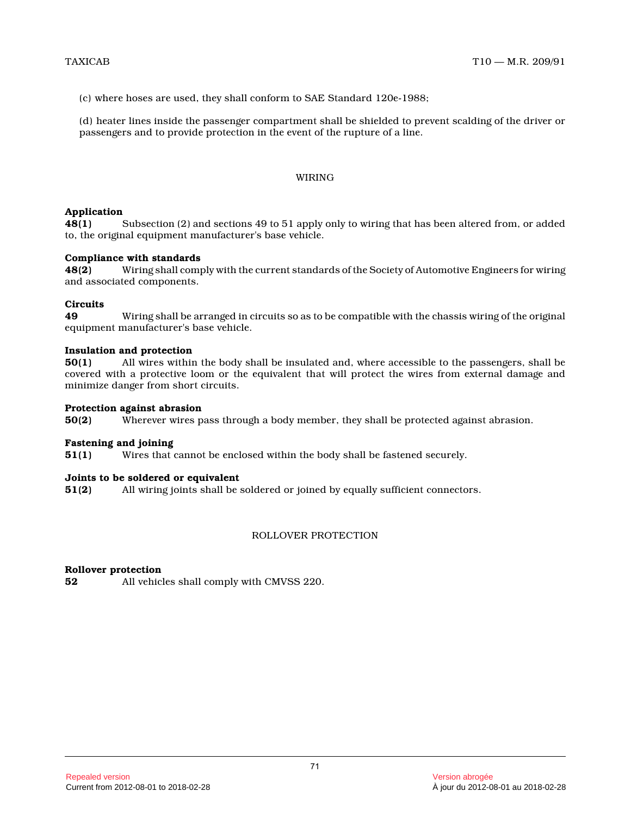(c) where hoses are used, they shall conform to SAE Standard 120e-1988;

(d) heater lines inside the passenger compartment shall be shielded to prevent scalding of the driver o r passengers and to provide protection in the event of the rupture of a line.

#### WIRING

#### **Application**

**48(1)** Subsection (2) and sections 49 to 51 apply only to wiring that has been altered from, or added to, the original equipment manufacturer's base vehicle.

#### **Compliance with standards**

**48(2)** Wiring shall comply with the current standards of the Society of Automotive Engineers for wiring and associated components.

#### **Circuits**

**49** Wiring shall be arranged in circuits so as to be compatible with the chassis wiring of the original equipment manufacturer's base vehicle.

#### **Insulation and protection**

**50(1)** All wires within the body shall be insulated and, where accessible to the passengers, shall be covered with a protective loom or the equivalent that will protect the wires from external damage and minimize danger from short circuits.

#### **Protection against abrasion**

**50(2)** Wherever wires pass through a body member, they shall be protected against abrasion.

#### **Fastening and joining**

**51(1)** Wires that cannot be enclosed within the body shall be fastened securely.

#### **Joints to be soldered or equivalent**

**51(2)** All wiring joints shall be soldered or joined by equally sufficient connectors.

## ROLLOVER PROTECTION

#### **Rollover protection**

**52** All vehicles shall comply with CMVSS 220.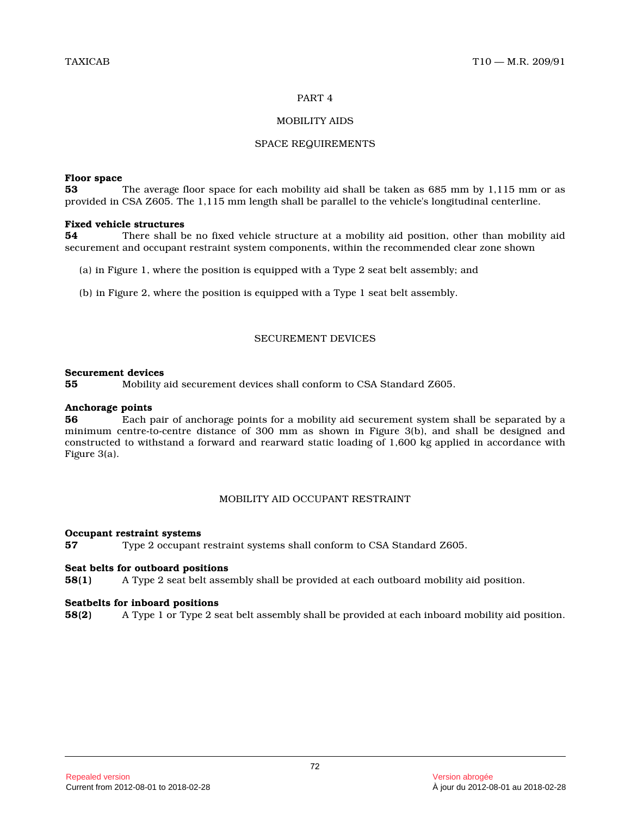#### PART 4

## MOBILITY AIDS

#### SPACE REQUIREMENTS

#### **Floor space**

**53** The average floor space for each mobility aid shall be taken as 685 mm by 1,115 mm or as provided in CSA Z605. The 1,115 mm length shall be parallel to the vehicle's longitudinal centerline.

## **Fixed vehicle structures**

**54** There shall be no fixed vehicle structure at a mobility aid position, other than mobility aid securement and occupant restraint system components, within the recommended clear zone shown

- (a) in Figure 1, where the position is equipped with a Type 2 seat belt assembly; and
- (b) in Figure 2, where the position is equipped with a Type 1 seat belt assembly.

## SECUREMENT DEVICES

#### **Securement devices**

**55** Mobility aid securement devices shall conform to CSA Standard Z605.

## **Anchorage points**

**56** Each pair of anchorage points for a mobility aid securement system shall be separated by a minimum centre-to-centre distance of 300 mm as shown in Figure 3(b), and shall be designed and constructed to withstand a forward and rearward static loading of 1,600 kg applied in accordance with Figure 3(a).

## MOBILITY AID OCCUPANT RESTRAINT

#### **Occupant restraint systems**

**57** Type 2 occupant restraint systems shall conform to CSA Standard Z605.

#### **Seat belts for outboard positions**

**58(1)** A Type 2 seat belt assembly shall be provided at each outboard mobility aid position.

#### **Seatbelts for inboard positions**

**58(2)** A Type 1 or Type 2 seat belt assembly shall be provided at each inboard mobility aid position.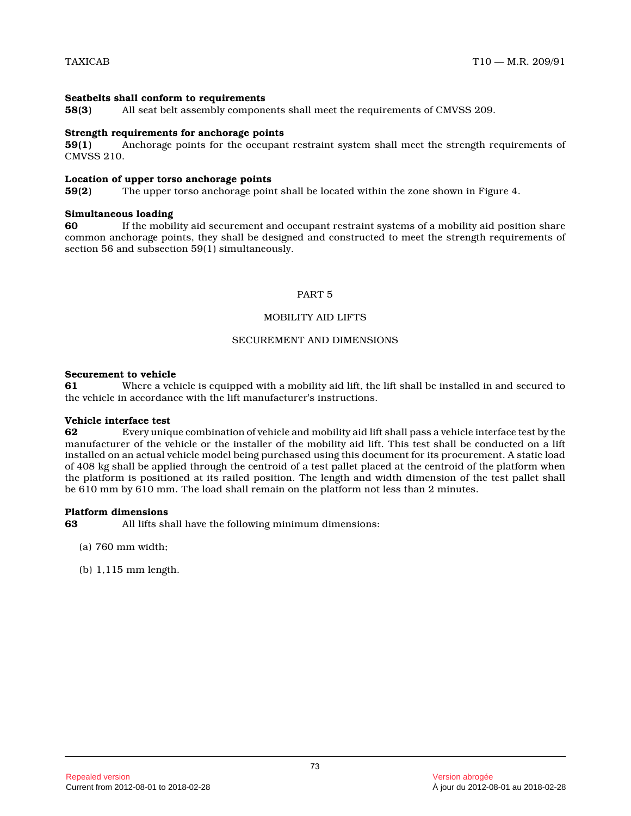#### **Seatbelts shall conform to requirements**

**58(3)** All seat belt assembly components shall meet the requirements of CMVSS 209.

#### **Strength requirements for anchorage points**

**59(1)** Anchorage points for the occupant restraint system shall meet the strength requirements of CMVSS 210.

#### **Location of upper torso anchorage points**

**59(2)** The upper torso anchorage point shall be located within the zone shown in Figure 4.

#### **Simultaneous loading**

**60** If the mobility aid securement and occupant restraint systems of a mobility aid position share common anchorage points, they shall be designed and constructed to meet the strength requirements of section 56 and subsection 59(1) simultaneously.

#### PART 5

## MOBILITY AID LIFTS

## SECUREMENT AND DIMENSIONS

#### **Securement to vehicle**

**61** Where a vehicle is equipped with a mobility aid lift, the lift shall be installed in and secured to the vehicle in accordance with the lift manufacturer's instructions.

#### **Vehicle interface test**

**62** Every unique combination of vehicle and mobility aid lift shall pass a vehicle interface test by the manufacturer of the vehicle or the installer of the mobility aid lift. This test shall be conducted on a lift installed on an actual vehicle model being purchased using this document for its procurement. A static load of 408 kg shall be applied through the centroid of a test pallet placed at the centroid of the platform when the platform is positioned at its railed position. The length and width dimension of the test pallet shall be 610 mm by 610 mm. The load shall remain on the platform not less than 2 minutes.

## **Platform dimensions**<br>63 All lifts sh

**63** All lifts shall have the following minimum dimensions:

- (a) 760 mm width;
- (b) 1,115 mm length.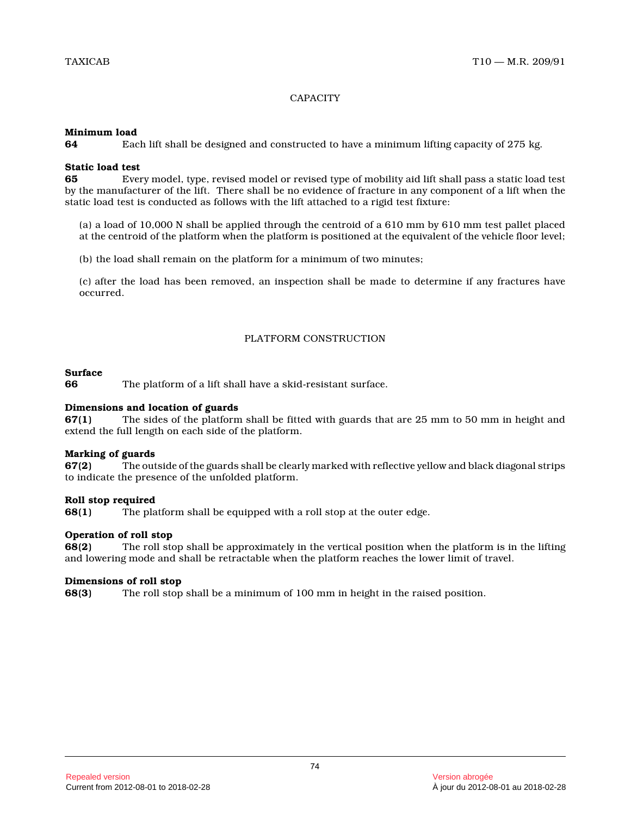## **CAPACITY**

#### **Minimum load**

**64** Each lift shall be designed and constructed to have a minimum lifting capacity of 275 kg.

## **Static load test**

**65** Every model, type, revised model or revised type of mobility aid lift shall pass a static load test by the manufacturer of the lift. There shall be no evidence of fracture in any component of a lift when the static load test is conducted as follows with the lift attached to a rigid test fixture:

(a) a load of 10,000 N shall be applied through the centroid of a 610 mm by 610 mm test pallet placed at the centroid of the platform when the platform is positioned at the equivalent of the vehicle floor level;

(b) the load shall remain on the platform for a minimum of two minutes;

(c) after the load has been removed, an inspection shall be made to determine if any fractures have occurred.

#### PLATFORM CONSTRUCTION

#### **Surface**

**66** The platform of a lift shall have a skid-resistant surface.

#### **Dimensions and location of guards**

**67(1)** The sides of the platform shall be fitted with guards that are 25 mm to 50 mm in height and extend the full length on each side of the platform .

#### **Marking of guards**

**67(2)** The outside of the guards shall be clearly marked with reflective yellow and black diagonal strips to indicate the presence of the unfolded platform.

## **Roll stop required**

**68(1)** The platform shall be equipped with a roll stop at the outer edge.

## **Operation of roll stop**

**68(2)** The roll stop shall be approximately in the vertical position when the platform is in the lifting and lowering mode and shall be retractable when the platform reaches the lower limit of travel.

## **Dimensions of roll stop**

**68(3)** The roll stop shall be a minimum of 100 mm in height in the raised position.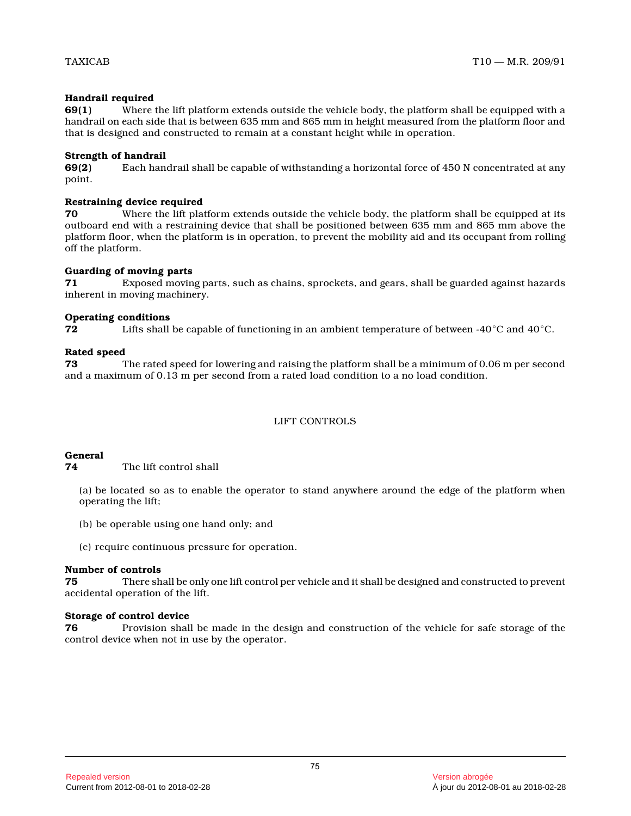## **Handrail required**

**69(1)** Where the lift platform extends outside the vehicle body, the platform shall be equipped with a handrail on each side that is between 635 mm and 865 mm in height measured from the platform floor and that is designed and constructed to remain at a constant height while in operation.

## **Strength of handrail**

**69(2)** Each handrail shall be capable of withstanding a horizontal force of 450 N concentrated at any point.

## **Restraining device required**

**70** Where the lift platform extends outside the vehicle body, the platform shall be equipped at its outboard end with a restraining device that shall be positioned between 635 mm and 865 mm above the platform floor, when the platform is in operation, to prevent the mobility aid and its occupant from rolling off the platform.

## **Guarding of moving parts**

**71** Exposed moving parts, such as chains, sprockets, and gears, shall be guarded against hazards inherent in moving machinery.

## **Operating conditions**

**72** Lifts shall be capable of functioning in an ambient temperature of between -40 $^{\circ}$ C and 40 $^{\circ}$ C.

# **Rated speed**<br>73 1

**73** The rated speed for lowering and raising the platform shall be a minimum of 0.06 m per second and a maximum of 0.13 m per second from a rated load condition to a no load condition.

## LIFT CONTROLS

## **General**

**74** The lift control shall

(a) be located so as to enable the operator to stand anywhere around the edge of the platform when operating the lift;

- (b) be operable using one hand only; and
- (c) require continuous pressure for operation.

## **Number of controls**

**75** There shall be only one lift control per vehicle and it shall be designed and constructed to prevent accidental operation of the lift.

## **Storage of control device**

**76** Provision shall be made in the design and construction of the vehicle for safe storage of the control device when not in use by the operator.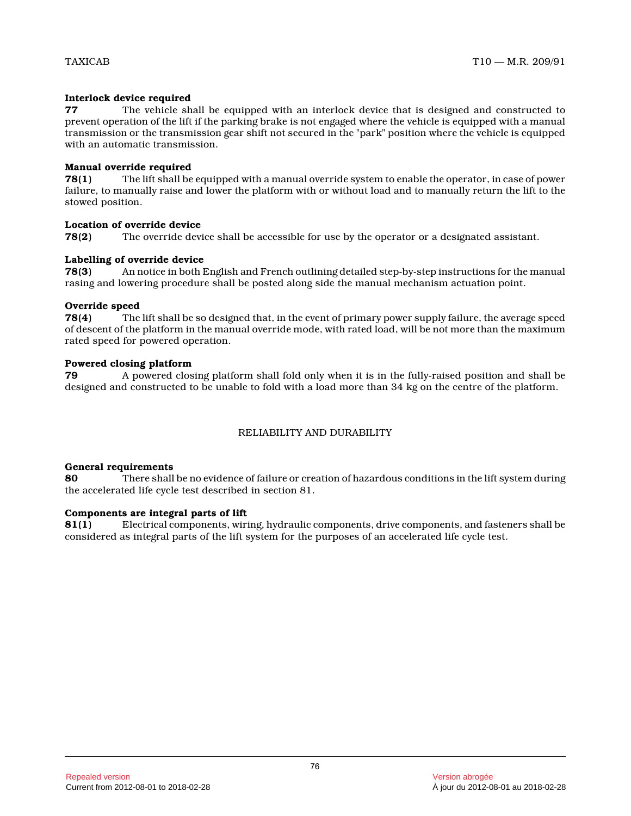## **Interlock device required**

**77** The vehicle shall be equipped with an interlock device that is designed and constructed to prevent operation of the lift if the parking brake is not engaged where the vehicle is equipped with a manual transmission or the transmission gear shift not secured in the "park" position where the vehicle is equipped with an automatic transmission.

## **Manual override required**

**78(1)** The lift shall be equipped with a manual override system to enable the operator, in case of power failure, to manually raise and lower the platform with or without load and to manually return the lift to the stowed position.

## **Location of override device**

**78(2)** The override device shall be accessible for use by the operator or a designated assistant.

## **Labelling of override device**

**78(3)** An notice in both English and French outlining detailed step-by-step instructions for the manual rasing and lowering procedure shall be posted along side the manual mechanism actuation point.

## **Override speed**

**78(4)** The lift shall be so designed that, in the event of primary power supply failure, the average speed of descent of the platform in the manual override mode, with rated load, will be not more than the maximum rated speed for powered operation.

## **Powered closing platform**

**79** A powered closing platform shall fold only when it is in the fully-raised position and shall be designed and constructed to be unable to fold with a load more than 34 kg on the centre of the platform.

## RELIABILITY AND DURABILITY

## **General requirements**

**80** There shall be no evidence of failure or creation of hazardous conditions in the lift system during the accelerated life cycle test described in section 81.

## **Components are integral parts of lift**

**81(1)** Electrical components, wiring, hydraulic components, drive components, and fasteners shall be considered as integral parts of the lift system for the purposes of an accelerated life cycle test.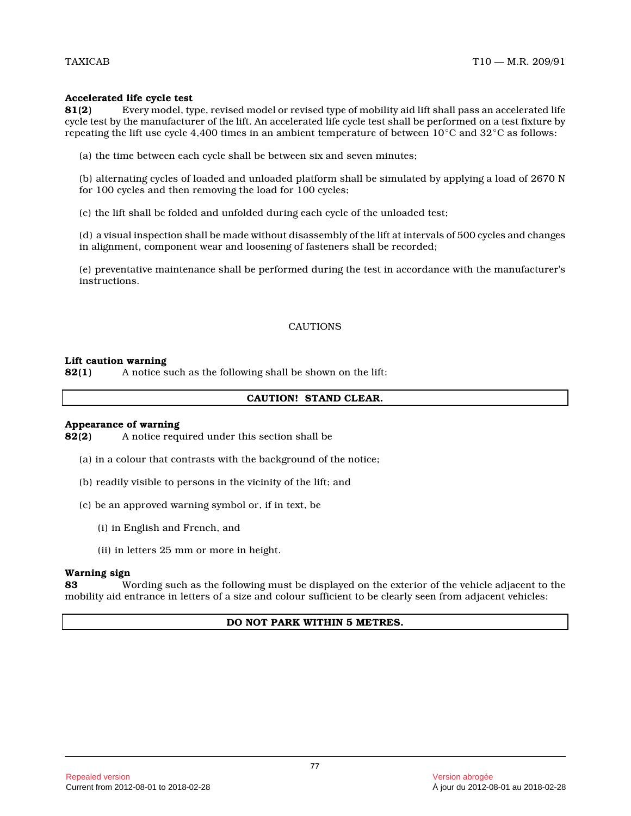## **Accelerated life cycle test**

**81(2)** Every model, type, revised model or revised type of mobility aid lift shall pass an accelerated life cycle test by the manufacturer of the lift. An accelerated life cycle test shall be performed on a test fixture by repeating the lift use cycle 4,400 times in an ambient temperature of between  $10^{\circ}\mathrm{C}$  and  $32^{\circ}\mathrm{C}$  as follows:

(a) the time between each cycle shall be between six and seven minutes;

(b) alternating cycles of loaded and unloaded platform shall be simulated by applying a load of 2670 N for 100 cycles and then removing the load for 100 cycles;

(c) the lift shall be folded and unfolded during each cycle of the unloaded test;

(d) a visual inspection shall be made without disassembly of the lift at intervals of 500 cycles and changes in alignment, component wear and loosening of fasteners shall be recorded;

(e) preventative maintenance shall be performed during the test in accordance with the manufacturer's instructions.

## CAUTIONS

#### **Lift caution warning**

**82(1)** A notice such as the following shall be shown on the lift:

#### **CAUTION! STAND CLEAR.**

# **Appearance of warning**<br>**82(2)** A notice requ

**82(2)** A notice required under this section shall be

- (a) in a colour that contrasts with the background of the notice;
- (b) readily visible to persons in the vicinity of the lift; and
- (c) be an approved warning symbol or, if in text, be
	- (i) in English and French, and
	- (ii) in letters 25 mm or more in height.

#### **Warning sign**

**83** Wording such as the following must be displayed on the exterior of the vehicle adjacent to the mobility aid entrance in letters of a size and colour sufficient to be clearly seen from adjacent vehicles:

## **DO NOT PARK WITHIN 5 METRES.**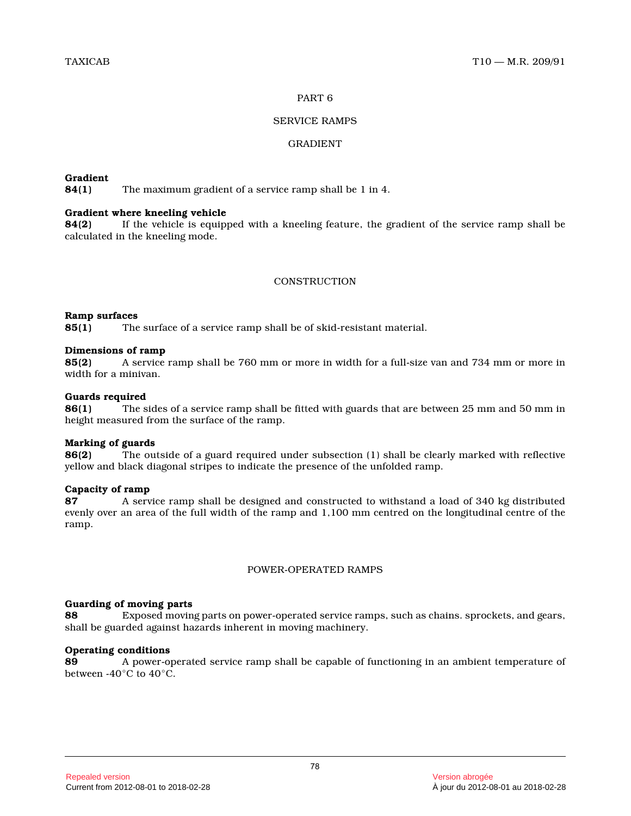#### PART 6

## SERVICE RAMPS

## GRADIENT

## **Gradient**

**84(1)** The maximum gradient of a service ramp shall be 1 in 4.

## **Gradient where kneeling vehicle**

**84(2)** If the vehicle is equipped with a kneeling feature, the gradient of the service ramp shall be calculated in the kneeling mode.

#### **CONSTRUCTION**

#### **Ramp surfaces**

**85(1)** The surface of a service ramp shall be of skid-resistant material.

## **Dimensions of ramp**

**85(2)** A service ramp shall be 760 mm or more in width for a full-size van and 734 mm or more in width for a minivan.

#### **Guards required**

**86(1)** The sides of a service ramp shall be fitted with guards that are between 25 mm and 50 mm in height measured from the surface of the ramp.

#### **Marking of guards**

**86(2)** The outside of a guard required under subsection (1) shall be clearly marked with reflective yellow and black diagonal stripes to indicate the presence of the unfolded ramp.

## **Capacity of ramp**

**87** A service ramp shall be designed and constructed to withstand a load of 340 kg distributed evenly over an area of the full width of the ramp and 1,100 mm centred on the longitudinal centre of the ramp.

## POWER-OPERATED RAMPS

#### **Guarding of moving parts**

**88** Exposed moving parts on power-operated service ramps, such as chains. sprockets, and gears, shall be guarded against hazards inherent in moving machinery.

## **Operating conditions**

**89** A power-operated service ramp shall be capable of functioning in an ambient temperature of between -40 $^{\circ}$ C to 40 $^{\circ}$ C.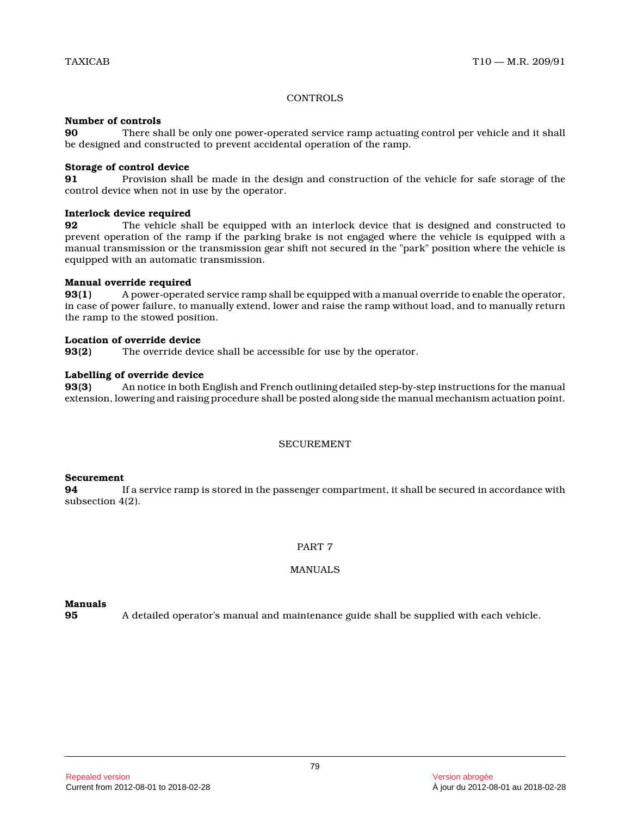## **CONTROLS**

## **Number of controls**

**90** There shall be only one power-operated service ramp actuating control per vehicle and it shall be designed and constructed to prevent accidental operation of the ramp.

#### **Storage of control device**

**91** Provision shall be made in the design and construction of the vehicle for safe storage of the control device when not in use by the operator.

#### **Interlock device required**

**92** The vehicle shall be equipped with an interlock device that is designed and constructed to prevent operation of the ramp if the parking brake is not engaged where the vehicle is equipped with a manual transmission or the transmission gear shift not secured in the "park" position where the vehicle is equipped with an automatic transmission.

## **Manual override required**

**93(1)** A power-operated service ramp shall be equipped with a manual override to enable the operator, in case of power failure, to manually extend, lower and raise the ramp without load, and to manually return the ramp to the stowed position.

## **Location of override device**

**93(2)** The override device shall be accessible for use by the operator.

#### **Labelling of override device**

**93(3)** An notice in both English and French outlining detailed step-by-step instructions for the manual extension, lowering and raising procedure shall be posted along side the manual mechanism actuation point.

## SECUREMENT

## **Securement**

**94** If a service ramp is stored in the passenger compartment, it shall be secured in accordance with subsection 4(2).

## PART 7

## MANUALS

## **Manuals**

**95** A detailed operator's manual and maintenance guide shall be supplied with each vehicle.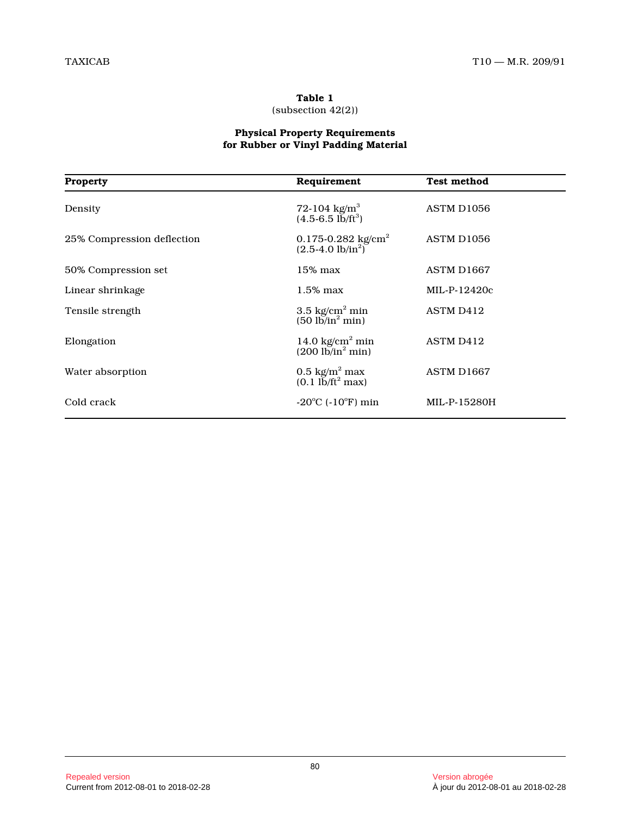## **Table 1**

(subsection 42(2))

#### **Physical Property Requirements for Rubber or Vinyl Padding Material**

| <b>Property</b>            | Requirement                                                             | <b>Test method</b>     |
|----------------------------|-------------------------------------------------------------------------|------------------------|
| Density                    | 72-104 kg/m <sup>3</sup><br>$(4.5-6.5 \text{ lb/ft}^3)$                 | ASTM D <sub>1056</sub> |
| 25% Compression deflection | 0.175-0.282 $kg/cm2$<br>$(2.5-4.0 \text{ lb/in}^2)$                     | ASTM D <sub>1056</sub> |
| 50% Compression set        | 15% max                                                                 | ASTM D1667             |
| Linear shrinkage           | 1.5% max                                                                | $MIL-P-12420c$         |
| Tensile strength           | 3.5 $kg/cm2 min$<br>$(50 \text{ lb/in}^2 \text{ min})$                  | ASTM D412              |
| Elongation                 | 14.0 $kg/cm2 min$<br>$(200 \frac{\text{lb}}{\text{in}^2} \text{min})$   | ASTM D412              |
| Water absorption           | $0.5 \text{ kg/m}^2 \text{ max}$<br>$(0.1 \text{ lb/ft}^2 \text{ max})$ | ASTM D1667             |
| Cold crack                 | $-20^{\circ}$ C ( $-10^{\circ}$ F) min                                  | MIL-P-15280H           |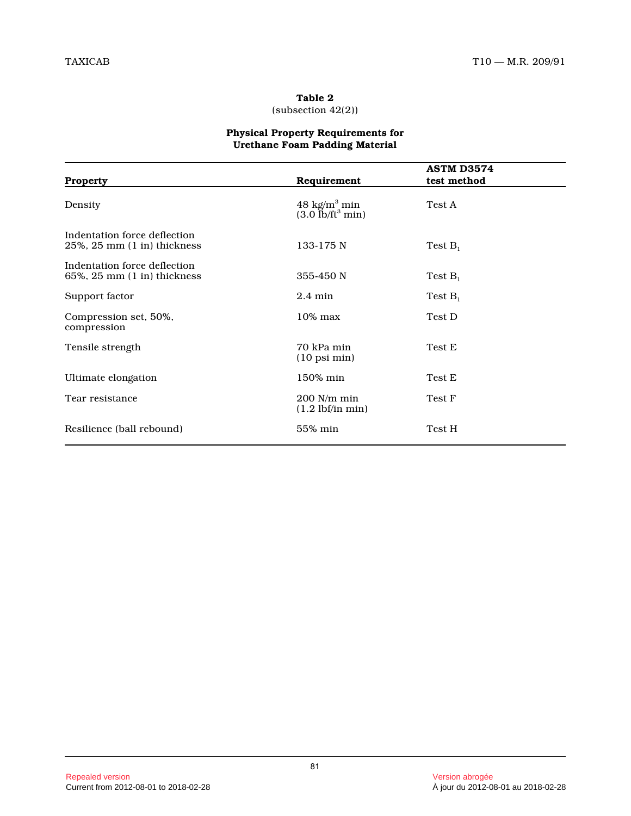## **Table 2** (subsection 42(2))

## **Physical Property Requirements for Urethane Foam Padding Material**

| <b>Property</b>                                                           | Requirement                                        | <b>ASTM D3574</b><br>test method |
|---------------------------------------------------------------------------|----------------------------------------------------|----------------------------------|
| Density                                                                   | 48 kg/ $m^3$ min<br>$(3.0$ lb/ft <sup>3</sup> min) | Test A                           |
| Indentation force deflection<br>$25\%$ , $25 \text{ mm}$ (1 in) thickness | 133-175 N                                          | Test $B_1$                       |
| Indentation force deflection<br>$65\%$ , $25 \text{ mm}$ (1 in) thickness | 355-450 N                                          | Test $B_1$                       |
| Support factor                                                            | $2.4 \text{ min}$                                  | Test $B_1$                       |
| Compression set, 50%,<br>compression                                      | $10\%$ max                                         | Test D                           |
| Tensile strength                                                          | 70 kPa min<br>$(10 \text{ psi min})$               | Test E                           |
| Ultimate elongation                                                       | 150% min                                           | Test E                           |
| Tear resistance                                                           | $200$ N/m min<br>$(1.2 \text{ lbf/in min})$        | Test F                           |
| Resilience (ball rebound)                                                 | 55% min                                            | Test H                           |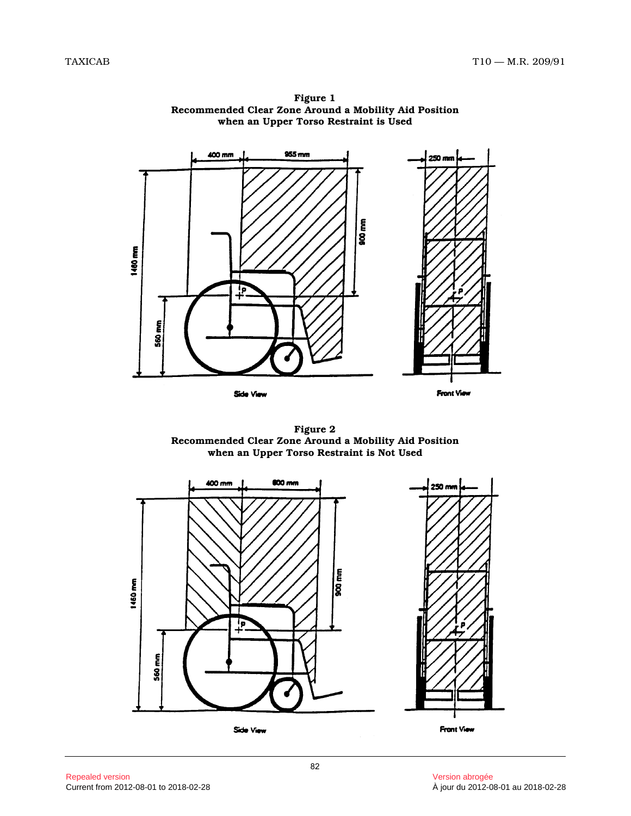

**Figure 1 Recommended Clear Zone Around a Mobility Aid Position when an Upper Torso Restraint is Used**



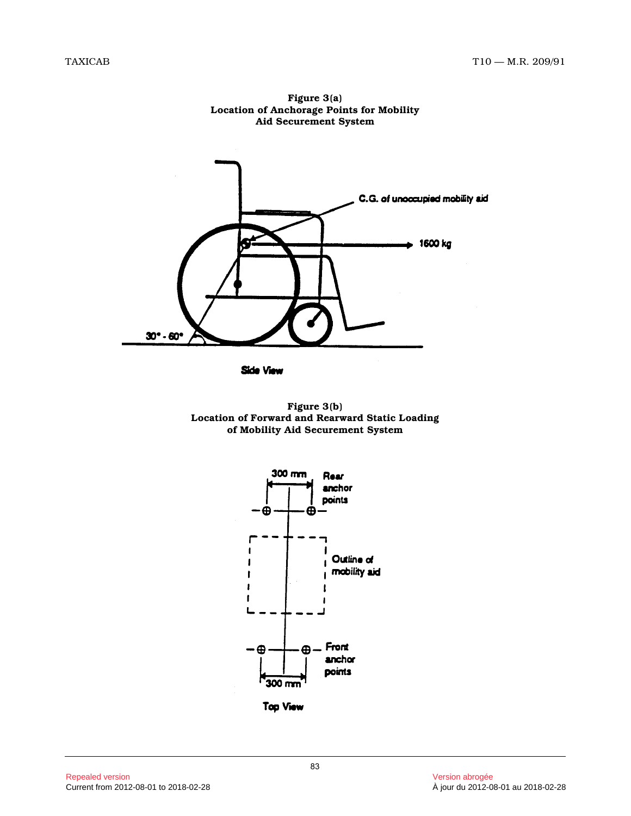

**Figure 3(a) Location of Anchorage Points for Mobility Aid Securement System**

Side View



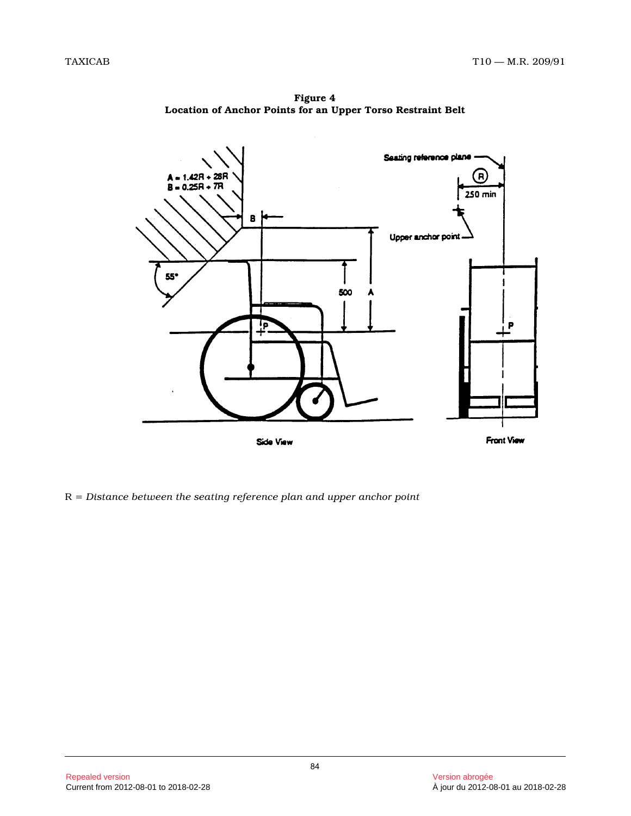**Figure 4 Location of Anchor Points for an Upper Torso Restraint Belt**



R = *Distance between the seating reference plan and upper anchor point*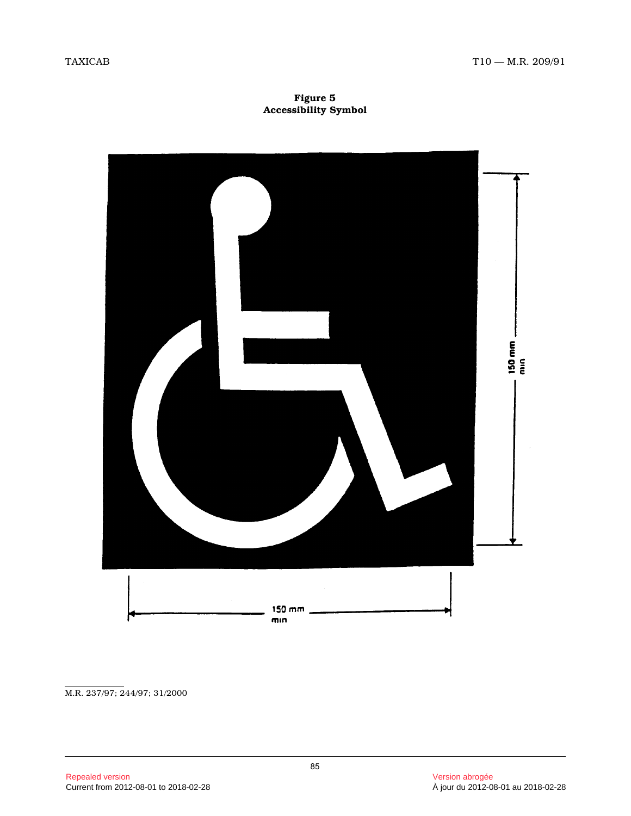**Figure 5 Accessibility Symbol**



M.R. 237/97; 244/97; 31/2000